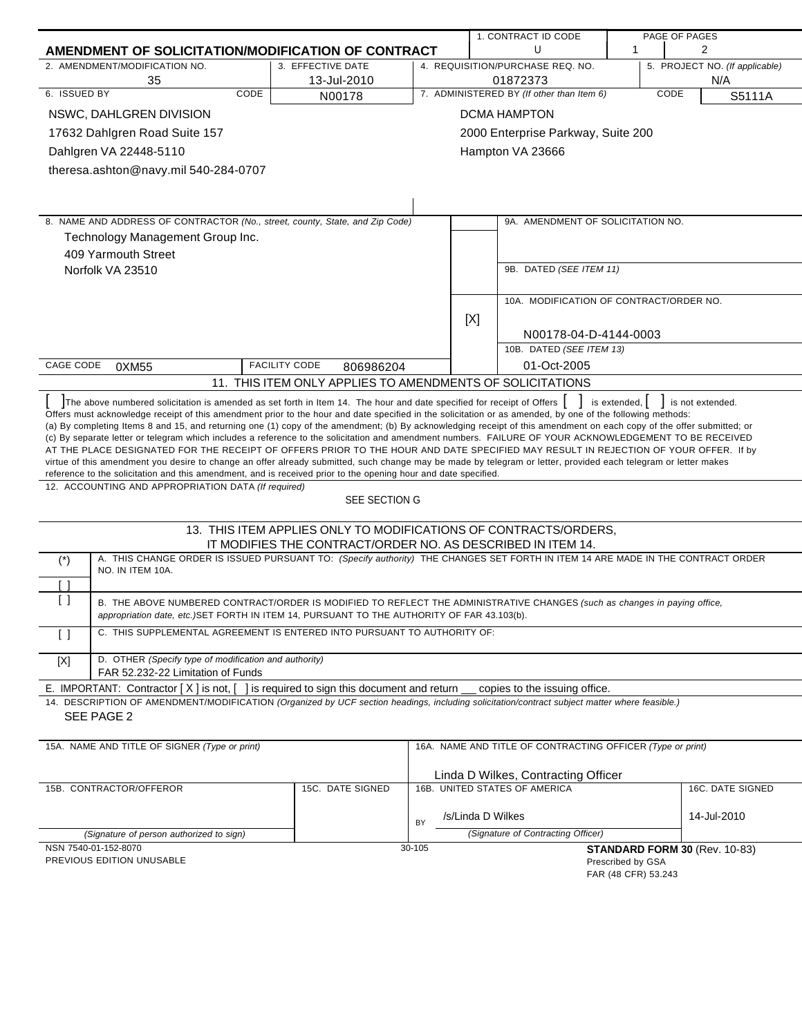|                                                                                                                                                                                                                                                                                                                                                                                                                                                                                                                                                                                                                                                                                                                                                                                                                                                                                                                                                                                    |                                                                        |        | 1. CONTRACT ID CODE                                        |                                          | PAGE OF PAGES                         |
|------------------------------------------------------------------------------------------------------------------------------------------------------------------------------------------------------------------------------------------------------------------------------------------------------------------------------------------------------------------------------------------------------------------------------------------------------------------------------------------------------------------------------------------------------------------------------------------------------------------------------------------------------------------------------------------------------------------------------------------------------------------------------------------------------------------------------------------------------------------------------------------------------------------------------------------------------------------------------------|------------------------------------------------------------------------|--------|------------------------------------------------------------|------------------------------------------|---------------------------------------|
| AMENDMENT OF SOLICITATION/MODIFICATION OF CONTRACT                                                                                                                                                                                                                                                                                                                                                                                                                                                                                                                                                                                                                                                                                                                                                                                                                                                                                                                                 |                                                                        |        | U                                                          | 1                                        | $\overline{2}$                        |
| 2. AMENDMENT/MODIFICATION NO.<br>35                                                                                                                                                                                                                                                                                                                                                                                                                                                                                                                                                                                                                                                                                                                                                                                                                                                                                                                                                | 3. EFFECTIVE DATE<br>13-Jul-2010                                       |        | 4. REQUISITION/PURCHASE REQ. NO.<br>01872373               |                                          | 5. PROJECT NO. (If applicable)<br>N/A |
| 6. ISSUED BY<br>CODE                                                                                                                                                                                                                                                                                                                                                                                                                                                                                                                                                                                                                                                                                                                                                                                                                                                                                                                                                               | N00178                                                                 |        | 7. ADMINISTERED BY (If other than Item 6)                  |                                          | CODE<br>S5111A                        |
| NSWC, DAHLGREN DIVISION                                                                                                                                                                                                                                                                                                                                                                                                                                                                                                                                                                                                                                                                                                                                                                                                                                                                                                                                                            |                                                                        |        | <b>DCMA HAMPTON</b>                                        |                                          |                                       |
| 17632 Dahlgren Road Suite 157                                                                                                                                                                                                                                                                                                                                                                                                                                                                                                                                                                                                                                                                                                                                                                                                                                                                                                                                                      |                                                                        |        | 2000 Enterprise Parkway, Suite 200                         |                                          |                                       |
| Dahlgren VA 22448-5110                                                                                                                                                                                                                                                                                                                                                                                                                                                                                                                                                                                                                                                                                                                                                                                                                                                                                                                                                             |                                                                        |        | Hampton VA 23666                                           |                                          |                                       |
| theresa.ashton@navy.mil 540-284-0707                                                                                                                                                                                                                                                                                                                                                                                                                                                                                                                                                                                                                                                                                                                                                                                                                                                                                                                                               |                                                                        |        |                                                            |                                          |                                       |
|                                                                                                                                                                                                                                                                                                                                                                                                                                                                                                                                                                                                                                                                                                                                                                                                                                                                                                                                                                                    |                                                                        |        |                                                            |                                          |                                       |
|                                                                                                                                                                                                                                                                                                                                                                                                                                                                                                                                                                                                                                                                                                                                                                                                                                                                                                                                                                                    |                                                                        |        |                                                            |                                          |                                       |
| 8. NAME AND ADDRESS OF CONTRACTOR (No., street, county, State, and Zip Code)                                                                                                                                                                                                                                                                                                                                                                                                                                                                                                                                                                                                                                                                                                                                                                                                                                                                                                       |                                                                        |        | 9A. AMENDMENT OF SOLICITATION NO.                          |                                          |                                       |
| Technology Management Group Inc.                                                                                                                                                                                                                                                                                                                                                                                                                                                                                                                                                                                                                                                                                                                                                                                                                                                                                                                                                   |                                                                        |        |                                                            |                                          |                                       |
| 409 Yarmouth Street                                                                                                                                                                                                                                                                                                                                                                                                                                                                                                                                                                                                                                                                                                                                                                                                                                                                                                                                                                |                                                                        |        |                                                            |                                          |                                       |
| Norfolk VA 23510                                                                                                                                                                                                                                                                                                                                                                                                                                                                                                                                                                                                                                                                                                                                                                                                                                                                                                                                                                   |                                                                        |        | 9B. DATED (SEE ITEM 11)                                    |                                          |                                       |
|                                                                                                                                                                                                                                                                                                                                                                                                                                                                                                                                                                                                                                                                                                                                                                                                                                                                                                                                                                                    |                                                                        |        |                                                            |                                          |                                       |
|                                                                                                                                                                                                                                                                                                                                                                                                                                                                                                                                                                                                                                                                                                                                                                                                                                                                                                                                                                                    |                                                                        |        | 10A. MODIFICATION OF CONTRACT/ORDER NO.                    |                                          |                                       |
|                                                                                                                                                                                                                                                                                                                                                                                                                                                                                                                                                                                                                                                                                                                                                                                                                                                                                                                                                                                    |                                                                        |        | [X]                                                        |                                          |                                       |
|                                                                                                                                                                                                                                                                                                                                                                                                                                                                                                                                                                                                                                                                                                                                                                                                                                                                                                                                                                                    |                                                                        |        | N00178-04-D-4144-0003<br>10B. DATED (SEE ITEM 13)          |                                          |                                       |
| CAGE CODE                                                                                                                                                                                                                                                                                                                                                                                                                                                                                                                                                                                                                                                                                                                                                                                                                                                                                                                                                                          | <b>FACILITY CODE</b>                                                   |        | 01-Oct-2005                                                |                                          |                                       |
| 0XM55                                                                                                                                                                                                                                                                                                                                                                                                                                                                                                                                                                                                                                                                                                                                                                                                                                                                                                                                                                              | 806986204<br>11. THIS ITEM ONLY APPLIES TO AMENDMENTS OF SOLICITATIONS |        |                                                            |                                          |                                       |
| The above numbered solicitation is amended as set forth in Item 14. The hour and date specified for receipt of Offers                                                                                                                                                                                                                                                                                                                                                                                                                                                                                                                                                                                                                                                                                                                                                                                                                                                              |                                                                        |        |                                                            | is extended,                             | is not extended.                      |
| Offers must acknowledge receipt of this amendment prior to the hour and date specified in the solicitation or as amended, by one of the following methods:<br>(a) By completing Items 8 and 15, and returning one (1) copy of the amendment; (b) By acknowledging receipt of this amendment on each copy of the offer submitted; or<br>(c) By separate letter or telegram which includes a reference to the solicitation and amendment numbers. FAILURE OF YOUR ACKNOWLEDGEMENT TO BE RECEIVED<br>AT THE PLACE DESIGNATED FOR THE RECEIPT OF OFFERS PRIOR TO THE HOUR AND DATE SPECIFIED MAY RESULT IN REJECTION OF YOUR OFFER. If by<br>virtue of this amendment you desire to change an offer already submitted, such change may be made by telegram or letter, provided each telegram or letter makes<br>reference to the solicitation and this amendment, and is received prior to the opening hour and date specified.<br>12. ACCOUNTING AND APPROPRIATION DATA (If required) |                                                                        |        |                                                            |                                          |                                       |
|                                                                                                                                                                                                                                                                                                                                                                                                                                                                                                                                                                                                                                                                                                                                                                                                                                                                                                                                                                                    | SEE SECTION G                                                          |        |                                                            |                                          |                                       |
|                                                                                                                                                                                                                                                                                                                                                                                                                                                                                                                                                                                                                                                                                                                                                                                                                                                                                                                                                                                    | 13. THIS ITEM APPLIES ONLY TO MODIFICATIONS OF CONTRACTS/ORDERS,       |        |                                                            |                                          |                                       |
| A. THIS CHANGE ORDER IS ISSUED PURSUANT TO: (Specify authority) THE CHANGES SET FORTH IN ITEM 14 ARE MADE IN THE CONTRACT ORDER                                                                                                                                                                                                                                                                                                                                                                                                                                                                                                                                                                                                                                                                                                                                                                                                                                                    | IT MODIFIES THE CONTRACT/ORDER NO. AS DESCRIBED IN ITEM 14.            |        |                                                            |                                          |                                       |
| $(*)$<br>NO. IN ITEM 10A.                                                                                                                                                                                                                                                                                                                                                                                                                                                                                                                                                                                                                                                                                                                                                                                                                                                                                                                                                          |                                                                        |        |                                                            |                                          |                                       |
|                                                                                                                                                                                                                                                                                                                                                                                                                                                                                                                                                                                                                                                                                                                                                                                                                                                                                                                                                                                    |                                                                        |        |                                                            |                                          |                                       |
| $\left[ \ \right]$<br>B. THE ABOVE NUMBERED CONTRACT/ORDER IS MODIFIED TO REFLECT THE ADMINISTRATIVE CHANGES (such as changes in paying office,<br>appropriation date, etc.) SET FORTH IN ITEM 14, PURSUANT TO THE AUTHORITY OF FAR 43.103(b).                                                                                                                                                                                                                                                                                                                                                                                                                                                                                                                                                                                                                                                                                                                                     |                                                                        |        |                                                            |                                          |                                       |
| C. THIS SUPPLEMENTAL AGREEMENT IS ENTERED INTO PURSUANT TO AUTHORITY OF:<br>$\Box$                                                                                                                                                                                                                                                                                                                                                                                                                                                                                                                                                                                                                                                                                                                                                                                                                                                                                                 |                                                                        |        |                                                            |                                          |                                       |
| D. OTHER (Specify type of modification and authority)<br>[X]<br>FAR 52.232-22 Limitation of Funds                                                                                                                                                                                                                                                                                                                                                                                                                                                                                                                                                                                                                                                                                                                                                                                                                                                                                  |                                                                        |        |                                                            |                                          |                                       |
| E. IMPORTANT: Contractor $[X]$ is not, $[ \ ]$ is required to sign this document and return                                                                                                                                                                                                                                                                                                                                                                                                                                                                                                                                                                                                                                                                                                                                                                                                                                                                                        |                                                                        |        | copies to the issuing office.                              |                                          |                                       |
| 14. DESCRIPTION OF AMENDMENT/MODIFICATION (Organized by UCF section headings, including solicitation/contract subject matter where feasible.)                                                                                                                                                                                                                                                                                                                                                                                                                                                                                                                                                                                                                                                                                                                                                                                                                                      |                                                                        |        |                                                            |                                          |                                       |
| SEE PAGE 2                                                                                                                                                                                                                                                                                                                                                                                                                                                                                                                                                                                                                                                                                                                                                                                                                                                                                                                                                                         |                                                                        |        |                                                            |                                          |                                       |
| 15A. NAME AND TITLE OF SIGNER (Type or print)                                                                                                                                                                                                                                                                                                                                                                                                                                                                                                                                                                                                                                                                                                                                                                                                                                                                                                                                      |                                                                        |        | 16A. NAME AND TITLE OF CONTRACTING OFFICER (Type or print) |                                          |                                       |
|                                                                                                                                                                                                                                                                                                                                                                                                                                                                                                                                                                                                                                                                                                                                                                                                                                                                                                                                                                                    |                                                                        |        |                                                            |                                          |                                       |
|                                                                                                                                                                                                                                                                                                                                                                                                                                                                                                                                                                                                                                                                                                                                                                                                                                                                                                                                                                                    |                                                                        |        | Linda D Wilkes, Contracting Officer                        |                                          |                                       |
| 15B. CONTRACTOR/OFFEROR                                                                                                                                                                                                                                                                                                                                                                                                                                                                                                                                                                                                                                                                                                                                                                                                                                                                                                                                                            | 15C. DATE SIGNED                                                       |        | 16B. UNITED STATES OF AMERICA                              |                                          | 16C. DATE SIGNED                      |
|                                                                                                                                                                                                                                                                                                                                                                                                                                                                                                                                                                                                                                                                                                                                                                                                                                                                                                                                                                                    |                                                                        |        | /s/Linda D Wilkes                                          |                                          | 14-Jul-2010                           |
| (Signature of person authorized to sign)                                                                                                                                                                                                                                                                                                                                                                                                                                                                                                                                                                                                                                                                                                                                                                                                                                                                                                                                           |                                                                        | BY     | (Signature of Contracting Officer)                         |                                          |                                       |
| NSN 7540-01-152-8070                                                                                                                                                                                                                                                                                                                                                                                                                                                                                                                                                                                                                                                                                                                                                                                                                                                                                                                                                               |                                                                        | 30-105 |                                                            |                                          | STANDARD FORM 30 (Rev. 10-83)         |
| PREVIOUS EDITION UNUSABLE                                                                                                                                                                                                                                                                                                                                                                                                                                                                                                                                                                                                                                                                                                                                                                                                                                                                                                                                                          |                                                                        |        |                                                            | Prescribed by GSA<br>FAR (48 CFR) 53.243 |                                       |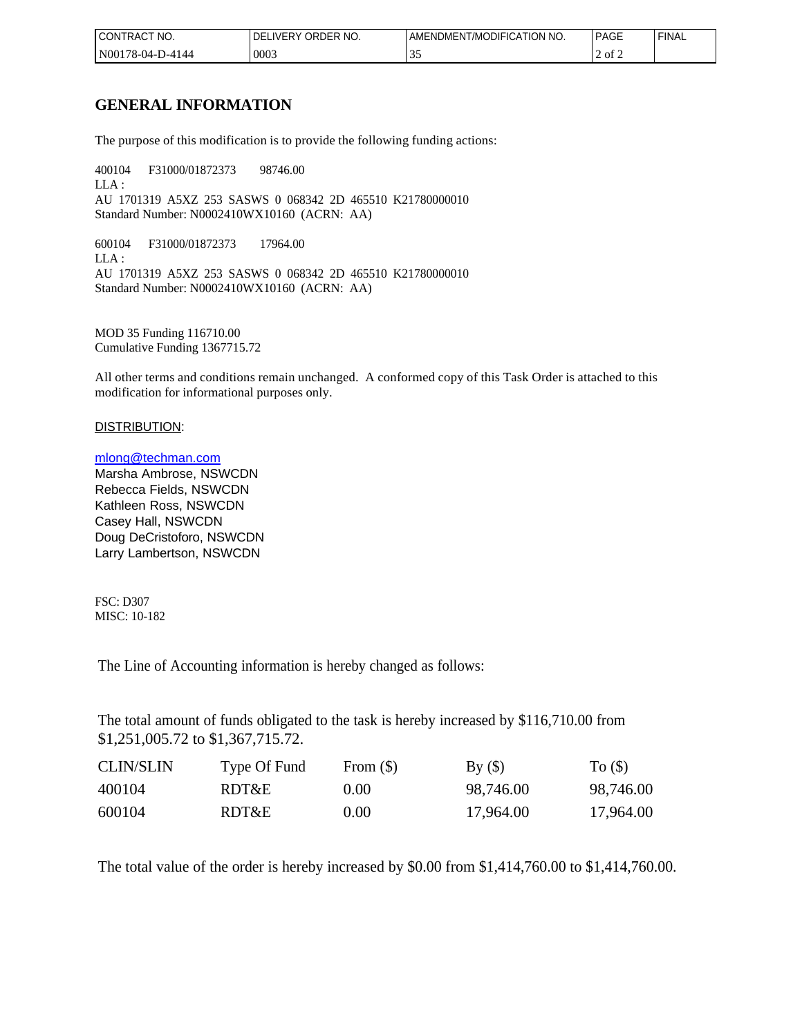| NO.<br>CON<br><b>TRAC</b>            | ORDER NO.<br><b>IVERY</b><br>⊣נ | NO.<br>T/MODIFICATION<br>AMENDMENT | <b>PAGE</b><br>______ | <b>FINAL</b> |
|--------------------------------------|---------------------------------|------------------------------------|-----------------------|--------------|
| N <sub>00</sub><br>78-04-l<br>. 4144 | 0003                            | ັ້                                 | -of 2                 |              |

# **GENERAL INFORMATION**

The purpose of this modification is to provide the following funding actions:

400104 F31000/01872373 98746.00 LLA : AU 1701319 A5XZ 253 SASWS 0 068342 2D 465510 K21780000010 Standard Number: N0002410WX10160 (ACRN: AA)

600104 F31000/01872373 17964.00 LLA : AU 1701319 A5XZ 253 SASWS 0 068342 2D 465510 K21780000010 Standard Number: N0002410WX10160 (ACRN: AA)

MOD 35 Funding 116710.00 Cumulative Funding 1367715.72

All other terms and conditions remain unchanged. A conformed copy of this Task Order is attached to this modification for informational purposes only.

#### DISTRIBUTION:

#### [mlong@techman.com](mailto:mlong@techman.com)

Marsha Ambrose, NSWCDN Rebecca Fields, NSWCDN Kathleen Ross, NSWCDN Casey Hall, NSWCDN Doug DeCristoforo, NSWCDN Larry Lambertson, NSWCDN

FSC: D307 MISC: 10-182

The Line of Accounting information is hereby changed as follows:

The total amount of funds obligated to the task is hereby increased by \$116,710.00 from \$1,251,005.72 to \$1,367,715.72.

| <b>CLIN/SLIN</b> | Type Of Fund | From $(\$)$ | By()      | $To (\$)$ |
|------------------|--------------|-------------|-----------|-----------|
| 400104           | RDT&E        | (0.00)      | 98,746.00 | 98,746.00 |
| 600104           | RDT&E        | 0.00        | 17,964.00 | 17,964.00 |

The total value of the order is hereby increased by \$0.00 from \$1,414,760.00 to \$1,414,760.00.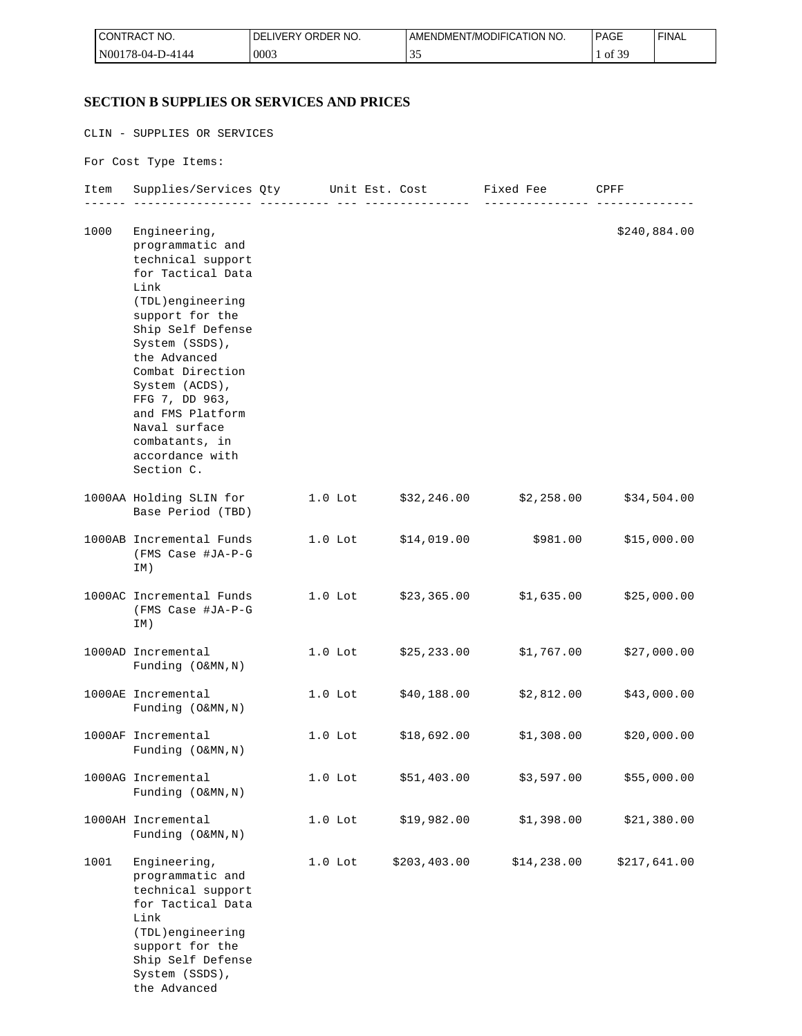| <b>I CONTRACT</b><br>NO. | ORDER NO.<br>DEL<br><b>IVERY</b> | AMENDMENT/MODIFICATION NO. | <b>PAGE</b>                | 'FINAL |
|--------------------------|----------------------------------|----------------------------|----------------------------|--------|
| N00178<br>78-04-D-4144   | 0003                             | ັ້                         | .f 3C<br>$\cdot$ of $\sim$ |        |

## **SECTION B SUPPLIES OR SERVICES AND PRICES**

CLIN - SUPPLIES OR SERVICES

For Cost Type Items:

| Item | Supplies/Services Qty                                                                                                                                                                                                                                                                                                            | Unit Est. Cost |                     | Fixed Fee    | CPFF         |
|------|----------------------------------------------------------------------------------------------------------------------------------------------------------------------------------------------------------------------------------------------------------------------------------------------------------------------------------|----------------|---------------------|--------------|--------------|
| 1000 | Engineering,<br>programmatic and<br>technical support<br>for Tactical Data<br>Link<br>(TDL)engineering<br>support for the<br>Ship Self Defense<br>System (SSDS),<br>the Advanced<br>Combat Direction<br>System (ACDS),<br>FFG 7, DD 963,<br>and FMS Platform<br>Naval surface<br>combatants, in<br>accordance with<br>Section C. |                |                     |              | \$240,884.00 |
|      | 1000AA Holding SLIN for<br>Base Period (TBD)                                                                                                                                                                                                                                                                                     | $1.0$ Lot      | \$32,246.00         | \$2,258.00   | \$34,504.00  |
|      | 1000AB Incremental Funds<br>(FMS Case #JA-P-G<br>IM)                                                                                                                                                                                                                                                                             | $1.0$ Lot      | \$14,019.00         | \$981.00     | \$15,000.00  |
|      | 1000AC Incremental Funds<br>(FMS Case #JA-P-G<br>IM)                                                                                                                                                                                                                                                                             |                | 1.0 Lot \$23,365.00 | \$1,635.00   | \$25,000.00  |
|      | 1000AD Incremental<br>Funding (O&MN, N)                                                                                                                                                                                                                                                                                          | $1.0$ Lot      | \$25,233.00         | \$1,767.00   | \$27,000.00  |
|      | 1000AE Incremental<br>Funding (O&MN, N)                                                                                                                                                                                                                                                                                          | $1.0$ Lot      | \$40,188.00         | \$2,812.00   | \$43,000.00  |
|      | 1000AF Incremental<br>Funding (O&MN, N)                                                                                                                                                                                                                                                                                          | $1.0$ Lot      | \$18,692.00         | \$1,308.00   | \$20,000.00  |
|      | 1000AG Incremental<br>Funding (O&MN, N)                                                                                                                                                                                                                                                                                          | $1.0$ Lot      | \$51,403.00         | \$3,597.00   | \$55,000.00  |
|      | 1000AH Incremental<br>Funding (O&MN, N)                                                                                                                                                                                                                                                                                          | $1.0$ Lot      | \$19,982.00         | \$1,398.00   | \$21,380.00  |
| 1001 | Engineering,<br>programmatic and<br>technical support<br>for Tactical Data<br>Link<br>(TDL)engineering<br>support for the<br>Ship Self Defense<br>System (SSDS),<br>the Advanced                                                                                                                                                 | $1.0$ Lot      | \$203,403.00        | \$14, 238.00 | \$217,641.00 |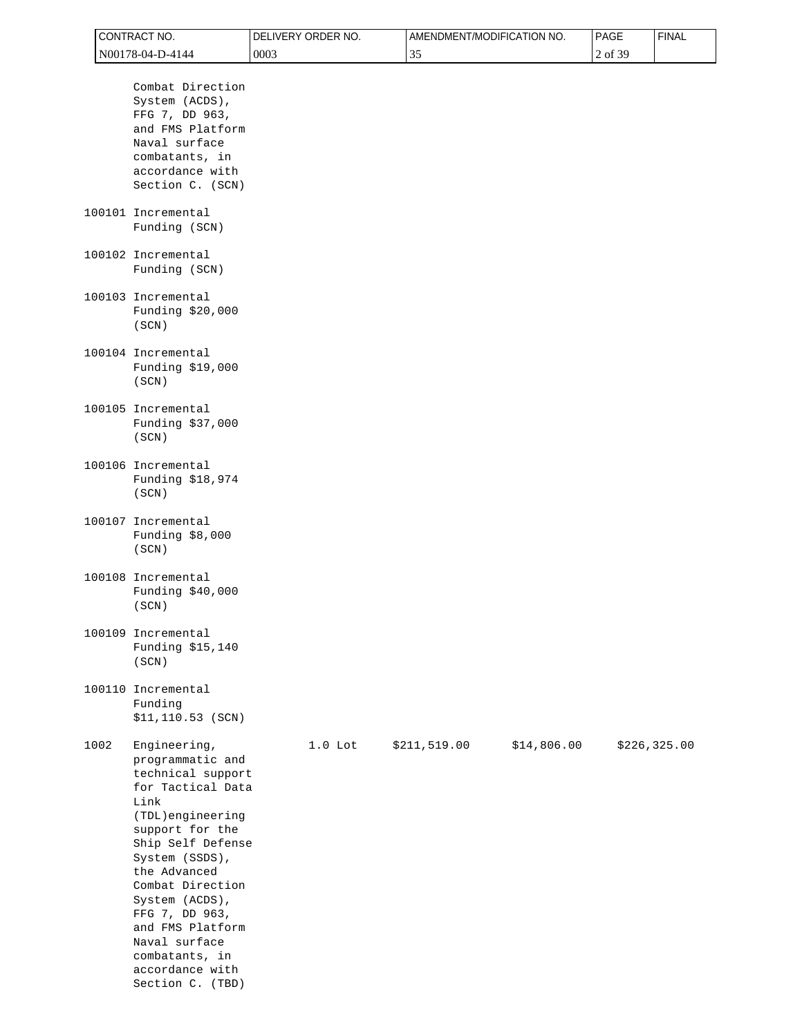| CONTRACT NO. |                                                                                                                                                                                                                                                                                                                                        | DELIVERY ORDER NO. | AMENDMENT/MODIFICATION NO.  | PAGE    | <b>FINAL</b>  |
|--------------|----------------------------------------------------------------------------------------------------------------------------------------------------------------------------------------------------------------------------------------------------------------------------------------------------------------------------------------|--------------------|-----------------------------|---------|---------------|
|              | N00178-04-D-4144                                                                                                                                                                                                                                                                                                                       | 0003               | 35                          | 2 of 39 |               |
|              | Combat Direction<br>System (ACDS),<br>FFG 7, DD 963,<br>and FMS Platform<br>Naval surface<br>combatants, in<br>accordance with<br>Section C. (SCN)                                                                                                                                                                                     |                    |                             |         |               |
|              | 100101 Incremental<br>Funding (SCN)                                                                                                                                                                                                                                                                                                    |                    |                             |         |               |
|              | 100102 Incremental<br>Funding (SCN)                                                                                                                                                                                                                                                                                                    |                    |                             |         |               |
|              | 100103 Incremental<br>Funding \$20,000<br>(SCN)                                                                                                                                                                                                                                                                                        |                    |                             |         |               |
|              | 100104 Incremental<br>Funding \$19,000<br>(SCN)                                                                                                                                                                                                                                                                                        |                    |                             |         |               |
|              | 100105 Incremental<br>Funding \$37,000<br>(SCN)                                                                                                                                                                                                                                                                                        |                    |                             |         |               |
|              | 100106 Incremental<br>Funding \$18,974<br>(SCN)                                                                                                                                                                                                                                                                                        |                    |                             |         |               |
|              | 100107 Incremental<br>Funding \$8,000<br>(SCN)                                                                                                                                                                                                                                                                                         |                    |                             |         |               |
|              | 100108 Incremental<br>Funding \$40,000<br>(SCN)                                                                                                                                                                                                                                                                                        |                    |                             |         |               |
|              | 100109 Incremental<br>Funding \$15,140<br>(SCN)                                                                                                                                                                                                                                                                                        |                    |                             |         |               |
|              | 100110 Incremental<br>Funding<br>\$11,110.53 (SCN)                                                                                                                                                                                                                                                                                     |                    |                             |         |               |
| 1002         | Engineering,<br>programmatic and<br>technical support<br>for Tactical Data<br>Link<br>(TDL)engineering<br>support for the<br>Ship Self Defense<br>System (SSDS),<br>the Advanced<br>Combat Direction<br>System (ACDS),<br>FFG 7, DD 963,<br>and FMS Platform<br>Naval surface<br>combatants, in<br>accordance with<br>Section C. (TBD) | $1.0$ Lot          | \$14,806.00<br>\$211,519.00 |         | \$226, 325.00 |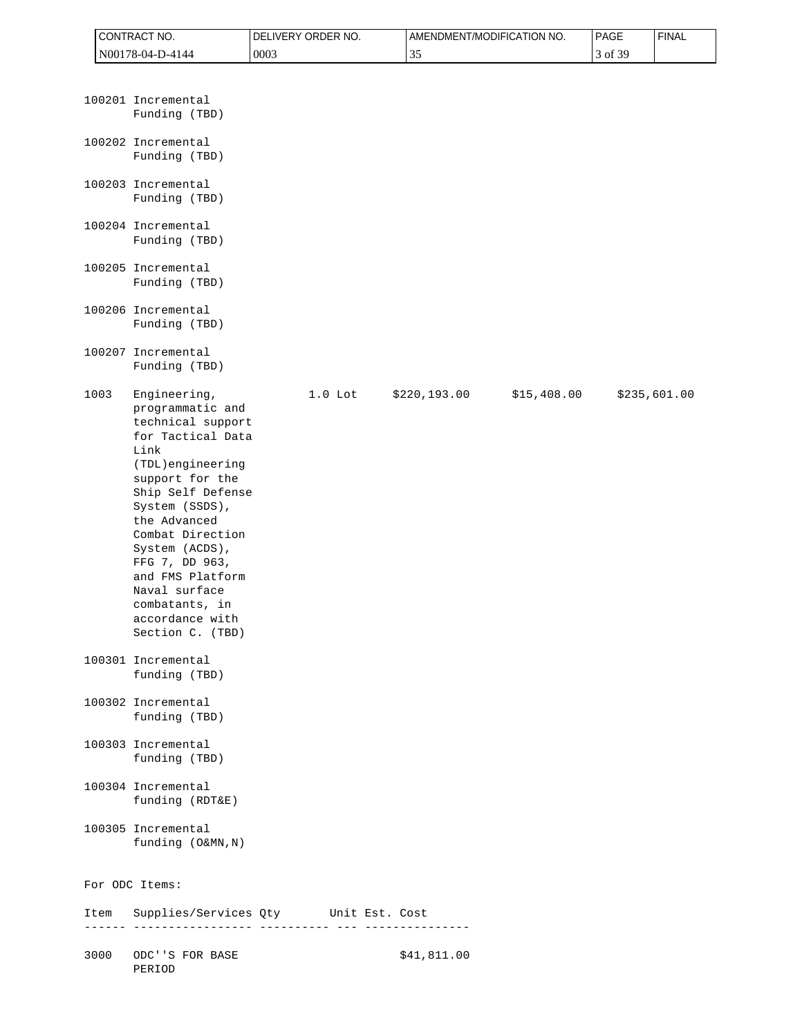| CONTRACT NO. |      | DELIVERY ORDER NO.                                                                                                                                                                                                                                                                                                                     |                    | AMENDMENT/MODIFICATION NO. |  | PAGE         | <b>FINAL</b> |         |              |
|--------------|------|----------------------------------------------------------------------------------------------------------------------------------------------------------------------------------------------------------------------------------------------------------------------------------------------------------------------------------------|--------------------|----------------------------|--|--------------|--------------|---------|--------------|
|              |      | N00178-04-D-4144                                                                                                                                                                                                                                                                                                                       | 0003               |                            |  | 35           |              | 3 of 39 |              |
|              |      | 100201 Incremental<br>Funding (TBD)<br>100202 Incremental<br>Funding (TBD)                                                                                                                                                                                                                                                             |                    |                            |  |              |              |         |              |
|              |      | 100203 Incremental<br>Funding (TBD)                                                                                                                                                                                                                                                                                                    |                    |                            |  |              |              |         |              |
|              |      | 100204 Incremental<br>Funding (TBD)                                                                                                                                                                                                                                                                                                    |                    |                            |  |              |              |         |              |
|              |      | 100205 Incremental<br>Funding (TBD)                                                                                                                                                                                                                                                                                                    |                    |                            |  |              |              |         |              |
|              |      | 100206 Incremental<br>Funding (TBD)                                                                                                                                                                                                                                                                                                    |                    |                            |  |              |              |         |              |
|              |      | 100207 Incremental<br>Funding (TBD)                                                                                                                                                                                                                                                                                                    |                    |                            |  |              |              |         |              |
| 1003         |      | Engineering,<br>programmatic and<br>technical support<br>for Tactical Data<br>Link<br>(TDL)engineering<br>support for the<br>Ship Self Defense<br>System (SSDS),<br>the Advanced<br>Combat Direction<br>System (ACDS),<br>FFG 7, DD 963,<br>and FMS Platform<br>Naval surface<br>combatants, in<br>accordance with<br>Section C. (TBD) |                    | $1.0$ Lot                  |  | \$220,193.00 | \$15,408.00  |         | \$235,601.00 |
|              |      | 100301 Incremental<br>funding (TBD)                                                                                                                                                                                                                                                                                                    |                    |                            |  |              |              |         |              |
|              |      | 100302 Incremental<br>funding (TBD)                                                                                                                                                                                                                                                                                                    |                    |                            |  |              |              |         |              |
|              |      | 100303 Incremental<br>funding (TBD)                                                                                                                                                                                                                                                                                                    |                    |                            |  |              |              |         |              |
|              |      | 100304 Incremental<br>funding (RDT&E)                                                                                                                                                                                                                                                                                                  |                    |                            |  |              |              |         |              |
|              |      | 100305 Incremental<br>funding (O&MN, N)                                                                                                                                                                                                                                                                                                |                    |                            |  |              |              |         |              |
|              |      | For ODC Items:                                                                                                                                                                                                                                                                                                                         |                    |                            |  |              |              |         |              |
|              | Item | Supplies/Services Qty Unit Est. Cost                                                                                                                                                                                                                                                                                                   | -- ----------- --- |                            |  |              |              |         |              |
| 3000         |      | ODC''S FOR BASE<br>PERIOD                                                                                                                                                                                                                                                                                                              |                    |                            |  | \$41,811.00  |              |         |              |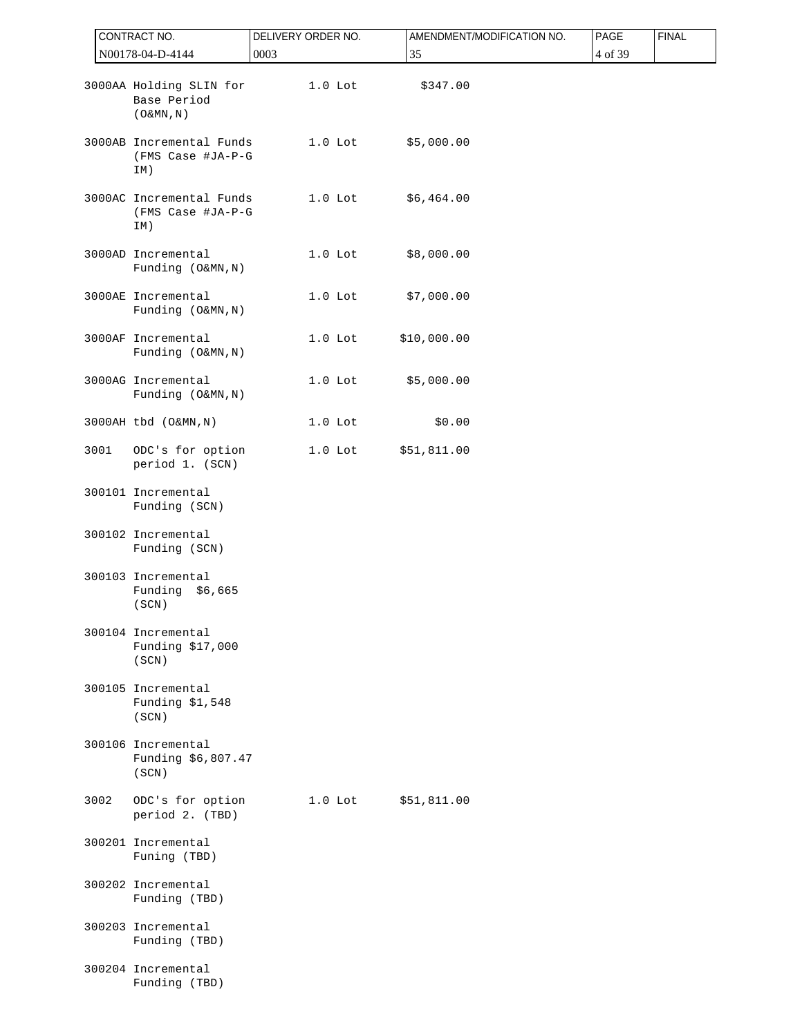|      | CONTRACT NO.                                                | DELIVERY ORDER NO. |             | AMENDMENT/MODIFICATION NO. | PAGE    | <b>FINAL</b> |
|------|-------------------------------------------------------------|--------------------|-------------|----------------------------|---------|--------------|
|      | N00178-04-D-4144                                            | 0003               | 35          |                            | 4 of 39 |              |
|      | 3000AA Holding SLIN for<br>Base Period<br>$($ O&MN, $N$ $)$ | $1.0$ Lot          | \$347.00    |                            |         |              |
|      | 3000AB Incremental Funds<br>(FMS Case #JA-P-G<br>IM)        | $1.0$ Lot          | \$5,000.00  |                            |         |              |
|      | 3000AC Incremental Funds<br>(FMS Case #JA-P-G<br>IM)        | $1.0$ Lot          | \$6,464.00  |                            |         |              |
|      | 3000AD Incremental<br>Funding (O&MN, N)                     | $1.0$ Lot          | \$8,000.00  |                            |         |              |
|      | 3000AE Incremental<br>Funding (O&MN, N)                     | $1.0$ Lot          | \$7,000.00  |                            |         |              |
|      | 3000AF Incremental<br>Funding (O&MN, N)                     | $1.0$ Lot          | \$10,000.00 |                            |         |              |
|      | 3000AG Incremental<br>Funding (O&MN, N)                     | $1.0$ Lot          | \$5,000.00  |                            |         |              |
|      | 3000AH tbd (O&MN, N)                                        | $1.0$ Lot          | \$0.00      |                            |         |              |
| 3001 | ODC's for option<br>period 1. (SCN)                         | $1.0$ Lot          | \$51,811.00 |                            |         |              |
|      | 300101 Incremental<br>Funding (SCN)                         |                    |             |                            |         |              |
|      | 300102 Incremental<br>Funding (SCN)                         |                    |             |                            |         |              |
|      | 300103 Incremental<br>Funding<br>\$6,665<br>(SCN)           |                    |             |                            |         |              |
|      | 300104 Incremental<br>Funding \$17,000<br>(SCN)             |                    |             |                            |         |              |
|      | 300105 Incremental<br>Funding \$1,548<br>(SCN)              |                    |             |                            |         |              |
|      | 300106 Incremental<br>Funding \$6,807.47<br>(SCN)           |                    |             |                            |         |              |
| 3002 | ODC's for option<br>period 2. (TBD)                         | $1.0$ Lot          | \$51,811.00 |                            |         |              |
|      | 300201 Incremental<br>Funing (TBD)                          |                    |             |                            |         |              |
|      | 300202 Incremental<br>Funding (TBD)                         |                    |             |                            |         |              |
|      | 300203 Incremental<br>Funding (TBD)                         |                    |             |                            |         |              |
|      | 300204 Incremental<br>Funding (TBD)                         |                    |             |                            |         |              |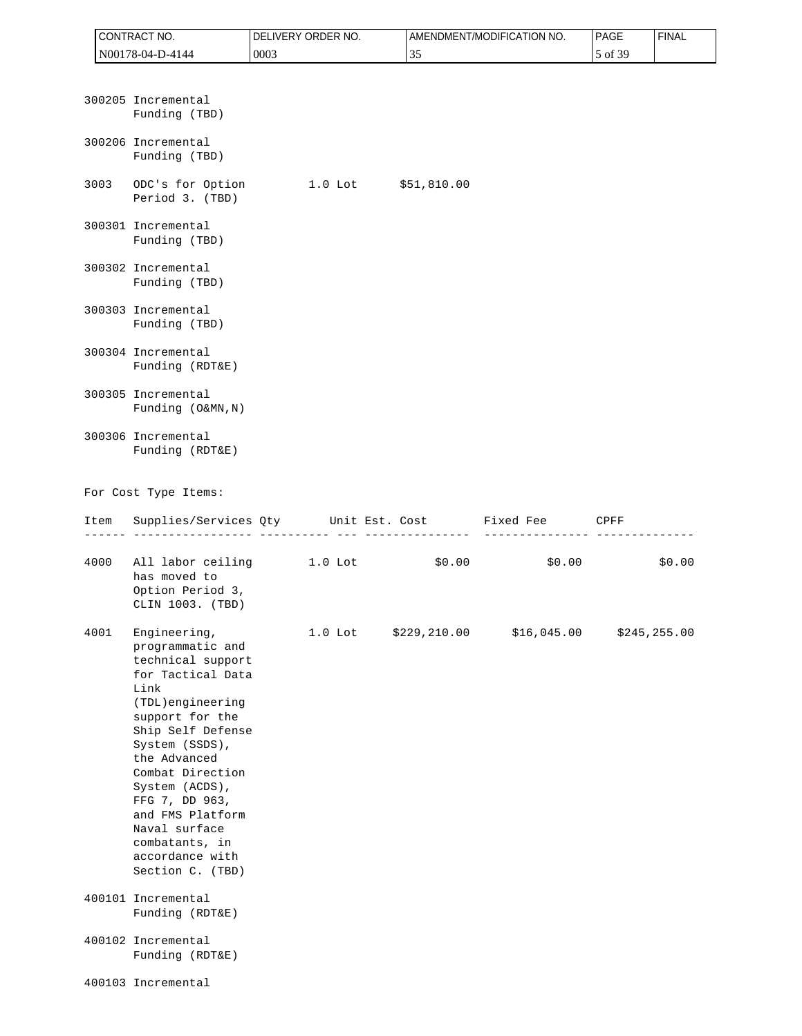|      | CONTRACT NO.<br>N00178-04-D-4144                                                                                                                                                                                                                                                                                                       | DELIVERY ORDER NO.<br>0003                                                           | 35                  | AMENDMENT/MODIFICATION NO. | <b>FINAL</b><br><b>PAGE</b><br>5 of 39 |
|------|----------------------------------------------------------------------------------------------------------------------------------------------------------------------------------------------------------------------------------------------------------------------------------------------------------------------------------------|--------------------------------------------------------------------------------------|---------------------|----------------------------|----------------------------------------|
|      |                                                                                                                                                                                                                                                                                                                                        |                                                                                      |                     |                            |                                        |
|      | 300205 Incremental<br>Funding (TBD)                                                                                                                                                                                                                                                                                                    |                                                                                      |                     |                            |                                        |
|      | 300206 Incremental<br>Funding (TBD)                                                                                                                                                                                                                                                                                                    |                                                                                      |                     |                            |                                        |
| 3003 | ODC's for Option<br>Period 3. (TBD)                                                                                                                                                                                                                                                                                                    |                                                                                      | 1.0 Lot \$51,810.00 |                            |                                        |
|      | 300301 Incremental<br>Funding (TBD)                                                                                                                                                                                                                                                                                                    |                                                                                      |                     |                            |                                        |
|      | 300302 Incremental<br>Funding (TBD)                                                                                                                                                                                                                                                                                                    |                                                                                      |                     |                            |                                        |
|      | 300303 Incremental<br>Funding (TBD)                                                                                                                                                                                                                                                                                                    |                                                                                      |                     |                            |                                        |
|      | 300304 Incremental<br>Funding (RDT&E)                                                                                                                                                                                                                                                                                                  |                                                                                      |                     |                            |                                        |
|      | 300305 Incremental<br>Funding (O&MN, N)                                                                                                                                                                                                                                                                                                |                                                                                      |                     |                            |                                        |
|      | 300306 Incremental<br>Funding (RDT&E)                                                                                                                                                                                                                                                                                                  |                                                                                      |                     |                            |                                        |
|      | For Cost Type Items:                                                                                                                                                                                                                                                                                                                   |                                                                                      |                     |                            |                                        |
| Item |                                                                                                                                                                                                                                                                                                                                        | Supplies/Services Qty Unit Est. Cost Fixed Fee CPFF<br>---------- ---------- --- --- | ------------        |                            |                                        |
| 4000 | has moved to<br>Option Period 3,<br>CLIN 1003. (TBD)                                                                                                                                                                                                                                                                                   | All labor ceiling 1.0 Lot                                                            |                     | \$0.00<br>\$0.00           | \$0.00                                 |
| 4001 | Engineering,<br>programmatic and<br>technical support<br>for Tactical Data<br>Link<br>(TDL)engineering<br>support for the<br>Ship Self Defense<br>System (SSDS),<br>the Advanced<br>Combat Direction<br>System (ACDS),<br>FFG 7, DD 963,<br>and FMS Platform<br>Naval surface<br>combatants, in<br>accordance with<br>Section C. (TBD) | $1.0$ Lot                                                                            | \$229, 210.00       | \$16,045.00                | \$245, 255.00                          |
|      | 400101 Incremental<br>Funding (RDT&E)                                                                                                                                                                                                                                                                                                  |                                                                                      |                     |                            |                                        |
|      | 400102 Incremental                                                                                                                                                                                                                                                                                                                     |                                                                                      |                     |                            |                                        |
|      | Funding (RDT&E)                                                                                                                                                                                                                                                                                                                        |                                                                                      |                     |                            |                                        |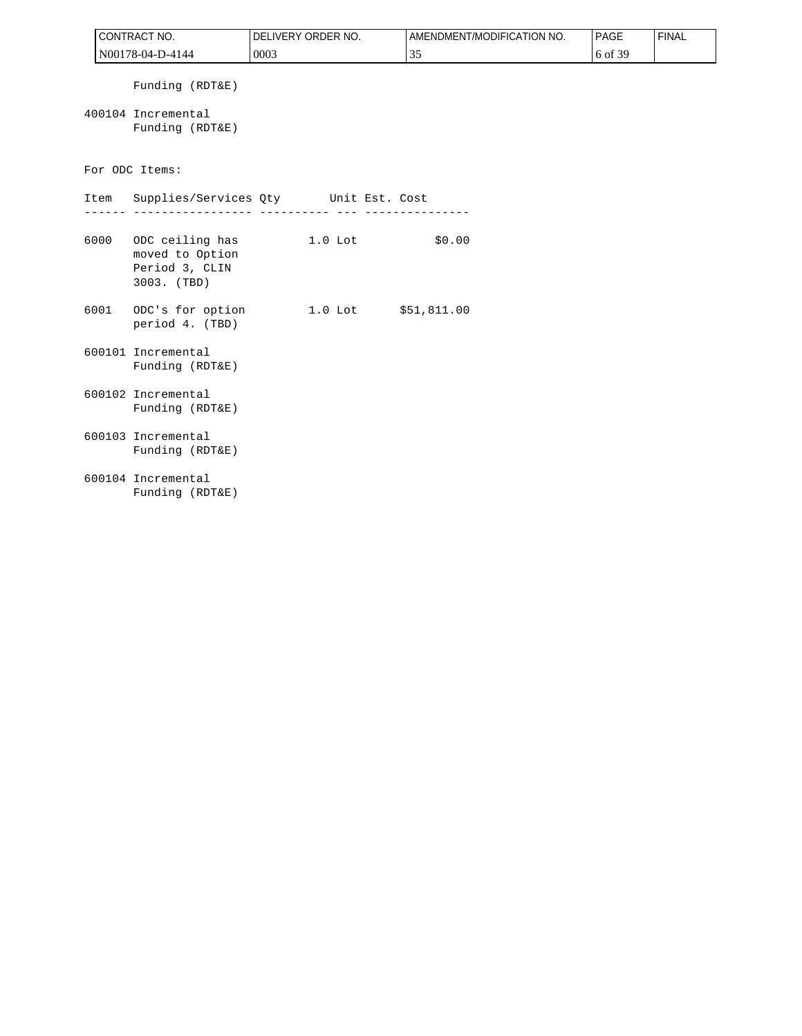| CONTRACT NO.                                     | DELIVERY ORDER NO.                                      | AMENDMENT/MODIFICATION NO. | PAGE    | <b>FINAL</b> |
|--------------------------------------------------|---------------------------------------------------------|----------------------------|---------|--------------|
| N00178-04-D-4144                                 | 0003                                                    | 35                         | 6 of 39 |              |
| Funding (RDT&E)<br>400104 Incremental            |                                                         |                            |         |              |
| Funding (RDT&E)                                  |                                                         |                            |         |              |
| For ODC Items:                                   |                                                         |                            |         |              |
|                                                  | Item Supplies/Services Qty Unit Est. Cost<br>-------- - |                            |         |              |
| moved to Option<br>Period 3, CLIN<br>3003. (TBD) | 6000 ODC ceiling has 1.0 Lot \$0.00                     |                            |         |              |
| 6001 ODC's for option<br>period 4. (TBD)         | 1.0 Lot \$51,811.00                                     |                            |         |              |
| 600101 Incremental<br>Funding (RDT&E)            |                                                         |                            |         |              |
| 600102 Incremental<br>Funding (RDT&E)            |                                                         |                            |         |              |
| 600103 Incremental<br>Funding (RDT&E)            |                                                         |                            |         |              |
| 600104 Incremental<br>Funding (RDT&E)            |                                                         |                            |         |              |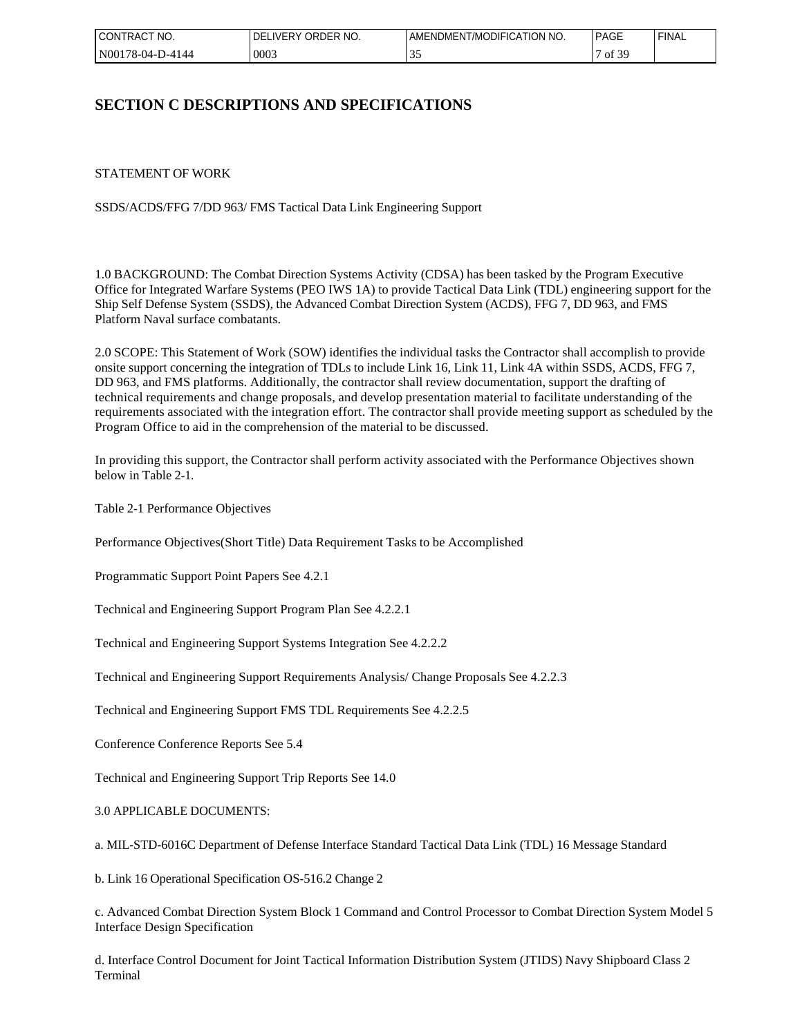| I CONTRACT NO.               | ORDER NO.<br><b>IVERY</b><br>DEI | AMENDMENT/MODIFICATION NO. | <b>PAGE</b>  | <b>FINAL</b> |
|------------------------------|----------------------------------|----------------------------|--------------|--------------|
| l N00<br>7-4144<br>' 78-04-L | 0003                             | --                         | 0.20<br>013' |              |

# **SECTION C DESCRIPTIONS AND SPECIFICATIONS**

STATEMENT OF WORK

SSDS/ACDS/FFG 7/DD 963/ FMS Tactical Data Link Engineering Support

1.0 BACKGROUND: The Combat Direction Systems Activity (CDSA) has been tasked by the Program Executive Office for Integrated Warfare Systems (PEO IWS 1A) to provide Tactical Data Link (TDL) engineering support for the Ship Self Defense System (SSDS), the Advanced Combat Direction System (ACDS), FFG 7, DD 963, and FMS Platform Naval surface combatants.

2.0 SCOPE: This Statement of Work (SOW) identifies the individual tasks the Contractor shall accomplish to provide onsite support concerning the integration of TDLs to include Link 16, Link 11, Link 4A within SSDS, ACDS, FFG 7, DD 963, and FMS platforms. Additionally, the contractor shall review documentation, support the drafting of technical requirements and change proposals, and develop presentation material to facilitate understanding of the requirements associated with the integration effort. The contractor shall provide meeting support as scheduled by the Program Office to aid in the comprehension of the material to be discussed.

In providing this support, the Contractor shall perform activity associated with the Performance Objectives shown below in Table 2-1.

Table 2-1 Performance Objectives

Performance Objectives(Short Title) Data Requirement Tasks to be Accomplished

Programmatic Support Point Papers See 4.2.1

Technical and Engineering Support Program Plan See 4.2.2.1

Technical and Engineering Support Systems Integration See 4.2.2.2

Technical and Engineering Support Requirements Analysis/ Change Proposals See 4.2.2.3

Technical and Engineering Support FMS TDL Requirements See 4.2.2.5

Conference Conference Reports See 5.4

Technical and Engineering Support Trip Reports See 14.0

3.0 APPLICABLE DOCUMENTS:

a. MIL-STD-6016C Department of Defense Interface Standard Tactical Data Link (TDL) 16 Message Standard

b. Link 16 Operational Specification OS-516.2 Change 2

c. Advanced Combat Direction System Block 1 Command and Control Processor to Combat Direction System Model 5 Interface Design Specification

d. Interface Control Document for Joint Tactical Information Distribution System (JTIDS) Navy Shipboard Class 2 Terminal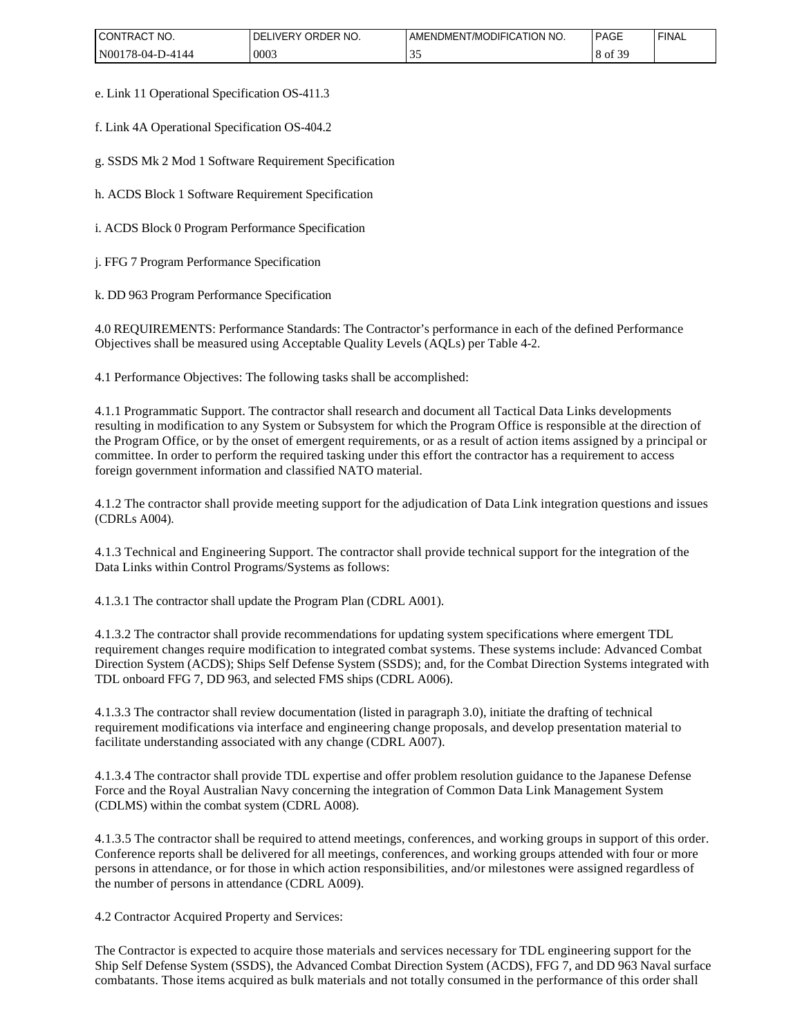| I CONTRACT<br>NO. | ORDER NO.<br>IVERY.<br>DF | 'T/MODIFICATION NO.<br><b>DMENT</b><br>AMENI | <b>PAGE</b>                    | <b>FINAL</b> |
|-------------------|---------------------------|----------------------------------------------|--------------------------------|--------------|
| N00178-04-D-4144  | 0003                      | --                                           | $\mathbf{X}$ of $\mathbf{U}$ . |              |

e. Link 11 Operational Specification OS-411.3

f. Link 4A Operational Specification OS-404.2

g. SSDS Mk 2 Mod 1 Software Requirement Specification

h. ACDS Block 1 Software Requirement Specification

i. ACDS Block 0 Program Performance Specification

j. FFG 7 Program Performance Specification

k. DD 963 Program Performance Specification

4.0 REQUIREMENTS: Performance Standards: The Contractor's performance in each of the defined Performance Objectives shall be measured using Acceptable Quality Levels (AQLs) per Table 4-2.

4.1 Performance Objectives: The following tasks shall be accomplished:

4.1.1 Programmatic Support. The contractor shall research and document all Tactical Data Links developments resulting in modification to any System or Subsystem for which the Program Office is responsible at the direction of the Program Office, or by the onset of emergent requirements, or as a result of action items assigned by a principal or committee. In order to perform the required tasking under this effort the contractor has a requirement to access foreign government information and classified NATO material.

4.1.2 The contractor shall provide meeting support for the adjudication of Data Link integration questions and issues (CDRLs A004).

4.1.3 Technical and Engineering Support. The contractor shall provide technical support for the integration of the Data Links within Control Programs/Systems as follows:

4.1.3.1 The contractor shall update the Program Plan (CDRL A001).

4.1.3.2 The contractor shall provide recommendations for updating system specifications where emergent TDL requirement changes require modification to integrated combat systems. These systems include: Advanced Combat Direction System (ACDS); Ships Self Defense System (SSDS); and, for the Combat Direction Systems integrated with TDL onboard FFG 7, DD 963, and selected FMS ships (CDRL A006).

4.1.3.3 The contractor shall review documentation (listed in paragraph 3.0), initiate the drafting of technical requirement modifications via interface and engineering change proposals, and develop presentation material to facilitate understanding associated with any change (CDRL A007).

4.1.3.4 The contractor shall provide TDL expertise and offer problem resolution guidance to the Japanese Defense Force and the Royal Australian Navy concerning the integration of Common Data Link Management System (CDLMS) within the combat system (CDRL A008).

4.1.3.5 The contractor shall be required to attend meetings, conferences, and working groups in support of this order. Conference reports shall be delivered for all meetings, conferences, and working groups attended with four or more persons in attendance, or for those in which action responsibilities, and/or milestones were assigned regardless of the number of persons in attendance (CDRL A009).

4.2 Contractor Acquired Property and Services:

The Contractor is expected to acquire those materials and services necessary for TDL engineering support for the Ship Self Defense System (SSDS), the Advanced Combat Direction System (ACDS), FFG 7, and DD 963 Naval surface combatants. Those items acquired as bulk materials and not totally consumed in the performance of this order shall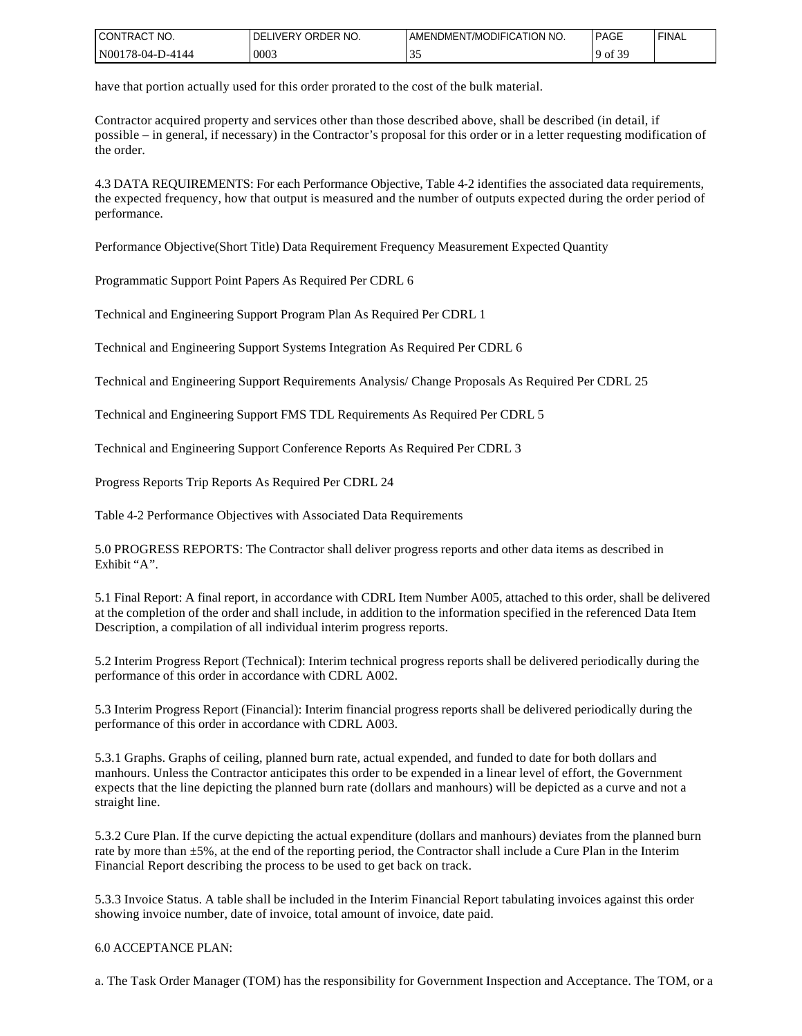| l CON<br>NO.<br>'I RAU          | `NO.<br>₹DER<br>ΩR<br>س∪∟ - | JDIFICATION '<br>NO.<br>' /MC<br>DMEN.<br>.∉I⊢NI | <b>PAGE</b>                                          | <b>FINAL</b> |
|---------------------------------|-----------------------------|--------------------------------------------------|------------------------------------------------------|--------------|
| N <sub>00</sub><br>つい<br>J-4144 | 0003                        | --                                               | $\sim$ $\sim$ $\sim$<br><b>Q</b><br>ΟĪ<br>. <u>.</u> |              |

have that portion actually used for this order prorated to the cost of the bulk material.

Contractor acquired property and services other than those described above, shall be described (in detail, if possible – in general, if necessary) in the Contractor's proposal for this order or in a letter requesting modification of the order.

4.3 DATA REQUIREMENTS: For each Performance Objective, Table 4-2 identifies the associated data requirements, the expected frequency, how that output is measured and the number of outputs expected during the order period of performance.

Performance Objective(Short Title) Data Requirement Frequency Measurement Expected Quantity

Programmatic Support Point Papers As Required Per CDRL 6

Technical and Engineering Support Program Plan As Required Per CDRL 1

Technical and Engineering Support Systems Integration As Required Per CDRL 6

Technical and Engineering Support Requirements Analysis/ Change Proposals As Required Per CDRL 25

Technical and Engineering Support FMS TDL Requirements As Required Per CDRL 5

Technical and Engineering Support Conference Reports As Required Per CDRL 3

Progress Reports Trip Reports As Required Per CDRL 24

Table 4-2 Performance Objectives with Associated Data Requirements

5.0 PROGRESS REPORTS: The Contractor shall deliver progress reports and other data items as described in Exhibit "A".

5.1 Final Report: A final report, in accordance with CDRL Item Number A005, attached to this order, shall be delivered at the completion of the order and shall include, in addition to the information specified in the referenced Data Item Description, a compilation of all individual interim progress reports.

5.2 Interim Progress Report (Technical): Interim technical progress reports shall be delivered periodically during the performance of this order in accordance with CDRL A002.

5.3 Interim Progress Report (Financial): Interim financial progress reports shall be delivered periodically during the performance of this order in accordance with CDRL A003.

5.3.1 Graphs. Graphs of ceiling, planned burn rate, actual expended, and funded to date for both dollars and manhours. Unless the Contractor anticipates this order to be expended in a linear level of effort, the Government expects that the line depicting the planned burn rate (dollars and manhours) will be depicted as a curve and not a straight line.

5.3.2 Cure Plan. If the curve depicting the actual expenditure (dollars and manhours) deviates from the planned burn rate by more than ±5%, at the end of the reporting period, the Contractor shall include a Cure Plan in the Interim Financial Report describing the process to be used to get back on track.

5.3.3 Invoice Status. A table shall be included in the Interim Financial Report tabulating invoices against this order showing invoice number, date of invoice, total amount of invoice, date paid.

#### 6.0 ACCEPTANCE PLAN:

a. The Task Order Manager (TOM) has the responsibility for Government Inspection and Acceptance. The TOM, or a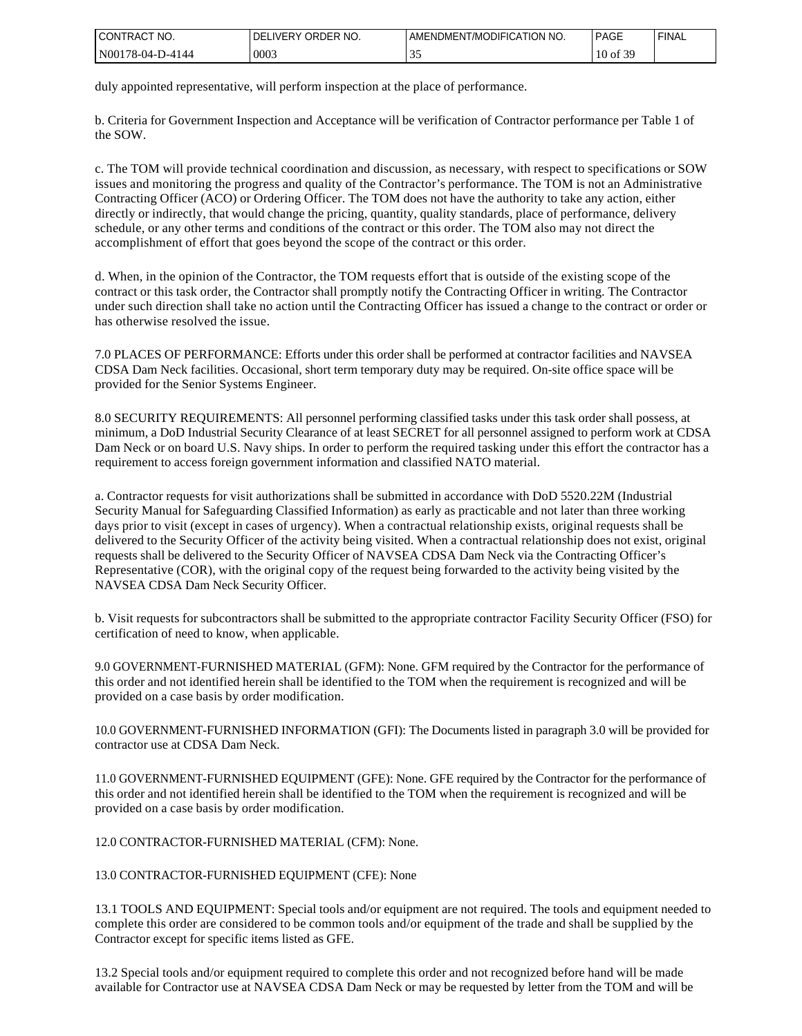| I CONTRACT<br>NO.     | ORDER NO.<br>IVERY.<br>DEI | 'T/MODIFICATION NO.<br>.∪MEN'<br>AMENI' | <b>PAGE</b>          | <b>FINAL</b> |
|-----------------------|----------------------------|-----------------------------------------|----------------------|--------------|
| N001<br>178-04-D-4144 | 0003                       | --                                      | f 20<br>10 of<br>J . |              |

duly appointed representative, will perform inspection at the place of performance.

b. Criteria for Government Inspection and Acceptance will be verification of Contractor performance per Table 1 of the SOW.

c. The TOM will provide technical coordination and discussion, as necessary, with respect to specifications or SOW issues and monitoring the progress and quality of the Contractor's performance. The TOM is not an Administrative Contracting Officer (ACO) or Ordering Officer. The TOM does not have the authority to take any action, either directly or indirectly, that would change the pricing, quantity, quality standards, place of performance, delivery schedule, or any other terms and conditions of the contract or this order. The TOM also may not direct the accomplishment of effort that goes beyond the scope of the contract or this order.

d. When, in the opinion of the Contractor, the TOM requests effort that is outside of the existing scope of the contract or this task order, the Contractor shall promptly notify the Contracting Officer in writing. The Contractor under such direction shall take no action until the Contracting Officer has issued a change to the contract or order or has otherwise resolved the issue.

7.0 PLACES OF PERFORMANCE: Efforts under this order shall be performed at contractor facilities and NAVSEA CDSA Dam Neck facilities. Occasional, short term temporary duty may be required. On-site office space will be provided for the Senior Systems Engineer.

8.0 SECURITY REQUIREMENTS: All personnel performing classified tasks under this task order shall possess, at minimum, a DoD Industrial Security Clearance of at least SECRET for all personnel assigned to perform work at CDSA Dam Neck or on board U.S. Navy ships. In order to perform the required tasking under this effort the contractor has a requirement to access foreign government information and classified NATO material.

a. Contractor requests for visit authorizations shall be submitted in accordance with DoD 5520.22M (Industrial Security Manual for Safeguarding Classified Information) as early as practicable and not later than three working days prior to visit (except in cases of urgency). When a contractual relationship exists, original requests shall be delivered to the Security Officer of the activity being visited. When a contractual relationship does not exist, original requests shall be delivered to the Security Officer of NAVSEA CDSA Dam Neck via the Contracting Officer's Representative (COR), with the original copy of the request being forwarded to the activity being visited by the NAVSEA CDSA Dam Neck Security Officer.

b. Visit requests for subcontractors shall be submitted to the appropriate contractor Facility Security Officer (FSO) for certification of need to know, when applicable.

9.0 GOVERNMENT-FURNISHED MATERIAL (GFM): None. GFM required by the Contractor for the performance of this order and not identified herein shall be identified to the TOM when the requirement is recognized and will be provided on a case basis by order modification.

10.0 GOVERNMENT-FURNISHED INFORMATION (GFI): The Documents listed in paragraph 3.0 will be provided for contractor use at CDSA Dam Neck.

11.0 GOVERNMENT-FURNISHED EQUIPMENT (GFE): None. GFE required by the Contractor for the performance of this order and not identified herein shall be identified to the TOM when the requirement is recognized and will be provided on a case basis by order modification.

12.0 CONTRACTOR-FURNISHED MATERIAL (CFM): None.

13.0 CONTRACTOR-FURNISHED EQUIPMENT (CFE): None

13.1 TOOLS AND EQUIPMENT: Special tools and/or equipment are not required. The tools and equipment needed to complete this order are considered to be common tools and/or equipment of the trade and shall be supplied by the Contractor except for specific items listed as GFE.

13.2 Special tools and/or equipment required to complete this order and not recognized before hand will be made available for Contractor use at NAVSEA CDSA Dam Neck or may be requested by letter from the TOM and will be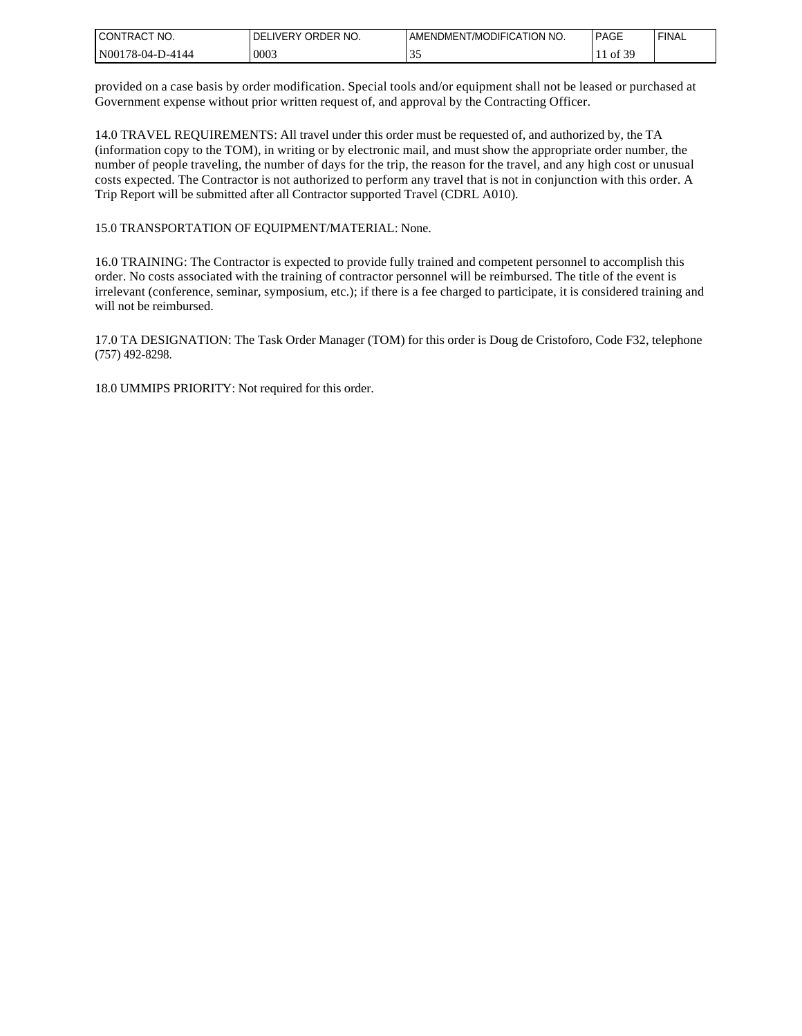| I CONTRACT<br>NO.       | ORDER NO.<br><b>IVERY</b><br>DF | <b>ITION NO.</b><br>T/MODIFICA<br>AMENDMENT | <b>PAGE</b> | <b>FINAL</b> |
|-------------------------|---------------------------------|---------------------------------------------|-------------|--------------|
| N00<br>78-04-<br>1-4144 | 0003                            | - -                                         | f 3C<br>-01 |              |

provided on a case basis by order modification. Special tools and/or equipment shall not be leased or purchased at Government expense without prior written request of, and approval by the Contracting Officer.

14.0 TRAVEL REQUIREMENTS: All travel under this order must be requested of, and authorized by, the TA (information copy to the TOM), in writing or by electronic mail, and must show the appropriate order number, the number of people traveling, the number of days for the trip, the reason for the travel, and any high cost or unusual costs expected. The Contractor is not authorized to perform any travel that is not in conjunction with this order. A Trip Report will be submitted after all Contractor supported Travel (CDRL A010).

15.0 TRANSPORTATION OF EQUIPMENT/MATERIAL: None.

16.0 TRAINING: The Contractor is expected to provide fully trained and competent personnel to accomplish this order. No costs associated with the training of contractor personnel will be reimbursed. The title of the event is irrelevant (conference, seminar, symposium, etc.); if there is a fee charged to participate, it is considered training and will not be reimbursed.

17.0 TA DESIGNATION: The Task Order Manager (TOM) for this order is Doug de Cristoforo, Code F32, telephone (757) 492-8298.

18.0 UMMIPS PRIORITY: Not required for this order.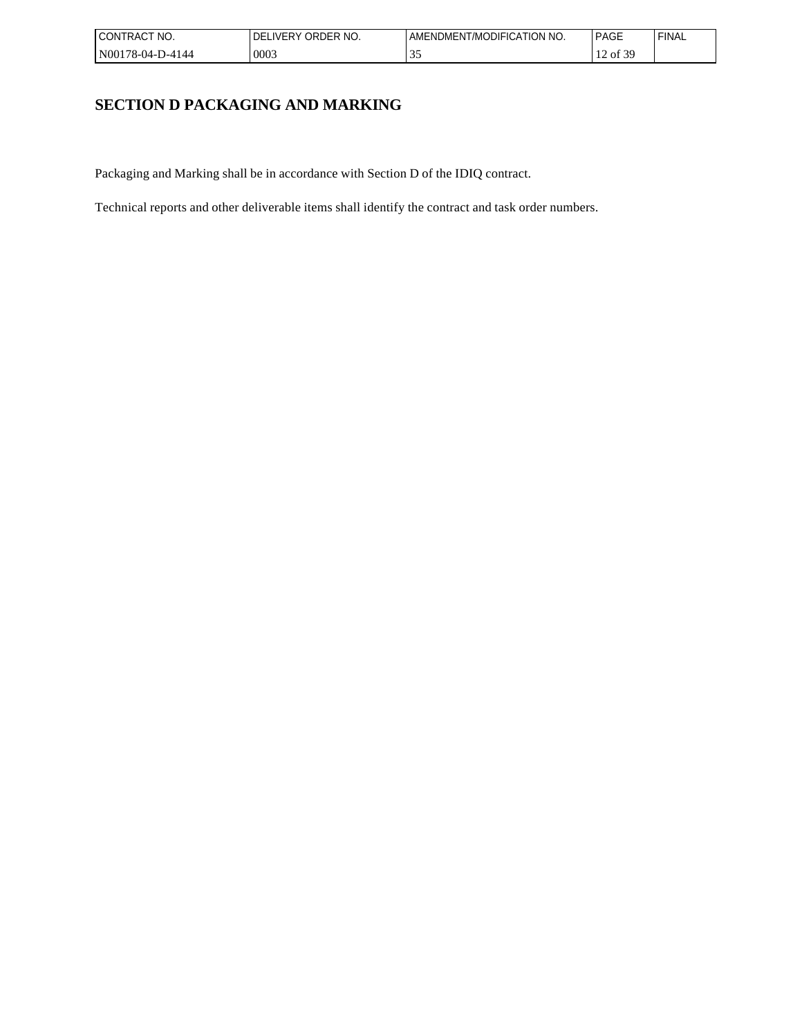| <b>CON</b><br>NO.<br>' I RAC        | ORDER NO.<br><b>IVER</b><br>-ا ( | NO.<br><b>ODIFICATION</b><br>AMENDMENT<br>7MC | <b>PAGE</b>         | <b>FINAL</b> |
|-------------------------------------|----------------------------------|-----------------------------------------------|---------------------|--------------|
| N <sub>00</sub><br>78-04-<br>1-4144 | 0003                             | - -                                           | c 20<br>' 01<br>. . |              |

# **SECTION D PACKAGING AND MARKING**

Packaging and Marking shall be in accordance with Section D of the IDIQ contract.

Technical reports and other deliverable items shall identify the contract and task order numbers.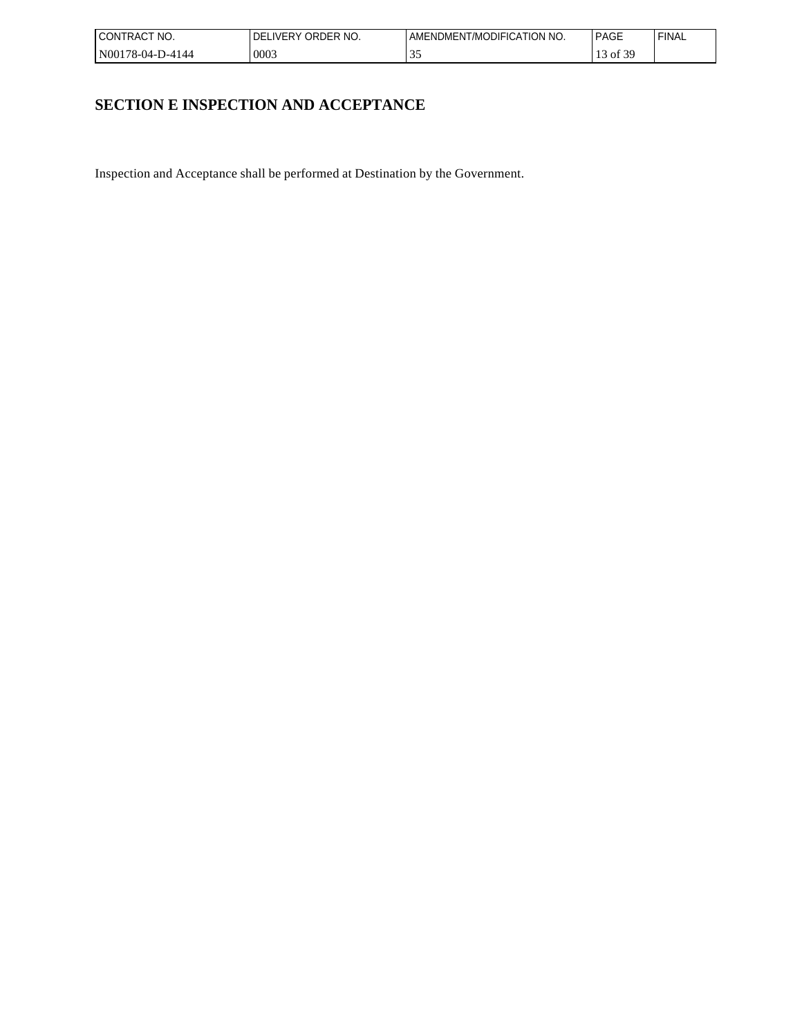| l CONTRACT<br>NO.                 | ORDER NO.<br><b>IVERY</b><br>DF | <i>IODIFICATION NO.</i><br>l /MC<br>DMEN.<br>AMENL' | <b>PAGE</b>                              | <b>FINAL</b> |
|-----------------------------------|---------------------------------|-----------------------------------------------------|------------------------------------------|--------------|
| l N00<br>$1.6 - 04 - 1$<br>1-4144 | 0003                            | <u>. .</u>                                          | $\sim$<br>ΟĪ<br>$\overline{\phantom{a}}$ |              |

# **SECTION E INSPECTION AND ACCEPTANCE**

Inspection and Acceptance shall be performed at Destination by the Government.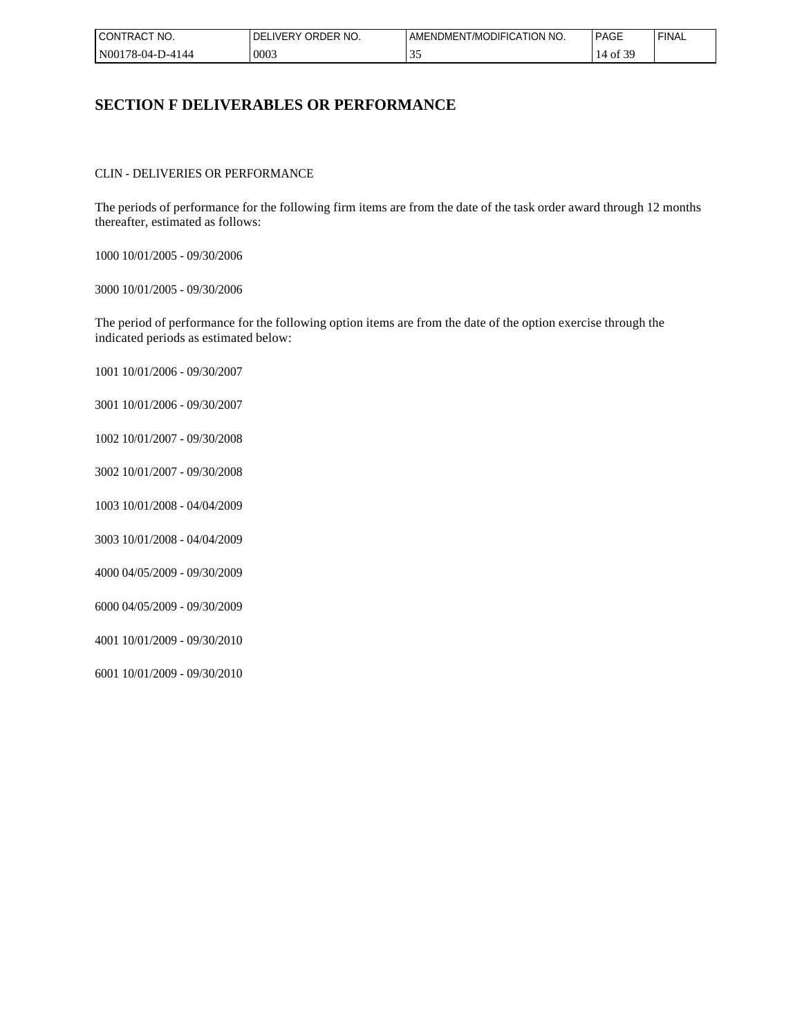| l CONTRACT<br>NO.                 | ORDER NO.<br><b>IVERY</b><br>DF | <i>IODIFICATION NO.</i><br>l /MC<br>DMEN.<br>AMENL' | <b>PAGE</b>  | <b>FINAL</b> |
|-----------------------------------|---------------------------------|-----------------------------------------------------|--------------|--------------|
| l N00<br>$1.6 - 04 - 1$<br>1-4144 | 0003                            | <u>. .</u>                                          | $\sim$<br>Οİ |              |

## **SECTION F DELIVERABLES OR PERFORMANCE**

CLIN - DELIVERIES OR PERFORMANCE

The periods of performance for the following firm items are from the date of the task order award through 12 months thereafter, estimated as follows:

1000 10/01/2005 - 09/30/2006

3000 10/01/2005 - 09/30/2006

The period of performance for the following option items are from the date of the option exercise through the indicated periods as estimated below:

1001 10/01/2006 - 09/30/2007

3001 10/01/2006 - 09/30/2007

1002 10/01/2007 - 09/30/2008

3002 10/01/2007 - 09/30/2008

1003 10/01/2008 - 04/04/2009

3003 10/01/2008 - 04/04/2009

4000 04/05/2009 - 09/30/2009

6000 04/05/2009 - 09/30/2009

4001 10/01/2009 - 09/30/2010

6001 10/01/2009 - 09/30/2010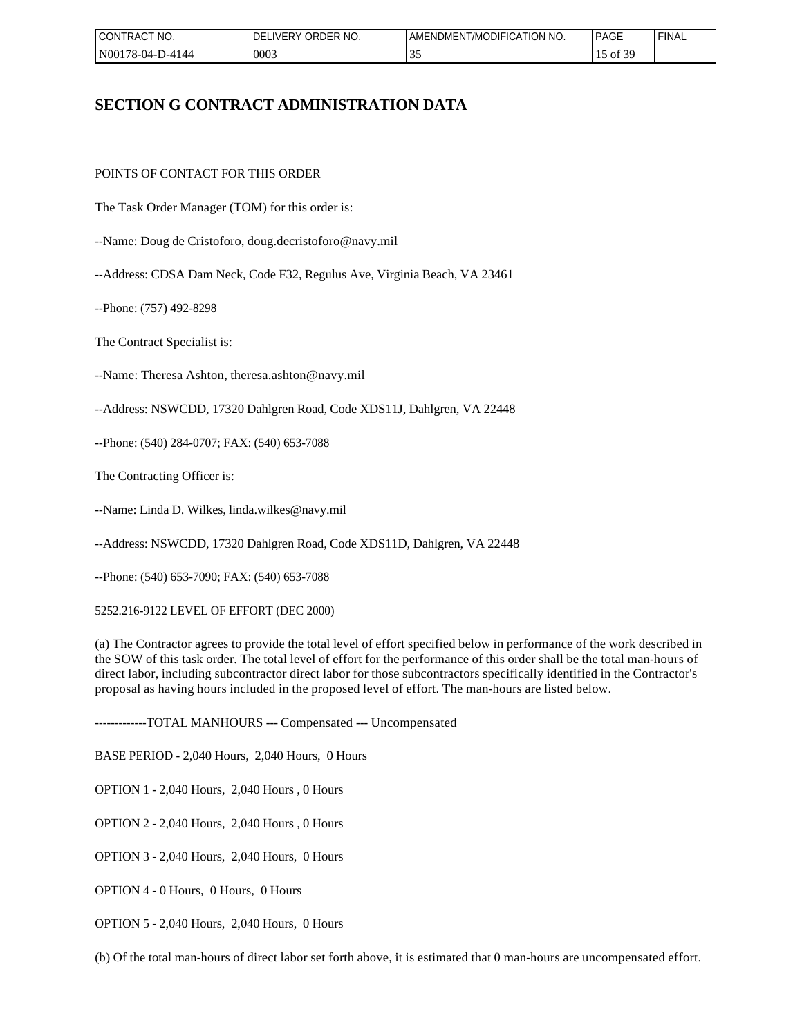| I CONTRACT NO.           | ORDER NO.<br><b>IVERY</b><br>DEI | AMENDMENT/MODIFICATION NO. | <b>PAGE</b>                          | <b>FINAL</b> |
|--------------------------|----------------------------------|----------------------------|--------------------------------------|--------------|
| N00<br>D-4144<br>78-04-L | 0003                             | --                         | e oc<br>ΟĪ<br><u>لى</u><br><b>TD</b> |              |

# **SECTION G CONTRACT ADMINISTRATION DATA**

POINTS OF CONTACT FOR THIS ORDER

The Task Order Manager (TOM) for this order is:

--Name: Doug de Cristoforo, doug.decristoforo@navy.mil

--Address: CDSA Dam Neck, Code F32, Regulus Ave, Virginia Beach, VA 23461

--Phone: (757) 492-8298

The Contract Specialist is:

--Name: Theresa Ashton, theresa.ashton@navy.mil

--Address: NSWCDD, 17320 Dahlgren Road, Code XDS11J, Dahlgren, VA 22448

--Phone: (540) 284-0707; FAX: (540) 653-7088

The Contracting Officer is:

--Name: Linda D. Wilkes, linda.wilkes@navy.mil

--Address: NSWCDD, 17320 Dahlgren Road, Code XDS11D, Dahlgren, VA 22448

--Phone: (540) 653-7090; FAX: (540) 653-7088

5252.216-9122 LEVEL OF EFFORT (DEC 2000)

(a) The Contractor agrees to provide the total level of effort specified below in performance of the work described in the SOW of this task order. The total level of effort for the performance of this order shall be the total man-hours of direct labor, including subcontractor direct labor for those subcontractors specifically identified in the Contractor's proposal as having hours included in the proposed level of effort. The man-hours are listed below.

-------------TOTAL MANHOURS --- Compensated --- Uncompensated

BASE PERIOD - 2,040 Hours, 2,040 Hours, 0 Hours

OPTION 1 - 2,040 Hours, 2,040 Hours , 0 Hours

OPTION 2 - 2,040 Hours, 2,040 Hours , 0 Hours

OPTION 3 - 2,040 Hours, 2,040 Hours, 0 Hours

OPTION 4 - 0 Hours, 0 Hours, 0 Hours

OPTION 5 - 2,040 Hours, 2,040 Hours, 0 Hours

(b) Of the total man-hours of direct labor set forth above, it is estimated that 0 man-hours are uncompensated effort.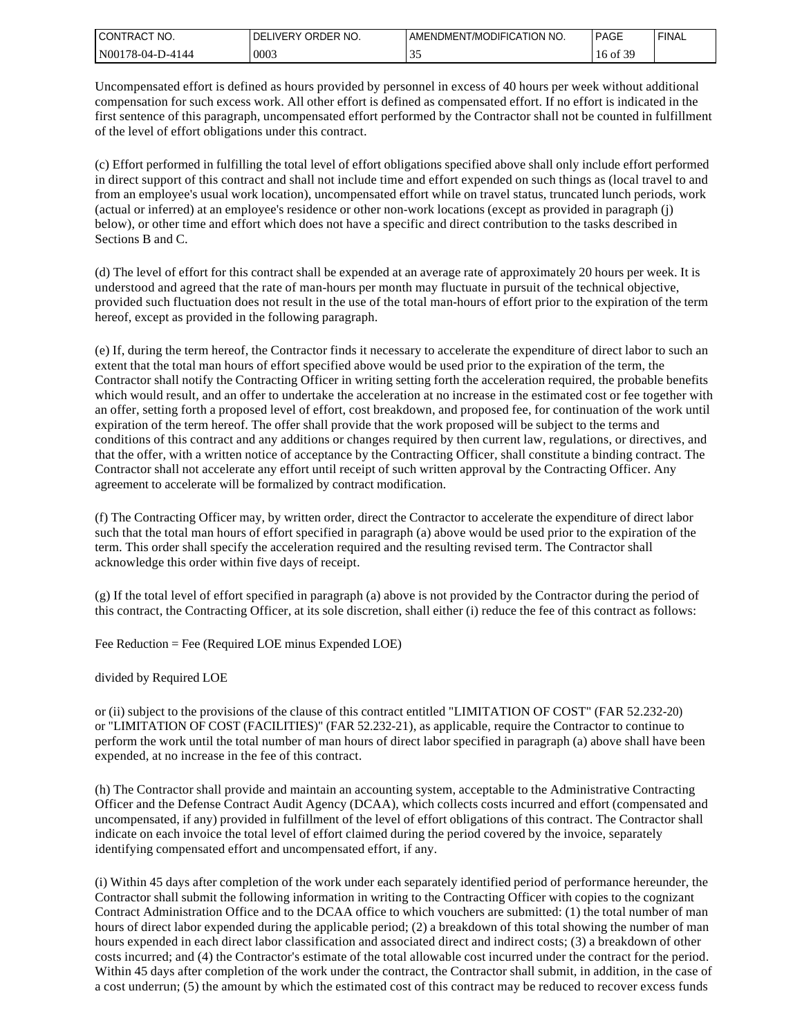| l CONTRACT<br>NO.     | ORDER NO.<br>IVERY.<br>DFI | T/MODIFICATION NO.<br>DMEN!<br>AMENI | <b>PAGE</b>               | <b>FINAL</b> |
|-----------------------|----------------------------|--------------------------------------|---------------------------|--------------|
| N001<br>178-04-D-4144 | 0003                       | ັ້                                   | f 20<br>- of<br>10<br>J., |              |

Uncompensated effort is defined as hours provided by personnel in excess of 40 hours per week without additional compensation for such excess work. All other effort is defined as compensated effort. If no effort is indicated in the first sentence of this paragraph, uncompensated effort performed by the Contractor shall not be counted in fulfillment of the level of effort obligations under this contract.

(c) Effort performed in fulfilling the total level of effort obligations specified above shall only include effort performed in direct support of this contract and shall not include time and effort expended on such things as (local travel to and from an employee's usual work location), uncompensated effort while on travel status, truncated lunch periods, work (actual or inferred) at an employee's residence or other non-work locations (except as provided in paragraph (j) below), or other time and effort which does not have a specific and direct contribution to the tasks described in Sections B and C.

(d) The level of effort for this contract shall be expended at an average rate of approximately 20 hours per week. It is understood and agreed that the rate of man-hours per month may fluctuate in pursuit of the technical objective, provided such fluctuation does not result in the use of the total man-hours of effort prior to the expiration of the term hereof, except as provided in the following paragraph.

(e) If, during the term hereof, the Contractor finds it necessary to accelerate the expenditure of direct labor to such an extent that the total man hours of effort specified above would be used prior to the expiration of the term, the Contractor shall notify the Contracting Officer in writing setting forth the acceleration required, the probable benefits which would result, and an offer to undertake the acceleration at no increase in the estimated cost or fee together with an offer, setting forth a proposed level of effort, cost breakdown, and proposed fee, for continuation of the work until expiration of the term hereof. The offer shall provide that the work proposed will be subject to the terms and conditions of this contract and any additions or changes required by then current law, regulations, or directives, and that the offer, with a written notice of acceptance by the Contracting Officer, shall constitute a binding contract. The Contractor shall not accelerate any effort until receipt of such written approval by the Contracting Officer. Any agreement to accelerate will be formalized by contract modification.

(f) The Contracting Officer may, by written order, direct the Contractor to accelerate the expenditure of direct labor such that the total man hours of effort specified in paragraph (a) above would be used prior to the expiration of the term. This order shall specify the acceleration required and the resulting revised term. The Contractor shall acknowledge this order within five days of receipt.

(g) If the total level of effort specified in paragraph (a) above is not provided by the Contractor during the period of this contract, the Contracting Officer, at its sole discretion, shall either (i) reduce the fee of this contract as follows:

Fee Reduction = Fee (Required LOE minus Expended LOE)

divided by Required LOE

or (ii) subject to the provisions of the clause of this contract entitled "LIMITATION OF COST" (FAR 52.232-20) or "LIMITATION OF COST (FACILITIES)" (FAR 52.232-21), as applicable, require the Contractor to continue to perform the work until the total number of man hours of direct labor specified in paragraph (a) above shall have been expended, at no increase in the fee of this contract.

(h) The Contractor shall provide and maintain an accounting system, acceptable to the Administrative Contracting Officer and the Defense Contract Audit Agency (DCAA), which collects costs incurred and effort (compensated and uncompensated, if any) provided in fulfillment of the level of effort obligations of this contract. The Contractor shall indicate on each invoice the total level of effort claimed during the period covered by the invoice, separately identifying compensated effort and uncompensated effort, if any.

(i) Within 45 days after completion of the work under each separately identified period of performance hereunder, the Contractor shall submit the following information in writing to the Contracting Officer with copies to the cognizant Contract Administration Office and to the DCAA office to which vouchers are submitted: (1) the total number of man hours of direct labor expended during the applicable period; (2) a breakdown of this total showing the number of man hours expended in each direct labor classification and associated direct and indirect costs; (3) a breakdown of other costs incurred; and (4) the Contractor's estimate of the total allowable cost incurred under the contract for the period. Within 45 days after completion of the work under the contract, the Contractor shall submit, in addition, in the case of a cost underrun; (5) the amount by which the estimated cost of this contract may be reduced to recover excess funds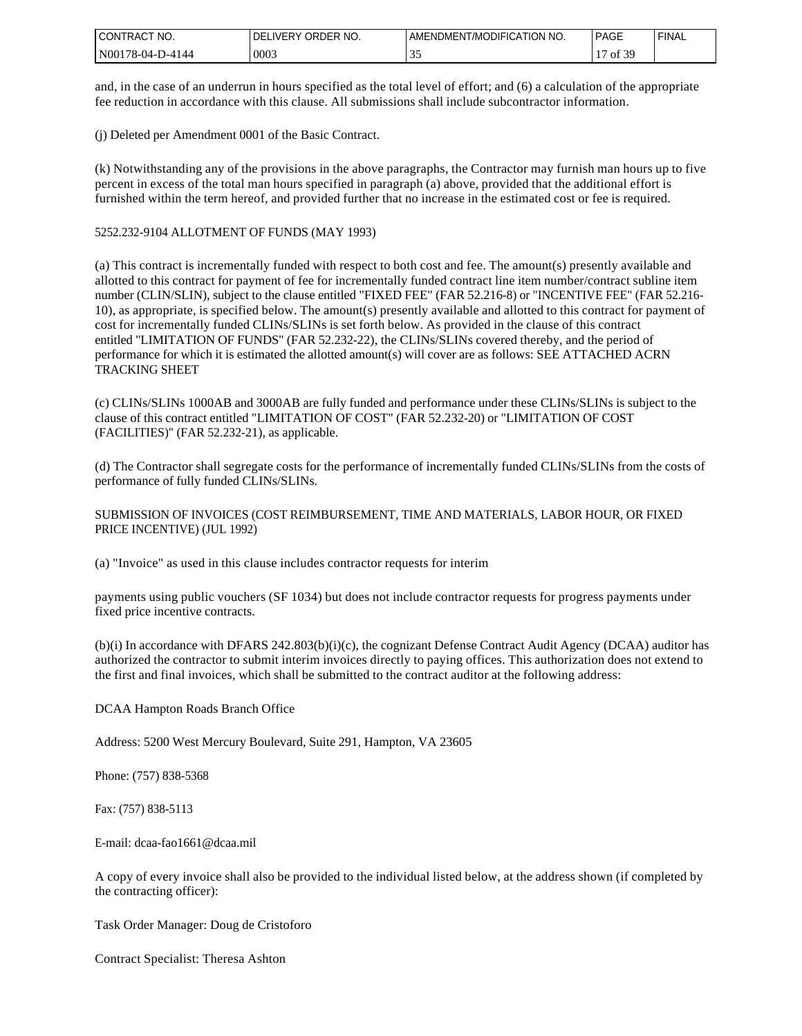| I CONTRACT<br>NO.     | ORDER NO.<br>DFI<br>.IVERY | ATION NO.<br>T/MODIFICA<br>AMENDMENT | <b>PAGE</b> | <b>FINAL</b> |
|-----------------------|----------------------------|--------------------------------------|-------------|--------------|
| N001<br>178-04-D-4144 | 0003                       | ◡                                    | ີ 20<br>0İ  |              |

and, in the case of an underrun in hours specified as the total level of effort; and (6) a calculation of the appropriate fee reduction in accordance with this clause. All submissions shall include subcontractor information.

(j) Deleted per Amendment 0001 of the Basic Contract.

(k) Notwithstanding any of the provisions in the above paragraphs, the Contractor may furnish man hours up to five percent in excess of the total man hours specified in paragraph (a) above, provided that the additional effort is furnished within the term hereof, and provided further that no increase in the estimated cost or fee is required.

#### 5252.232-9104 ALLOTMENT OF FUNDS (MAY 1993)

(a) This contract is incrementally funded with respect to both cost and fee. The amount(s) presently available and allotted to this contract for payment of fee for incrementally funded contract line item number/contract subline item number (CLIN/SLIN), subject to the clause entitled "FIXED FEE" (FAR 52.216-8) or "INCENTIVE FEE" (FAR 52.216- 10), as appropriate, is specified below. The amount(s) presently available and allotted to this contract for payment of cost for incrementally funded CLINs/SLINs is set forth below. As provided in the clause of this contract entitled "LIMITATION OF FUNDS" (FAR 52.232-22), the CLINs/SLINs covered thereby, and the period of performance for which it is estimated the allotted amount(s) will cover are as follows: SEE ATTACHED ACRN TRACKING SHEET

(c) CLINs/SLINs 1000AB and 3000AB are fully funded and performance under these CLINs/SLINs is subject to the clause of this contract entitled "LIMITATION OF COST" (FAR 52.232-20) or "LIMITATION OF COST (FACILITIES)" (FAR 52.232-21), as applicable.

(d) The Contractor shall segregate costs for the performance of incrementally funded CLINs/SLINs from the costs of performance of fully funded CLINs/SLINs.

SUBMISSION OF INVOICES (COST REIMBURSEMENT, TIME AND MATERIALS, LABOR HOUR, OR FIXED PRICE INCENTIVE) (JUL 1992)

(a) "Invoice" as used in this clause includes contractor requests for interim

payments using public vouchers (SF 1034) but does not include contractor requests for progress payments under fixed price incentive contracts.

 $(b)(i)$  In accordance with DFARS 242.803 $(b)(i)(c)$ , the cognizant Defense Contract Audit Agency (DCAA) auditor has authorized the contractor to submit interim invoices directly to paying offices. This authorization does not extend to the first and final invoices, which shall be submitted to the contract auditor at the following address:

DCAA Hampton Roads Branch Office

Address: 5200 West Mercury Boulevard, Suite 291, Hampton, VA 23605

Phone: (757) 838-5368

Fax: (757) 838-5113

E-mail: dcaa-fao1661@dcaa.mil

A copy of every invoice shall also be provided to the individual listed below, at the address shown (if completed by the contracting officer):

Task Order Manager: Doug de Cristoforo

Contract Specialist: Theresa Ashton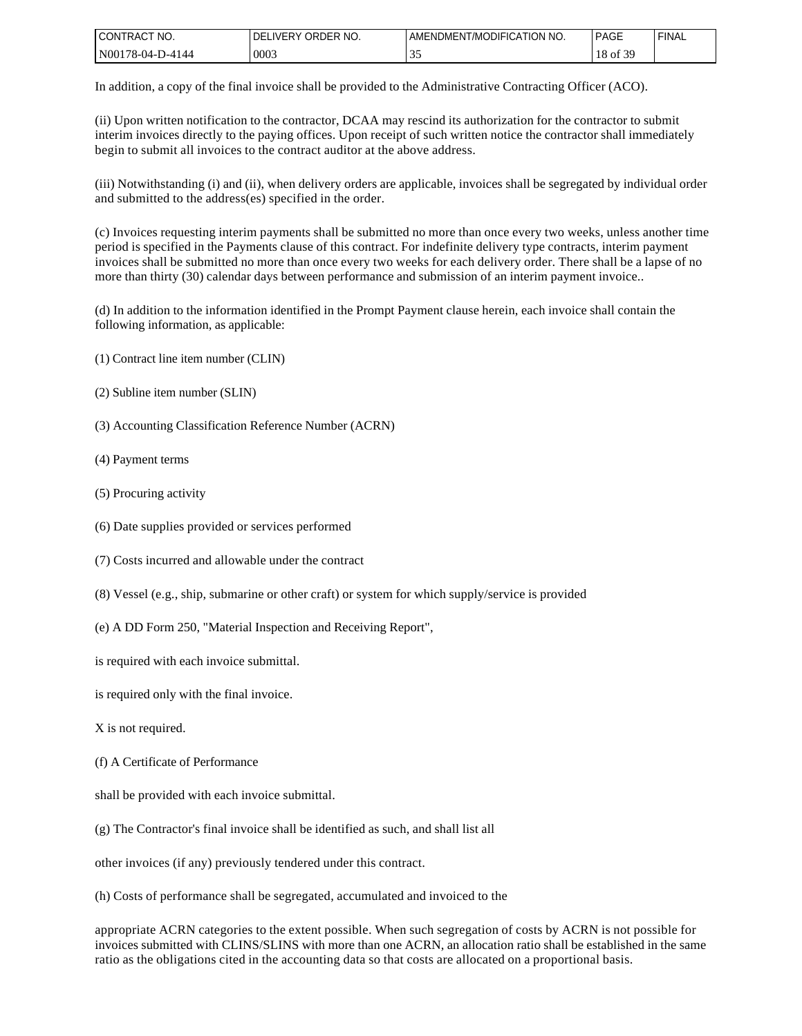| CT NO.<br><b><i>I</i>CONTP</b><br>IIRACI | ORDER NO.<br>.VFRY<br>DF | <b>ITION NO.</b><br><b>T/MODIFICA</b><br>AMENDMENT | <b>PAGE</b>               | <b>FINAL</b> |
|------------------------------------------|--------------------------|----------------------------------------------------|---------------------------|--------------|
| 'N00178-<br>7-4144<br>∩⊿<br>$\sim$<br>.  | 0003                     | ັ້                                                 | $\sim$<br>$\sim$<br>10 OI |              |

In addition, a copy of the final invoice shall be provided to the Administrative Contracting Officer (ACO).

(ii) Upon written notification to the contractor, DCAA may rescind its authorization for the contractor to submit interim invoices directly to the paying offices. Upon receipt of such written notice the contractor shall immediately begin to submit all invoices to the contract auditor at the above address.

(iii) Notwithstanding (i) and (ii), when delivery orders are applicable, invoices shall be segregated by individual order and submitted to the address(es) specified in the order.

(c) Invoices requesting interim payments shall be submitted no more than once every two weeks, unless another time period is specified in the Payments clause of this contract. For indefinite delivery type contracts, interim payment invoices shall be submitted no more than once every two weeks for each delivery order. There shall be a lapse of no more than thirty (30) calendar days between performance and submission of an interim payment invoice..

(d) In addition to the information identified in the Prompt Payment clause herein, each invoice shall contain the following information, as applicable:

- (1) Contract line item number (CLIN)
- (2) Subline item number (SLIN)
- (3) Accounting Classification Reference Number (ACRN)
- (4) Payment terms
- (5) Procuring activity
- (6) Date supplies provided or services performed
- (7) Costs incurred and allowable under the contract
- (8) Vessel (e.g., ship, submarine or other craft) or system for which supply/service is provided
- (e) A DD Form 250, "Material Inspection and Receiving Report",
- is required with each invoice submittal.
- is required only with the final invoice.
- X is not required.
- (f) A Certificate of Performance

shall be provided with each invoice submittal.

(g) The Contractor's final invoice shall be identified as such, and shall list all

other invoices (if any) previously tendered under this contract.

(h) Costs of performance shall be segregated, accumulated and invoiced to the

appropriate ACRN categories to the extent possible. When such segregation of costs by ACRN is not possible for invoices submitted with CLINS/SLINS with more than one ACRN, an allocation ratio shall be established in the same ratio as the obligations cited in the accounting data so that costs are allocated on a proportional basis.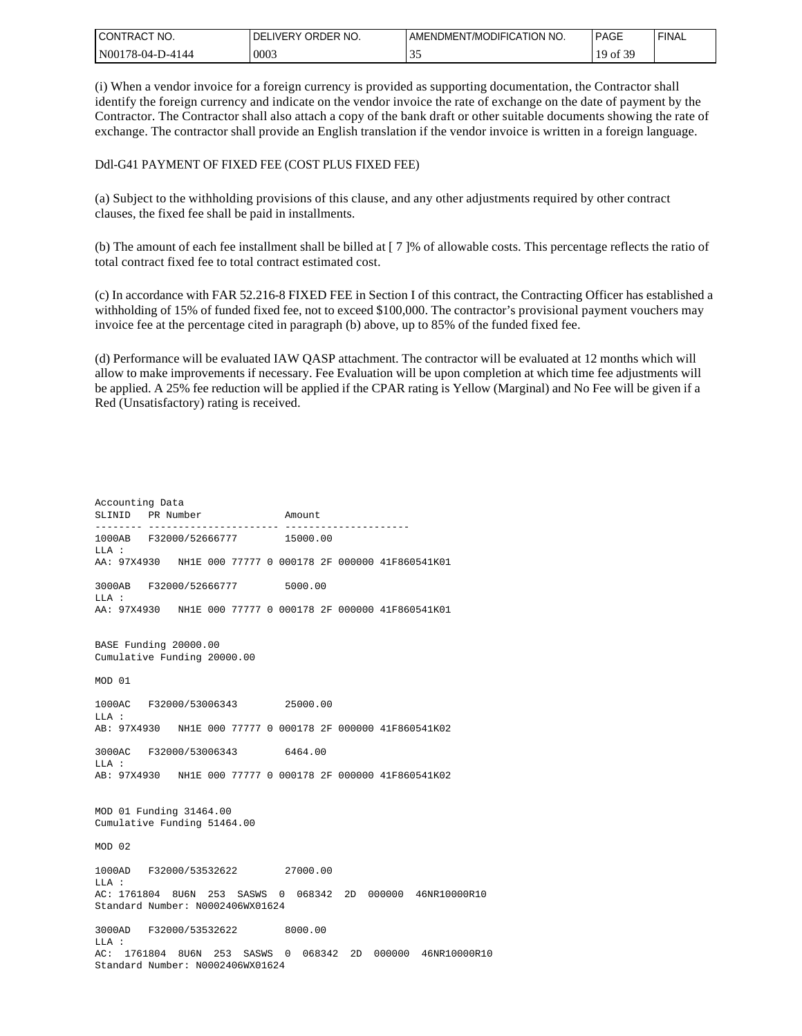| I CONTRACT NO.   | ! DELIVERY ORDER NO. | I AMENDMENT/MODIFICATION NO. | PAGE     | ' FINAL |
|------------------|----------------------|------------------------------|----------|---------|
| N00178-04-D-4144 | 0003                 | $\sim$<br>ັ້                 | 19 of 39 |         |

(i) When a vendor invoice for a foreign currency is provided as supporting documentation, the Contractor shall identify the foreign currency and indicate on the vendor invoice the rate of exchange on the date of payment by the Contractor. The Contractor shall also attach a copy of the bank draft or other suitable documents showing the rate of exchange. The contractor shall provide an English translation if the vendor invoice is written in a foreign language.

Ddl-G41 PAYMENT OF FIXED FEE (COST PLUS FIXED FEE)

(a) Subject to the withholding provisions of this clause, and any other adjustments required by other contract clauses, the fixed fee shall be paid in installments.

(b) The amount of each fee installment shall be billed at [ 7 ]% of allowable costs. This percentage reflects the ratio of total contract fixed fee to total contract estimated cost.

(c) In accordance with FAR 52.216-8 FIXED FEE in Section I of this contract, the Contracting Officer has established a withholding of 15% of funded fixed fee, not to exceed \$100,000. The contractor's provisional payment vouchers may invoice fee at the percentage cited in paragraph (b) above, up to 85% of the funded fixed fee.

(d) Performance will be evaluated IAW QASP attachment. The contractor will be evaluated at 12 months which will allow to make improvements if necessary. Fee Evaluation will be upon completion at which time fee adjustments will be applied. A 25% fee reduction will be applied if the CPAR rating is Yellow (Marginal) and No Fee will be given if a Red (Unsatisfactory) rating is received.

Accounting Data SLINID PR Number Amount -------- ---------------------- --------------------- 1000AB F32000/52666777 15000.00 LLA : AA: 97X4930 NH1E 000 77777 0 000178 2F 000000 41F860541K01 3000AB F32000/52666777 5000.00 LLA : AA: 97X4930 NH1E 000 77777 0 000178 2F 000000 41F860541K01 BASE Funding 20000.00 Cumulative Funding 20000.00 MOD 01 1000AC F32000/53006343 25000.00 LLA : AB: 97X4930 NH1E 000 77777 0 000178 2F 000000 41F860541K02 3000AC F32000/53006343 6464.00 LLA : AB: 97X4930 NH1E 000 77777 0 000178 2F 000000 41F860541K02 MOD 01 Funding 31464.00 Cumulative Funding 51464.00 MOD 02 1000AD F32000/53532622 27000.00 LLA : AC: 1761804 8U6N 253 SASWS 0 068342 2D 000000 46NR10000R10 Standard Number: N0002406WX01624 3000AD F32000/53532622 8000.00 LLA : AC: 1761804 8U6N 253 SASWS 0 068342 2D 000000 46NR10000R10 Standard Number: N0002406WX01624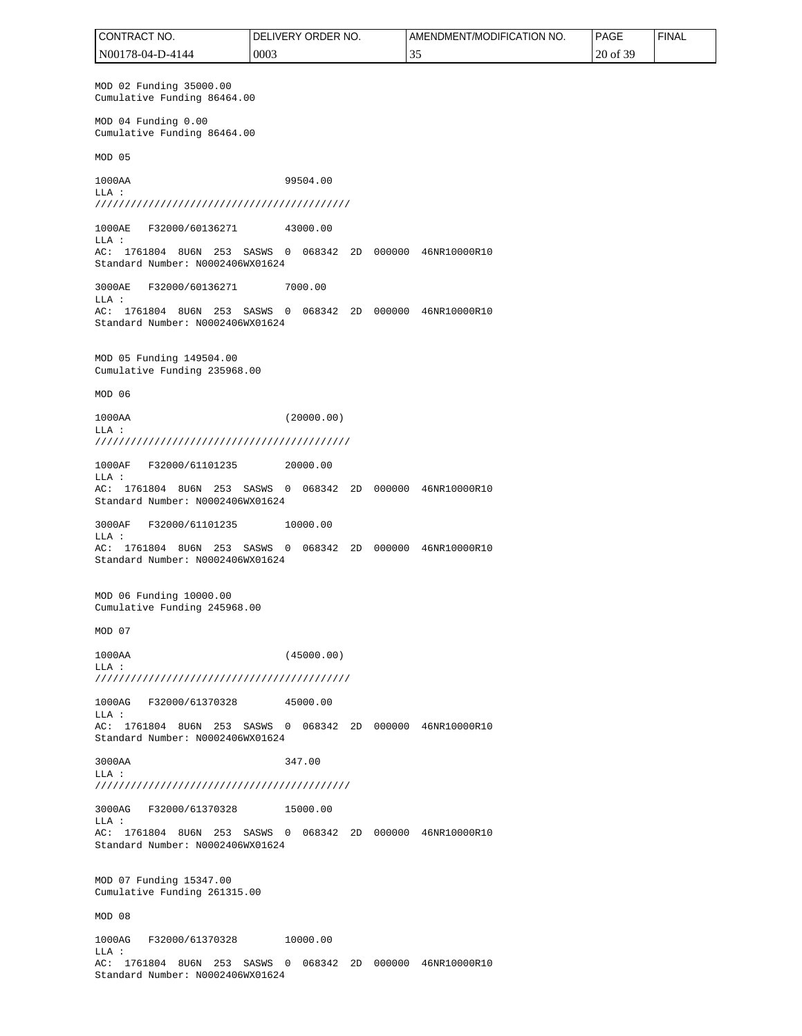| CONTRACT NO.                                                                                   | DELIVERY ORDER NO. |        | AMENDMENT/MODIFICATION NO. | <b>PAGE</b> | <b>FINAL</b> |
|------------------------------------------------------------------------------------------------|--------------------|--------|----------------------------|-------------|--------------|
| N00178-04-D-4144                                                                               | 0003               |        | 35                         | 20 of 39    |              |
| MOD 02 Funding 35000.00<br>Cumulative Funding 86464.00                                         |                    |        |                            |             |              |
| MOD 04 Funding 0.00<br>Cumulative Funding 86464.00                                             |                    |        |                            |             |              |
| MOD 05                                                                                         |                    |        |                            |             |              |
| 1000AA                                                                                         | 99504.00           |        |                            |             |              |
| LLA :                                                                                          |                    |        |                            |             |              |
| 1000AE<br>F32000/60136271<br>LLA :                                                             | 43000.00           |        |                            |             |              |
| AC: 1761804 8U6N 253 SASWS 0 068342<br>Standard Number: N0002406WX01624                        | 2D                 | 000000 | 46NR10000R10               |             |              |
| 3000AE<br>F32000/60136271<br>LLA :                                                             | 7000.00            |        |                            |             |              |
| AC: 1761804 8U6N 253 SASWS<br>Standard Number: N0002406WX01624                                 | 0 068342           |        | 2D 000000 46NR10000R10     |             |              |
| MOD 05 Funding 149504.00<br>Cumulative Funding 235968.00                                       |                    |        |                            |             |              |
| MOD 06                                                                                         |                    |        |                            |             |              |
| 1000AA<br>LLA :                                                                                | (20000.00)         |        |                            |             |              |
|                                                                                                |                    |        |                            |             |              |
| 1000AF<br>F32000/61101235<br>LLA :<br>AC: 1761804 8U6N 253 SASWS 0 068342                      | 20000.00<br>2D     | 000000 | 46NR10000R10               |             |              |
| Standard Number: N0002406WX01624                                                               |                    |        |                            |             |              |
| 3000AF<br>F32000/61101235<br>LLA :                                                             | 10000.00           |        |                            |             |              |
| AC: 1761804 8U6N 253 SASWS 0 068342<br>Standard Number: N0002406WX01624                        |                    |        | 2D 000000 46NR10000R10     |             |              |
| MOD 06 Funding 10000.00<br>Cumulative Funding 245968.00                                        |                    |        |                            |             |              |
| MOD 07                                                                                         |                    |        |                            |             |              |
| 1000AA<br>LLA :                                                                                | (45000.00)         |        |                            |             |              |
|                                                                                                |                    |        |                            |             |              |
| 1000AG<br>F32000/61370328<br>LLA :                                                             | 45000.00           |        |                            |             |              |
| AC: 1761804 8U6N 253 SASWS 0 068342 2D 000000 46NR10000R10<br>Standard Number: N0002406WX01624 |                    |        |                            |             |              |
| 3000AA<br>LLA :                                                                                | 347.00             |        |                            |             |              |
|                                                                                                |                    |        |                            |             |              |
| 3000AG<br>F32000/61370328<br>LLA :                                                             | 15000.00           |        |                            |             |              |
| AC: 1761804 8U6N 253 SASWS 0 068342 2D 000000 46NR10000R10<br>Standard Number: N0002406WX01624 |                    |        |                            |             |              |
| MOD 07 Funding 15347.00<br>Cumulative Funding 261315.00                                        |                    |        |                            |             |              |
| MOD 08                                                                                         |                    |        |                            |             |              |
| 1000AG<br>F32000/61370328<br>LLA :                                                             | 10000.00           |        |                            |             |              |
| AC: 1761804 8U6N 253 SASWS 0 068342<br>Standard Number: N0002406WX01624                        |                    |        | 2D 000000 46NR10000R10     |             |              |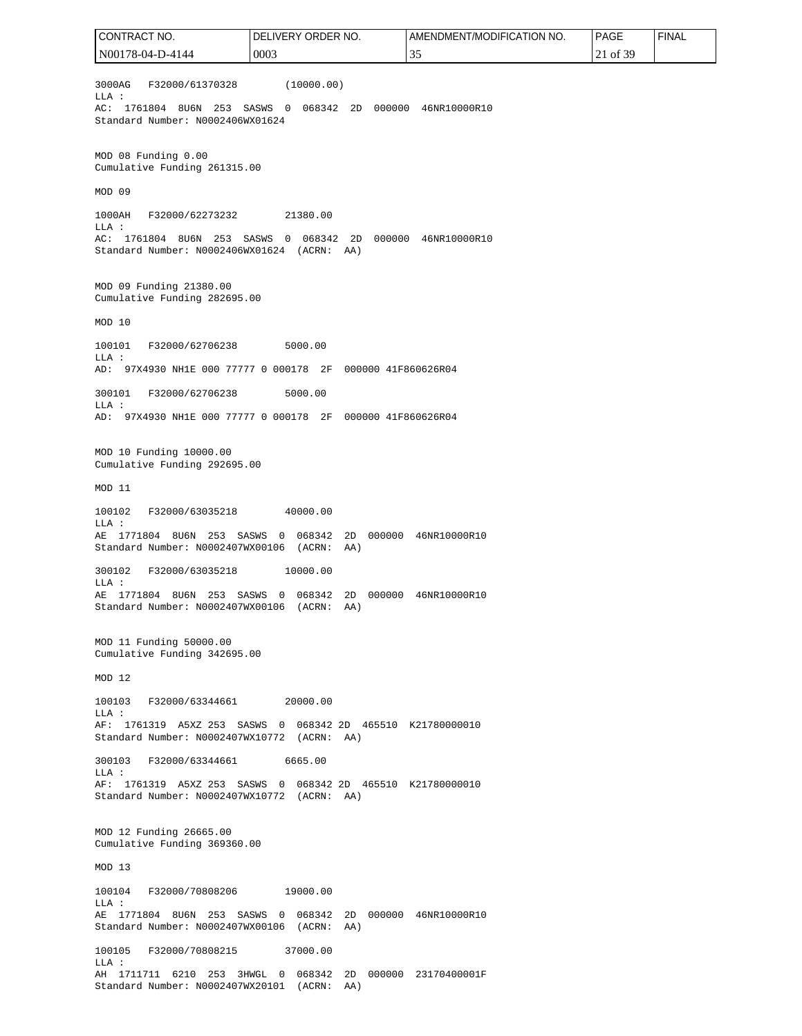3000AG F32000/61370328 (10000.00) LLA : AC: 1761804 8U6N 253 SASWS 0 068342 2D 000000 46NR10000R10 Standard Number: N0002406WX01624 MOD 08 Funding 0.00 Cumulative Funding 261315.00 MOD 09 1000AH F32000/62273232 21380.00 LLA : AC: 1761804 8U6N 253 SASWS 0 068342 2D 000000 46NR10000R10 Standard Number: N0002406WX01624 (ACRN: AA) MOD 09 Funding 21380.00 Cumulative Funding 282695.00 MOD 10 100101 F32000/62706238 5000.00 LLA : AD: 97X4930 NH1E 000 77777 0 000178 2F 000000 41F860626R04 300101 F32000/62706238 5000.00 LLA : AD: 97X4930 NH1E 000 77777 0 000178 2F 000000 41F860626R04 MOD 10 Funding 10000.00 Cumulative Funding 292695.00 MOD 11 100102 F32000/63035218 40000.00 LLA : AE 1771804 8U6N 253 SASWS 0 068342 2D 000000 46NR10000R10 Standard Number: N0002407WX00106 (ACRN: AA) 300102 F32000/63035218 10000.00 LLA : AE 1771804 8U6N 253 SASWS 0 068342 2D 000000 46NR10000R10 Standard Number: N0002407WX00106 (ACRN: AA) MOD 11 Funding 50000.00 Cumulative Funding 342695.00 MOD 12 100103 F32000/63344661 20000.00 LLA : AF: 1761319 A5XZ 253 SASWS 0 068342 2D 465510 K21780000010 Standard Number: N0002407WX10772 (ACRN: AA) 300103 F32000/63344661 6665.00 LLA : AF: 1761319 A5XZ 253 SASWS 0 068342 2D 465510 K21780000010 Standard Number: N0002407WX10772 (ACRN: AA) MOD 12 Funding 26665.00 Cumulative Funding 369360.00 MOD 13 100104 F32000/70808206 19000.00 LLA : AE 1771804 8U6N 253 SASWS 0 068342 2D 000000 46NR10000R10 Standard Number: N0002407WX00106 (ACRN: AA) 100105 F32000/70808215 37000.00 LLA : AH 1711711 6210 253 3HWGL 0 068342 2D 000000 23170400001F Standard Number: N0002407WX20101 (ACRN: AA) CONTRACT NO. N00178-04-D-4144 DELIVERY ORDER NO. 0003 AMENDMENT/MODIFICATION NO. 35 PAGE 21 of 39 FINAL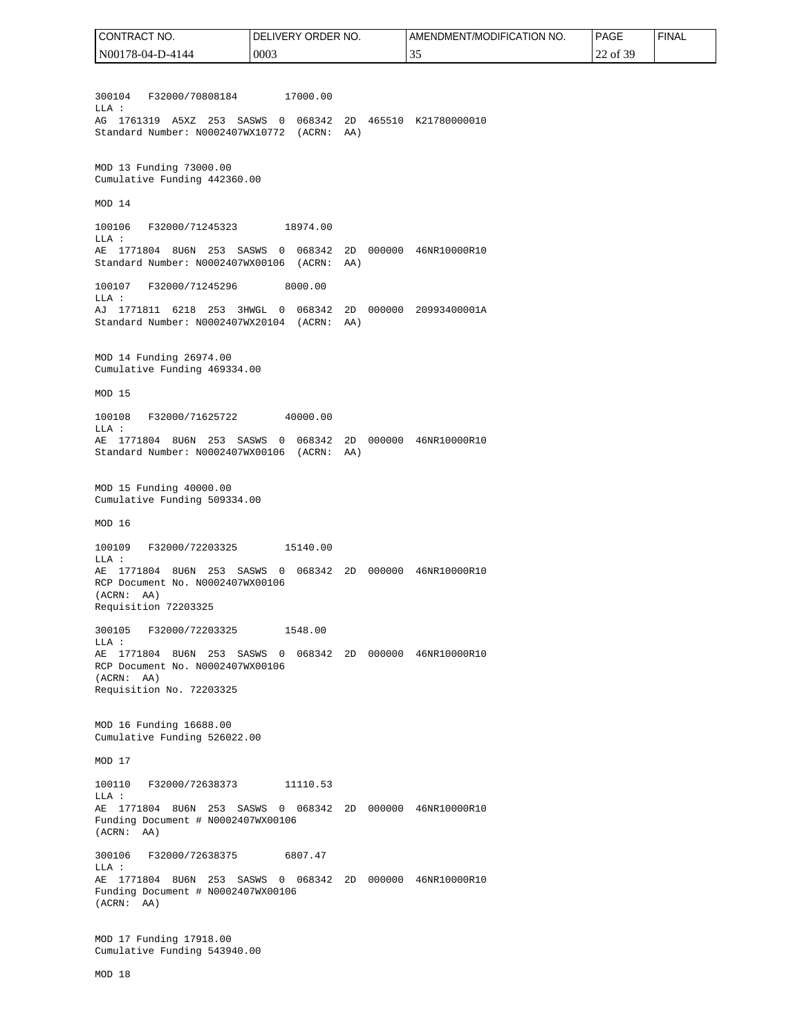300104 F32000/70808184 17000.00 LLA : AG 1761319 A5XZ 253 SASWS 0 068342 2D 465510 K21780000010 Standard Number: N0002407WX10772 (ACRN: AA) MOD 13 Funding 73000.00 Cumulative Funding 442360.00 MOD 14 100106 F32000/71245323 18974.00 LLA : AE 1771804 8U6N 253 SASWS 0 068342 2D 000000 46NR10000R10 Standard Number: N0002407WX00106 (ACRN: AA) 100107 F32000/71245296 8000.00 LLA : AJ 1771811 6218 253 3HWGL 0 068342 2D 000000 20993400001A Standard Number: N0002407WX20104 (ACRN: AA) MOD 14 Funding 26974.00 Cumulative Funding 469334.00 MOD 15 100108 F32000/71625722 40000.00 LLA : AE 1771804 8U6N 253 SASWS 0 068342 2D 000000 46NR10000R10 Standard Number: N0002407WX00106 (ACRN: AA) MOD 15 Funding 40000.00 Cumulative Funding 509334.00 MOD 16 100109 F32000/72203325 15140.00 LLA : AE 1771804 8U6N 253 SASWS 0 068342 2D 000000 46NR10000R10 RCP Document No. N0002407WX00106 (ACRN: AA) Requisition 72203325 300105 F32000/72203325 1548.00 LLA : AE 1771804 8U6N 253 SASWS 0 068342 2D 000000 46NR10000R10 RCP Document No. N0002407WX00106 (ACRN: AA) Requisition No. 72203325 MOD 16 Funding 16688.00 Cumulative Funding 526022.00 MOD 17 100110 F32000/72638373 11110.53 LLA : AE 1771804 8U6N 253 SASWS 0 068342 2D 000000 46NR10000R10 Funding Document # N0002407WX00106 (ACRN: AA) 300106 F32000/72638375 6807.47 LLA : AE 1771804 8U6N 253 SASWS 0 068342 2D 000000 46NR10000R10 Funding Document # N0002407WX00106 (ACRN: AA) MOD 17 Funding 17918.00 Cumulative Funding 543940.00 N00178-04-D-4144 0003 35 22 of 39

MOD 18

CONTRACT NO.

DELIVERY ORDER NO.

AMENDMENT/MODIFICATION NO.

PAGE

FINAL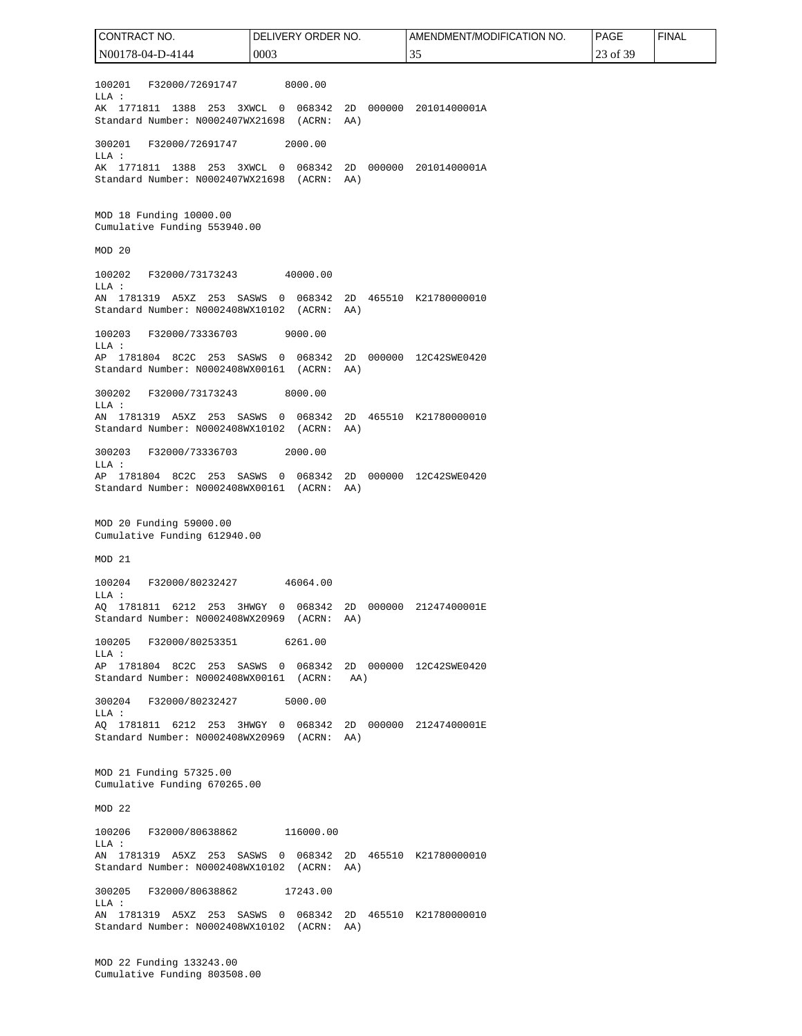100201 F32000/72691747 8000.00 LLA : AK 1771811 1388 253 3XWCL 0 068342 2D 000000 20101400001A Standard Number: N0002407WX21698 (ACRN: AA) 300201 F32000/72691747 2000.00 LLA : AK 1771811 1388 253 3XWCL 0 068342 2D 000000 20101400001A Standard Number: N0002407WX21698 (ACRN: AA) MOD 18 Funding 10000.00 Cumulative Funding 553940.00 MOD 20 100202 F32000/73173243 40000.00 LLA : AN 1781319 A5XZ 253 SASWS 0 068342 2D 465510 K21780000010 Standard Number: N0002408WX10102 (ACRN: AA) 100203 F32000/73336703 9000.00 LLA : AP 1781804 8C2C 253 SASWS 0 068342 2D 000000 12C42SWE0420 Standard Number: N0002408WX00161 (ACRN: AA) 300202 F32000/73173243 8000.00 LLA : AN 1781319 A5XZ 253 SASWS 0 068342 2D 465510 K21780000010 Standard Number: N0002408WX10102 (ACRN: AA) 300203 F32000/73336703 2000.00 LLA : AP 1781804 8C2C 253 SASWS 0 068342 2D 000000 12C42SWE0420 Standard Number: N0002408WX00161 (ACRN: AA) MOD 20 Funding 59000.00 Cumulative Funding 612940.00 MOD 21 100204 F32000/80232427 46064.00 LLA : AQ 1781811 6212 253 3HWGY 0 068342 2D 000000 21247400001E Standard Number: N0002408WX20969 (ACRN: AA) 100205 F32000/80253351 6261.00  $T.T.A$  : AP 1781804 8C2C 253 SASWS 0 068342 2D 000000 12C42SWE0420 Standard Number: N0002408WX00161 (ACRN: AA) 300204 F32000/80232427 5000.00 LLA : AQ 1781811 6212 253 3HWGY 0 068342 2D 000000 21247400001E Standard Number: N0002408WX20969 (ACRN: AA) MOD 21 Funding 57325.00 Cumulative Funding 670265.00 MOD 22 100206 F32000/80638862 116000.00 LLA : AN 1781319 A5XZ 253 SASWS 0 068342 2D 465510 K21780000010 Standard Number: N0002408WX10102 (ACRN: AA) 300205 F32000/80638862 17243.00 LLA : AN 1781319 A5XZ 253 SASWS 0 068342 2D 465510 K21780000010 Standard Number: N0002408WX10102 (ACRN: AA) MOD 22 Funding 133243.00 CONTRACT NO. N00178-04-D-4144 DELIVERY ORDER NO. 0003 AMENDMENT/MODIFICATION NO. 35 PAGE 23 of 39 **FINAL** 

Cumulative Funding 803508.00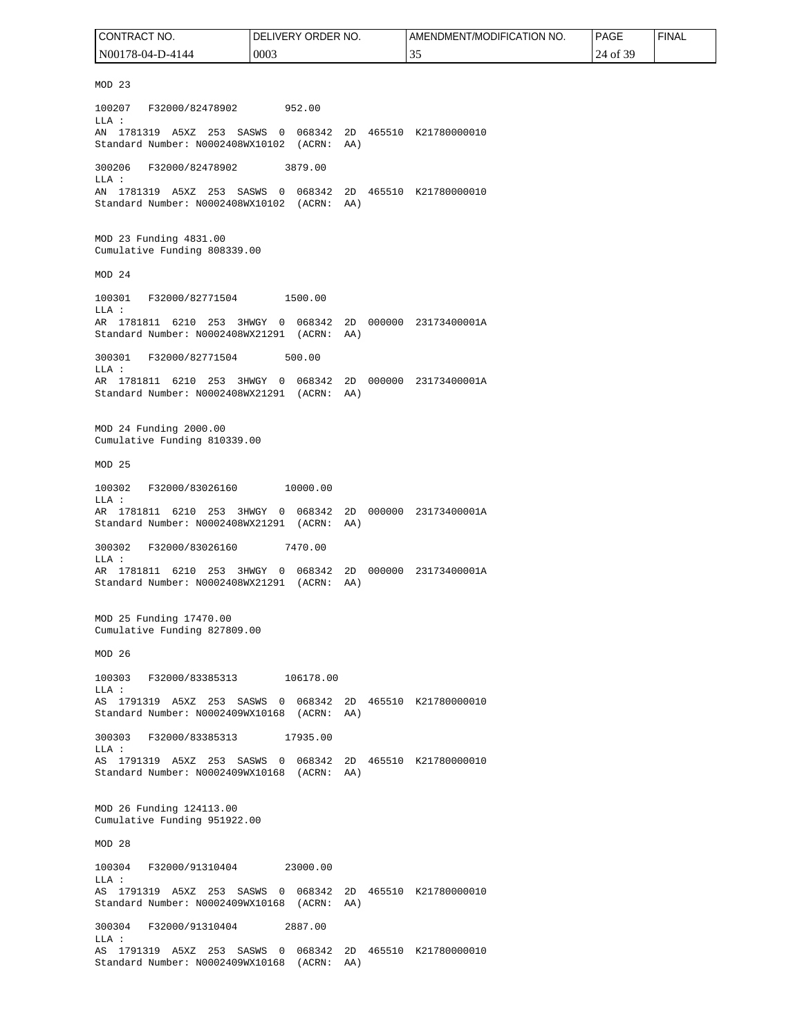MOD 23 100207 F32000/82478902 952.00 LLA : AN 1781319 A5XZ 253 SASWS 0 068342 2D 465510 K21780000010 Standard Number: N0002408WX10102 (ACRN: AA) 300206 F32000/82478902 3879.00 LLA : AN 1781319 A5XZ 253 SASWS 0 068342 2D 465510 K21780000010 Standard Number: N0002408WX10102 (ACRN: AA) MOD 23 Funding 4831.00 Cumulative Funding 808339.00 MOD 24 100301 F32000/82771504 1500.00 LLA : AR 1781811 6210 253 3HWGY 0 068342 2D 000000 23173400001A Standard Number: N0002408WX21291 (ACRN: AA) 300301 F32000/82771504 500.00 LLA : AR 1781811 6210 253 3HWGY 0 068342 2D 000000 23173400001A Standard Number: N0002408WX21291 (ACRN: AA) MOD 24 Funding 2000.00 Cumulative Funding 810339.00 MOD 25 100302 F32000/83026160 10000.00 LLA : AR 1781811 6210 253 3HWGY 0 068342 2D 000000 23173400001A Standard Number: N0002408WX21291 (ACRN: AA) 300302 F32000/83026160 7470.00 LLA : AR 1781811 6210 253 3HWGY 0 068342 2D 000000 23173400001A Standard Number: N0002408WX21291 (ACRN: AA) MOD 25 Funding 17470.00 Cumulative Funding 827809.00 MOD 26 100303 F32000/83385313 106178.00 LLA : AS 1791319 A5XZ 253 SASWS 0 068342 2D 465510 K21780000010 Standard Number: N0002409WX10168 (ACRN: AA) 300303 F32000/83385313 17935.00 LLA : AS 1791319 A5XZ 253 SASWS 0 068342 2D 465510 K21780000010 Standard Number: N0002409WX10168 (ACRN: AA) MOD 26 Funding 124113.00 Cumulative Funding 951922.00 MOD 28 100304 F32000/91310404 23000.00 LLA : AS 1791319 A5XZ 253 SASWS 0 068342 2D 465510 K21780000010 Standard Number: N0002409WX10168 (ACRN: AA) 300304 F32000/91310404 2887.00 LLA : AS 1791319 A5XZ 253 SASWS 0 068342 2D 465510 K21780000010 Standard Number: N0002409WX10168 (ACRN: AA) CONTRACT NO. N00178-04-D-4144 DELIVERY ORDER NO. 0003 AMENDMENT/MODIFICATION NO. 35 PAGE 24 of 39 FINAL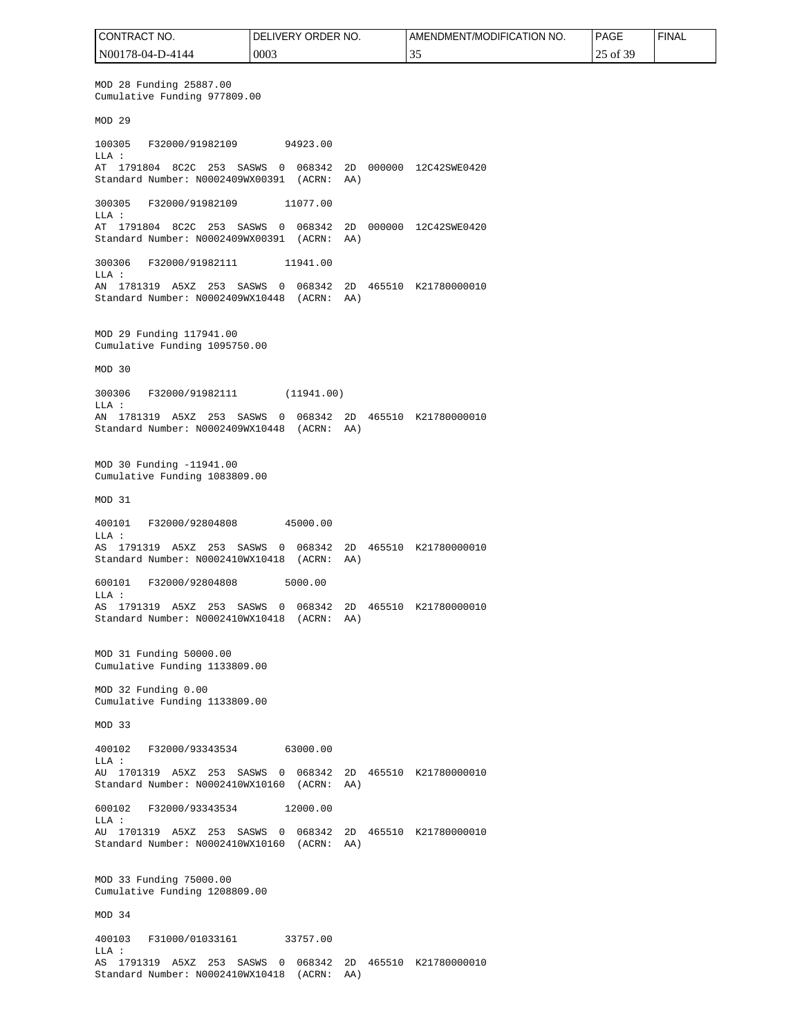MOD 28 Funding 25887.00 Cumulative Funding 977809.00 MOD 29 100305 F32000/91982109 94923.00 LLA : AT 1791804 8C2C 253 SASWS 0 068342 2D 000000 12C42SWE0420 Standard Number: N0002409WX00391 (ACRN: AA) 300305 F32000/91982109 11077.00 LLA : AT 1791804 8C2C 253 SASWS 0 068342 2D 000000 12C42SWE0420 Standard Number: N0002409WX00391 (ACRN: AA) 300306 F32000/91982111 11941.00 LLA : AN 1781319 A5XZ 253 SASWS 0 068342 2D 465510 K21780000010 Standard Number: N0002409WX10448 (ACRN: AA) MOD 29 Funding 117941.00 Cumulative Funding 1095750.00 MOD 30 300306 F32000/91982111 (11941.00) LLA : AN 1781319 A5XZ 253 SASWS 0 068342 2D 465510 K21780000010 Standard Number: N0002409WX10448 (ACRN: AA) MOD 30 Funding -11941.00 Cumulative Funding 1083809.00 MOD 31 400101 F32000/92804808 45000.00 LLA : AS 1791319 A5XZ 253 SASWS 0 068342 2D 465510 K21780000010 Standard Number: N0002410WX10418 (ACRN: AA) 600101 F32000/92804808 5000.00 LLA : AS 1791319 A5XZ 253 SASWS 0 068342 2D 465510 K21780000010 Standard Number: N0002410WX10418 (ACRN: AA) MOD 31 Funding 50000.00 Cumulative Funding 1133809.00 MOD 32 Funding 0.00 Cumulative Funding 1133809.00 MOD 33 400102 F32000/93343534 63000.00  $T.T.A$  : AU 1701319 A5XZ 253 SASWS 0 068342 2D 465510 K21780000010 Standard Number: N0002410WX10160 (ACRN: AA) 600102 F32000/93343534 12000.00  $T.T.A$  : AU 1701319 A5XZ 253 SASWS 0 068342 2D 465510 K21780000010 Standard Number: N0002410WX10160 (ACRN: AA) MOD 33 Funding 75000.00 Cumulative Funding 1208809.00 MOD 34 400103 F31000/01033161 33757.00 LLA : AS 1791319 A5XZ 253 SASWS 0 068342 2D 465510 K21780000010 Standard Number: N0002410WX10418 (ACRN: AA) CONTRACT NO. N00178-04-D-4144 DELIVERY ORDER NO. 0003 AMENDMENT/MODIFICATION NO. 35 PAGE 25 of 39 FINAL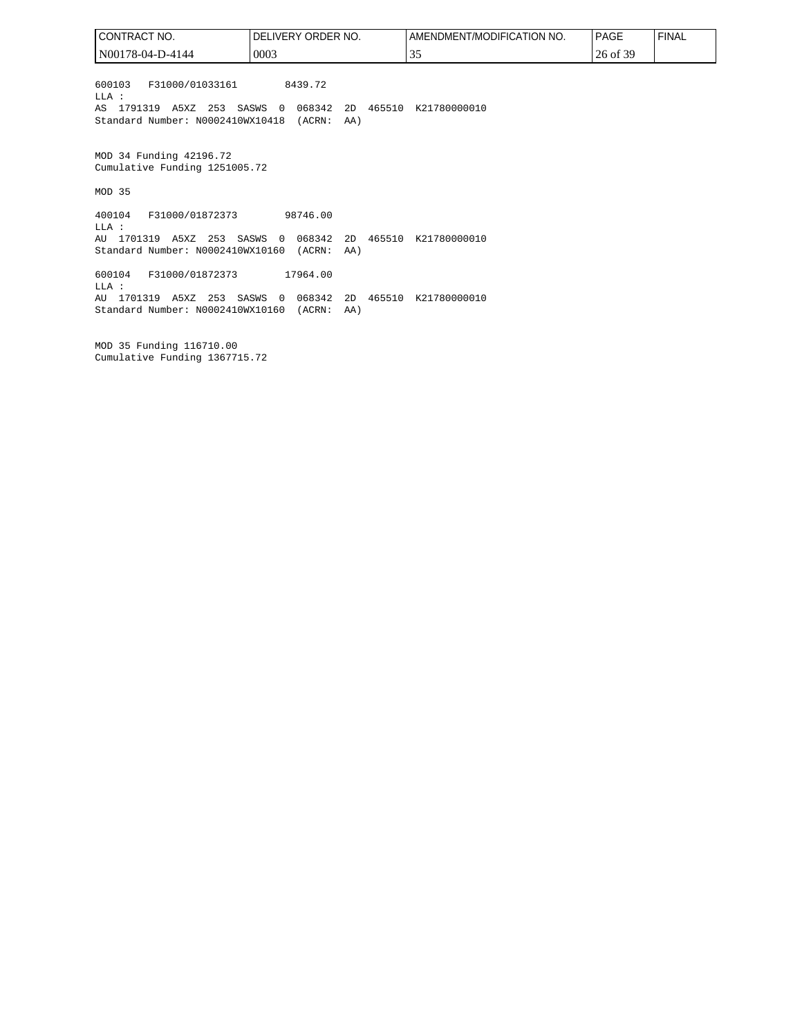600103 F31000/01033161 8439.72 LLA : AS 1791319 A5XZ 253 SASWS 0 068342 2D 465510 K21780000010 Standard Number: N0002410WX10418 (ACRN: AA) MOD 34 Funding 42196.72 Cumulative Funding 1251005.72 MOD 35 400104 F31000/01872373 98746.00 LLA : AU 1701319 A5XZ 253 SASWS 0 068342 2D 465510 K21780000010 Standard Number: N0002410WX10160 (ACRN: AA) 600104 F31000/01872373 17964.00 LLA : AU 1701319 A5XZ 253 SASWS 0 068342 2D 465510 K21780000010 Standard Number: N0002410WX10160 (ACRN: AA) CONTRACT NO. N00178-04-D-4144 DELIVERY ORDER NO. 0003 AMENDMENT/MODIFICATION NO. 35 PAGE 26 of 39 **FINAL** 

MOD 35 Funding 116710.00 Cumulative Funding 1367715.72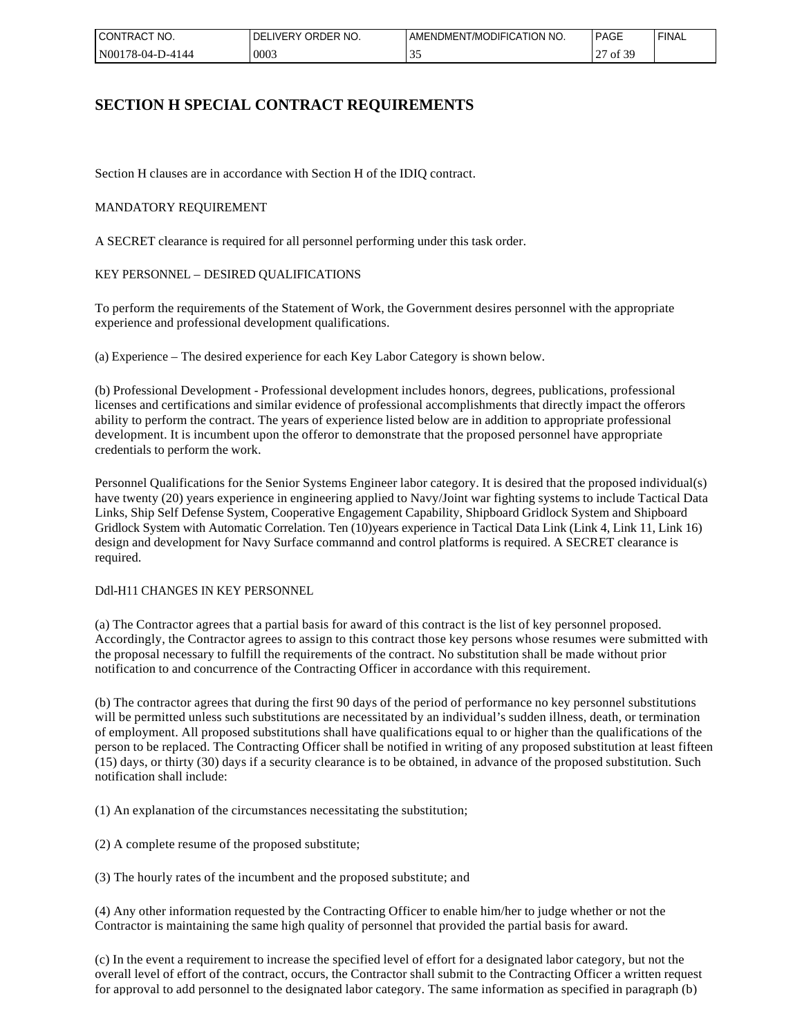| NO.<br>CON<br>'''RA∪                  | RDER NO.<br>JR۲<br>$\cdots$ in the set of $\ddot{\phantom{0}}$<br>⊣ر. | NO.<br>'T/MODIFICATION<br>AMENDMENT | $\sim$ $\sim$<br>ת⊂ PAG<br>$\sim$ $\sim$ | <b>FINAL</b> |
|---------------------------------------|-----------------------------------------------------------------------|-------------------------------------|------------------------------------------|--------------|
| N <sub>00</sub><br>78-04-.<br>$-4144$ | 0003                                                                  | <u>.</u>                            | $\sim$<br>ОI<br><u>_</u><br>J.           |              |

# **SECTION H SPECIAL CONTRACT REQUIREMENTS**

Section H clauses are in accordance with Section H of the IDIQ contract.

### MANDATORY REQUIREMENT

A SECRET clearance is required for all personnel performing under this task order.

## KEY PERSONNEL – DESIRED QUALIFICATIONS

To perform the requirements of the Statement of Work, the Government desires personnel with the appropriate experience and professional development qualifications.

(a) Experience – The desired experience for each Key Labor Category is shown below.

(b) Professional Development - Professional development includes honors, degrees, publications, professional licenses and certifications and similar evidence of professional accomplishments that directly impact the offerors ability to perform the contract. The years of experience listed below are in addition to appropriate professional development. It is incumbent upon the offeror to demonstrate that the proposed personnel have appropriate credentials to perform the work.

Personnel Qualifications for the Senior Systems Engineer labor category. It is desired that the proposed individual(s) have twenty (20) years experience in engineering applied to Navy/Joint war fighting systems to include Tactical Data Links, Ship Self Defense System, Cooperative Engagement Capability, Shipboard Gridlock System and Shipboard Gridlock System with Automatic Correlation. Ten (10)years experience in Tactical Data Link (Link 4, Link 11, Link 16) design and development for Navy Surface commannd and control platforms is required. A SECRET clearance is required.

### Ddl-H11 CHANGES IN KEY PERSONNEL

(a) The Contractor agrees that a partial basis for award of this contract is the list of key personnel proposed. Accordingly, the Contractor agrees to assign to this contract those key persons whose resumes were submitted with the proposal necessary to fulfill the requirements of the contract. No substitution shall be made without prior notification to and concurrence of the Contracting Officer in accordance with this requirement.

(b) The contractor agrees that during the first 90 days of the period of performance no key personnel substitutions will be permitted unless such substitutions are necessitated by an individual's sudden illness, death, or termination of employment. All proposed substitutions shall have qualifications equal to or higher than the qualifications of the person to be replaced. The Contracting Officer shall be notified in writing of any proposed substitution at least fifteen (15) days, or thirty (30) days if a security clearance is to be obtained, in advance of the proposed substitution. Such notification shall include:

(1) An explanation of the circumstances necessitating the substitution;

(2) A complete resume of the proposed substitute;

(3) The hourly rates of the incumbent and the proposed substitute; and

(4) Any other information requested by the Contracting Officer to enable him/her to judge whether or not the Contractor is maintaining the same high quality of personnel that provided the partial basis for award.

(c) In the event a requirement to increase the specified level of effort for a designated labor category, but not the overall level of effort of the contract, occurs, the Contractor shall submit to the Contracting Officer a written request for approval to add personnel to the designated labor category. The same information as specified in paragraph (b)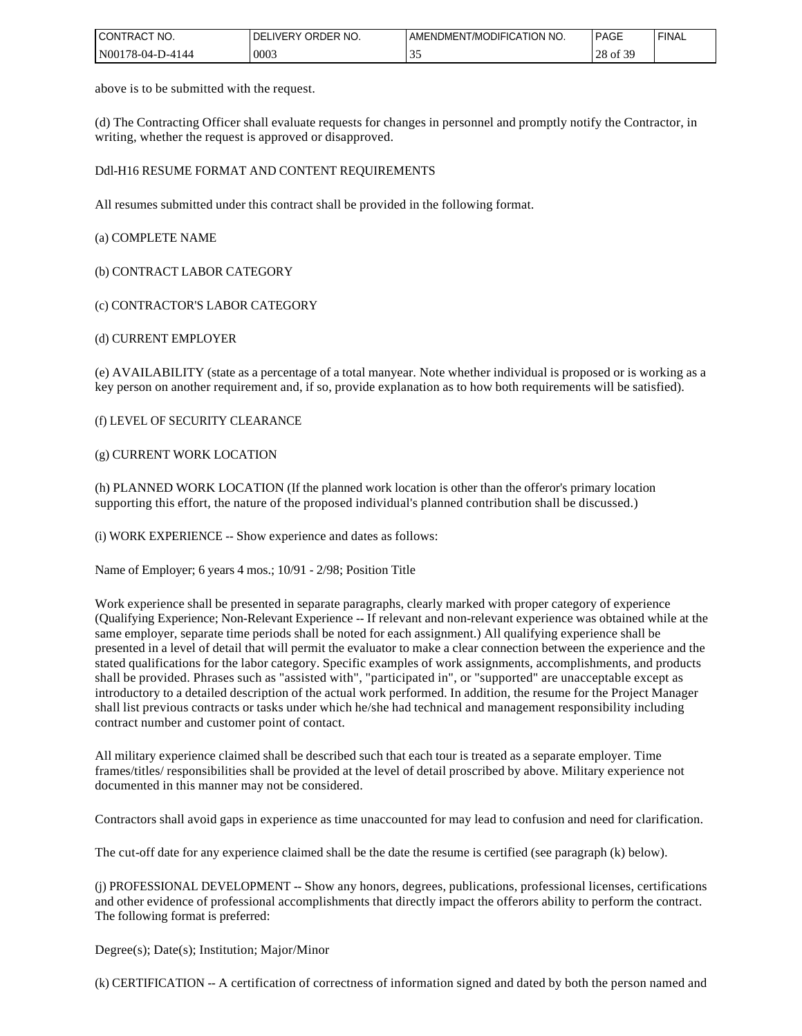| <b><i>I</i>CONTF</b><br>NO.<br>ITRACT             | ORDER<br>` NO.<br>DΙ<br>.–R⊻∶ | DMENT/MODIFICATION<br>NO.<br>AMENL | <b>PAGE</b>         | <b>FINAL</b> |
|---------------------------------------------------|-------------------------------|------------------------------------|---------------------|--------------|
| 'N001<br>7-4144<br>$04-$<br><b>πω</b><br>$\sim$ - | 0003                          | --                                 | e oc<br>ററ<br>28 of |              |

above is to be submitted with the request.

(d) The Contracting Officer shall evaluate requests for changes in personnel and promptly notify the Contractor, in writing, whether the request is approved or disapproved.

#### Ddl-H16 RESUME FORMAT AND CONTENT REQUIREMENTS

All resumes submitted under this contract shall be provided in the following format.

#### (a) COMPLETE NAME

#### (b) CONTRACT LABOR CATEGORY

#### (c) CONTRACTOR'S LABOR CATEGORY

#### (d) CURRENT EMPLOYER

(e) AVAILABILITY (state as a percentage of a total manyear. Note whether individual is proposed or is working as a key person on another requirement and, if so, provide explanation as to how both requirements will be satisfied).

(f) LEVEL OF SECURITY CLEARANCE

#### (g) CURRENT WORK LOCATION

(h) PLANNED WORK LOCATION (If the planned work location is other than the offeror's primary location supporting this effort, the nature of the proposed individual's planned contribution shall be discussed.)

(i) WORK EXPERIENCE -- Show experience and dates as follows:

Name of Employer; 6 years 4 mos.; 10/91 - 2/98; Position Title

Work experience shall be presented in separate paragraphs, clearly marked with proper category of experience (Qualifying Experience; Non-Relevant Experience -- If relevant and non-relevant experience was obtained while at the same employer, separate time periods shall be noted for each assignment.) All qualifying experience shall be presented in a level of detail that will permit the evaluator to make a clear connection between the experience and the stated qualifications for the labor category. Specific examples of work assignments, accomplishments, and products shall be provided. Phrases such as "assisted with", "participated in", or "supported" are unacceptable except as introductory to a detailed description of the actual work performed. In addition, the resume for the Project Manager shall list previous contracts or tasks under which he/she had technical and management responsibility including contract number and customer point of contact.

All military experience claimed shall be described such that each tour is treated as a separate employer. Time frames/titles/ responsibilities shall be provided at the level of detail proscribed by above. Military experience not documented in this manner may not be considered.

Contractors shall avoid gaps in experience as time unaccounted for may lead to confusion and need for clarification.

The cut-off date for any experience claimed shall be the date the resume is certified (see paragraph (k) below).

(j) PROFESSIONAL DEVELOPMENT -- Show any honors, degrees, publications, professional licenses, certifications and other evidence of professional accomplishments that directly impact the offerors ability to perform the contract. The following format is preferred:

Degree(s); Date(s); Institution; Major/Minor

(k) CERTIFICATION -- A certification of correctness of information signed and dated by both the person named and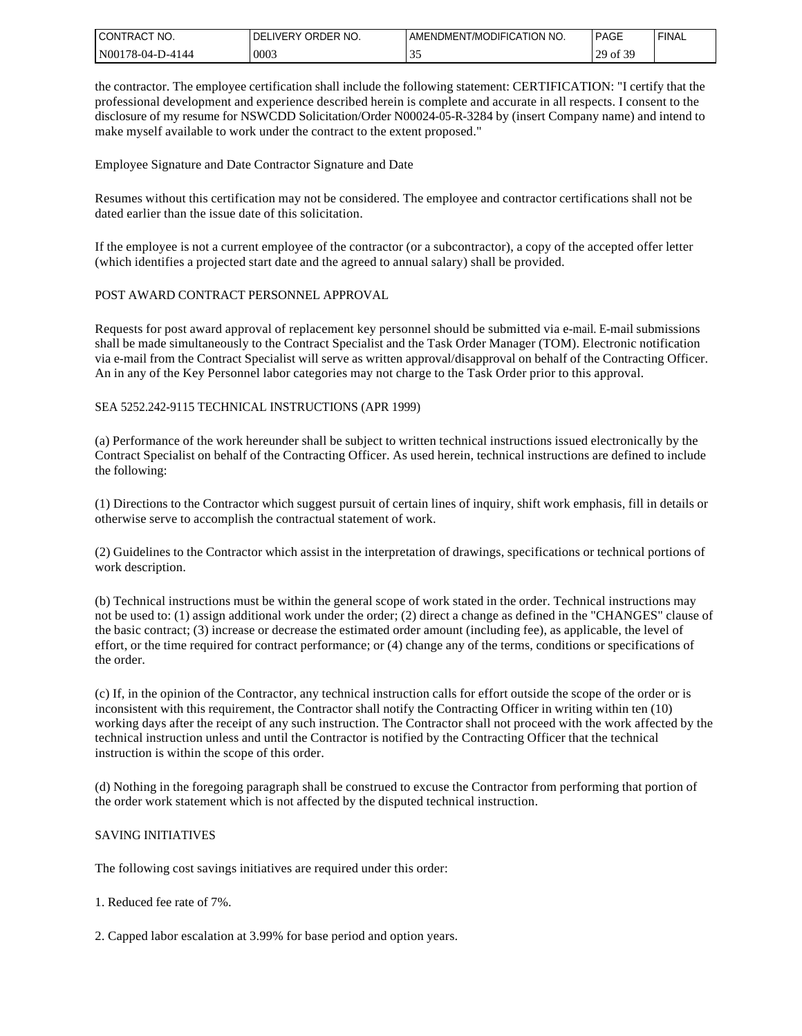| I CONTRACT<br>NO. | ORDER NO.<br>DFI<br>_IVERY | `ATION NO.<br>AMENDMENT/MODIFICA | <b>PAGE</b>                                                     | <b>FINAL</b> |
|-------------------|----------------------------|----------------------------------|-----------------------------------------------------------------|--------------|
| N00178-04-D-4144  | 0003                       | - -                              | $\alpha$<br>$20^{\circ}$<br>ΟĪ<br>-<br>$\overline{\phantom{a}}$ |              |

the contractor. The employee certification shall include the following statement: CERTIFICATION: "I certify that the professional development and experience described herein is complete and accurate in all respects. I consent to the disclosure of my resume for NSWCDD Solicitation/Order N00024-05-R-3284 by (insert Company name) and intend to make myself available to work under the contract to the extent proposed."

Employee Signature and Date Contractor Signature and Date

Resumes without this certification may not be considered. The employee and contractor certifications shall not be dated earlier than the issue date of this solicitation.

If the employee is not a current employee of the contractor (or a subcontractor), a copy of the accepted offer letter (which identifies a projected start date and the agreed to annual salary) shall be provided.

#### POST AWARD CONTRACT PERSONNEL APPROVAL

Requests for post award approval of replacement key personnel should be submitted via e-mail. E-mail submissions shall be made simultaneously to the Contract Specialist and the Task Order Manager (TOM). Electronic notification via e-mail from the Contract Specialist will serve as written approval/disapproval on behalf of the Contracting Officer. An in any of the Key Personnel labor categories may not charge to the Task Order prior to this approval.

#### SEA 5252.242-9115 TECHNICAL INSTRUCTIONS (APR 1999)

(a) Performance of the work hereunder shall be subject to written technical instructions issued electronically by the Contract Specialist on behalf of the Contracting Officer. As used herein, technical instructions are defined to include the following:

(1) Directions to the Contractor which suggest pursuit of certain lines of inquiry, shift work emphasis, fill in details or otherwise serve to accomplish the contractual statement of work.

(2) Guidelines to the Contractor which assist in the interpretation of drawings, specifications or technical portions of work description.

(b) Technical instructions must be within the general scope of work stated in the order. Technical instructions may not be used to: (1) assign additional work under the order; (2) direct a change as defined in the "CHANGES" clause of the basic contract; (3) increase or decrease the estimated order amount (including fee), as applicable, the level of effort, or the time required for contract performance; or (4) change any of the terms, conditions or specifications of the order.

(c) If, in the opinion of the Contractor, any technical instruction calls for effort outside the scope of the order or is inconsistent with this requirement, the Contractor shall notify the Contracting Officer in writing within ten (10) working days after the receipt of any such instruction. The Contractor shall not proceed with the work affected by the technical instruction unless and until the Contractor is notified by the Contracting Officer that the technical instruction is within the scope of this order.

(d) Nothing in the foregoing paragraph shall be construed to excuse the Contractor from performing that portion of the order work statement which is not affected by the disputed technical instruction.

### SAVING INITIATIVES

The following cost savings initiatives are required under this order:

1. Reduced fee rate of 7%.

2. Capped labor escalation at 3.99% for base period and option years.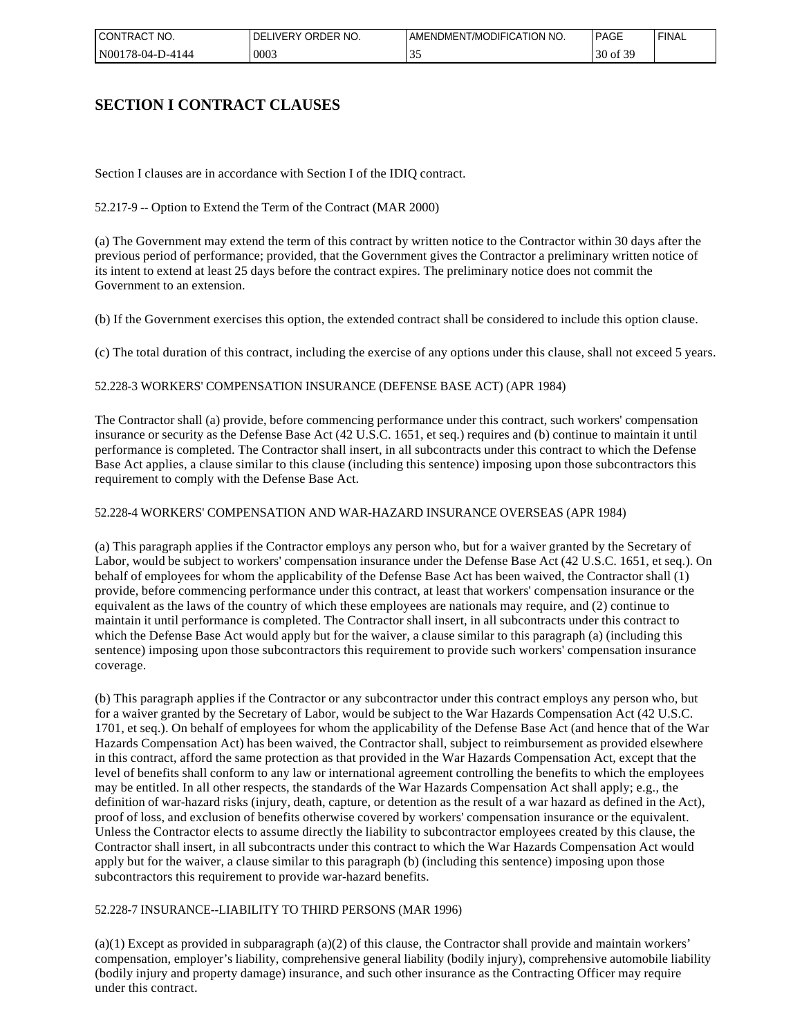| l CONTRACT<br>" NO.               | ' NO<br>ORDER<br>DF<br>$W$ FRV | T/MODIFICATION NO.<br>AMENDMEN | <b>PAGE</b>  | <b>FINAL</b> |
|-----------------------------------|--------------------------------|--------------------------------|--------------|--------------|
| l N00<br>7-4144<br>$.78 - 04 - 1$ | 0003                           | $\sim$<br><u>. .</u>           | $30$ of<br>ຼ |              |

# **SECTION I CONTRACT CLAUSES**

Section I clauses are in accordance with Section I of the IDIQ contract.

52.217-9 -- Option to Extend the Term of the Contract (MAR 2000)

(a) The Government may extend the term of this contract by written notice to the Contractor within 30 days after the previous period of performance; provided, that the Government gives the Contractor a preliminary written notice of its intent to extend at least 25 days before the contract expires. The preliminary notice does not commit the Government to an extension.

(b) If the Government exercises this option, the extended contract shall be considered to include this option clause.

(c) The total duration of this contract, including the exercise of any options under this clause, shall not exceed 5 years.

## 52.228-3 WORKERS' COMPENSATION INSURANCE (DEFENSE BASE ACT) (APR 1984)

The Contractor shall (a) provide, before commencing performance under this contract, such workers' compensation insurance or security as the Defense Base Act (42 U.S.C. 1651, et seq.) requires and (b) continue to maintain it until performance is completed. The Contractor shall insert, in all subcontracts under this contract to which the Defense Base Act applies, a clause similar to this clause (including this sentence) imposing upon those subcontractors this requirement to comply with the Defense Base Act.

### 52.228-4 WORKERS' COMPENSATION AND WAR-HAZARD INSURANCE OVERSEAS (APR 1984)

(a) This paragraph applies if the Contractor employs any person who, but for a waiver granted by the Secretary of Labor, would be subject to workers' compensation insurance under the Defense Base Act (42 U.S.C. 1651, et seq.). On behalf of employees for whom the applicability of the Defense Base Act has been waived, the Contractor shall (1) provide, before commencing performance under this contract, at least that workers' compensation insurance or the equivalent as the laws of the country of which these employees are nationals may require, and (2) continue to maintain it until performance is completed. The Contractor shall insert, in all subcontracts under this contract to which the Defense Base Act would apply but for the waiver, a clause similar to this paragraph (a) (including this sentence) imposing upon those subcontractors this requirement to provide such workers' compensation insurance coverage.

(b) This paragraph applies if the Contractor or any subcontractor under this contract employs any person who, but for a waiver granted by the Secretary of Labor, would be subject to the War Hazards Compensation Act (42 U.S.C. 1701, et seq.). On behalf of employees for whom the applicability of the Defense Base Act (and hence that of the War Hazards Compensation Act) has been waived, the Contractor shall, subject to reimbursement as provided elsewhere in this contract, afford the same protection as that provided in the War Hazards Compensation Act, except that the level of benefits shall conform to any law or international agreement controlling the benefits to which the employees may be entitled. In all other respects, the standards of the War Hazards Compensation Act shall apply; e.g., the definition of war-hazard risks (injury, death, capture, or detention as the result of a war hazard as defined in the Act), proof of loss, and exclusion of benefits otherwise covered by workers' compensation insurance or the equivalent. Unless the Contractor elects to assume directly the liability to subcontractor employees created by this clause, the Contractor shall insert, in all subcontracts under this contract to which the War Hazards Compensation Act would apply but for the waiver, a clause similar to this paragraph (b) (including this sentence) imposing upon those subcontractors this requirement to provide war-hazard benefits.

### 52.228-7 INSURANCE--LIABILITY TO THIRD PERSONS (MAR 1996)

 $(a)(1)$  Except as provided in subparagraph  $(a)(2)$  of this clause, the Contractor shall provide and maintain workers' compensation, employer's liability, comprehensive general liability (bodily injury), comprehensive automobile liability (bodily injury and property damage) insurance, and such other insurance as the Contracting Officer may require under this contract.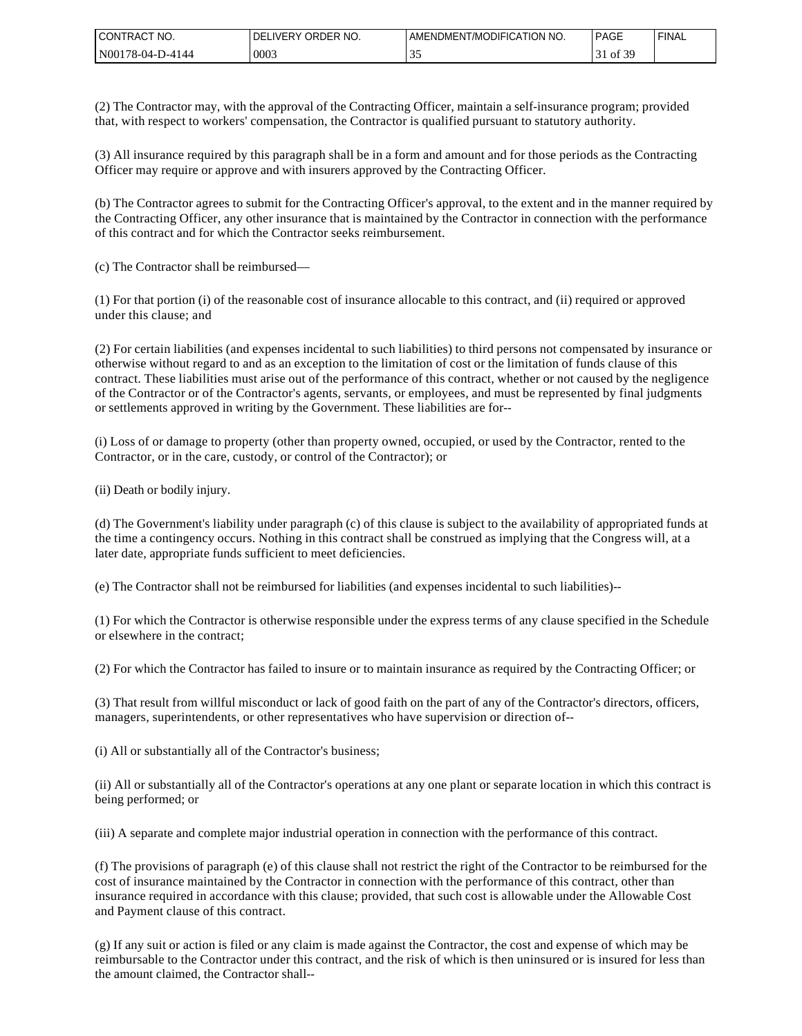| NO.<br><b>CON</b><br>IRAC             | DF<br>ORDER NO.<br>√FR <sup>V</sup><br>1 M | `ATION_<br>NO.<br><b>JDMENT/MODIFICAT</b><br>AMFNI | <b>PAGE</b>                      | ' FINAL |
|---------------------------------------|--------------------------------------------|----------------------------------------------------|----------------------------------|---------|
| N00 <sub>1</sub><br>/8-04-J<br>J-4144 | 0003                                       | $\overline{\phantom{a}}$<br>ິ∽                     | -30<br>$^{\circ}$ O1<br><u>.</u> |         |

(2) The Contractor may, with the approval of the Contracting Officer, maintain a self-insurance program; provided that, with respect to workers' compensation, the Contractor is qualified pursuant to statutory authority.

(3) All insurance required by this paragraph shall be in a form and amount and for those periods as the Contracting Officer may require or approve and with insurers approved by the Contracting Officer.

(b) The Contractor agrees to submit for the Contracting Officer's approval, to the extent and in the manner required by the Contracting Officer, any other insurance that is maintained by the Contractor in connection with the performance of this contract and for which the Contractor seeks reimbursement.

(c) The Contractor shall be reimbursed—

(1) For that portion (i) of the reasonable cost of insurance allocable to this contract, and (ii) required or approved under this clause; and

(2) For certain liabilities (and expenses incidental to such liabilities) to third persons not compensated by insurance or otherwise without regard to and as an exception to the limitation of cost or the limitation of funds clause of this contract. These liabilities must arise out of the performance of this contract, whether or not caused by the negligence of the Contractor or of the Contractor's agents, servants, or employees, and must be represented by final judgments or settlements approved in writing by the Government. These liabilities are for--

(i) Loss of or damage to property (other than property owned, occupied, or used by the Contractor, rented to the Contractor, or in the care, custody, or control of the Contractor); or

(ii) Death or bodily injury.

(d) The Government's liability under paragraph (c) of this clause is subject to the availability of appropriated funds at the time a contingency occurs. Nothing in this contract shall be construed as implying that the Congress will, at a later date, appropriate funds sufficient to meet deficiencies.

(e) The Contractor shall not be reimbursed for liabilities (and expenses incidental to such liabilities)--

(1) For which the Contractor is otherwise responsible under the express terms of any clause specified in the Schedule or elsewhere in the contract;

(2) For which the Contractor has failed to insure or to maintain insurance as required by the Contracting Officer; or

(3) That result from willful misconduct or lack of good faith on the part of any of the Contractor's directors, officers, managers, superintendents, or other representatives who have supervision or direction of--

(i) All or substantially all of the Contractor's business;

(ii) All or substantially all of the Contractor's operations at any one plant or separate location in which this contract is being performed; or

(iii) A separate and complete major industrial operation in connection with the performance of this contract.

(f) The provisions of paragraph (e) of this clause shall not restrict the right of the Contractor to be reimbursed for the cost of insurance maintained by the Contractor in connection with the performance of this contract, other than insurance required in accordance with this clause; provided, that such cost is allowable under the Allowable Cost and Payment clause of this contract.

(g) If any suit or action is filed or any claim is made against the Contractor, the cost and expense of which may be reimbursable to the Contractor under this contract, and the risk of which is then uninsured or is insured for less than the amount claimed, the Contractor shall--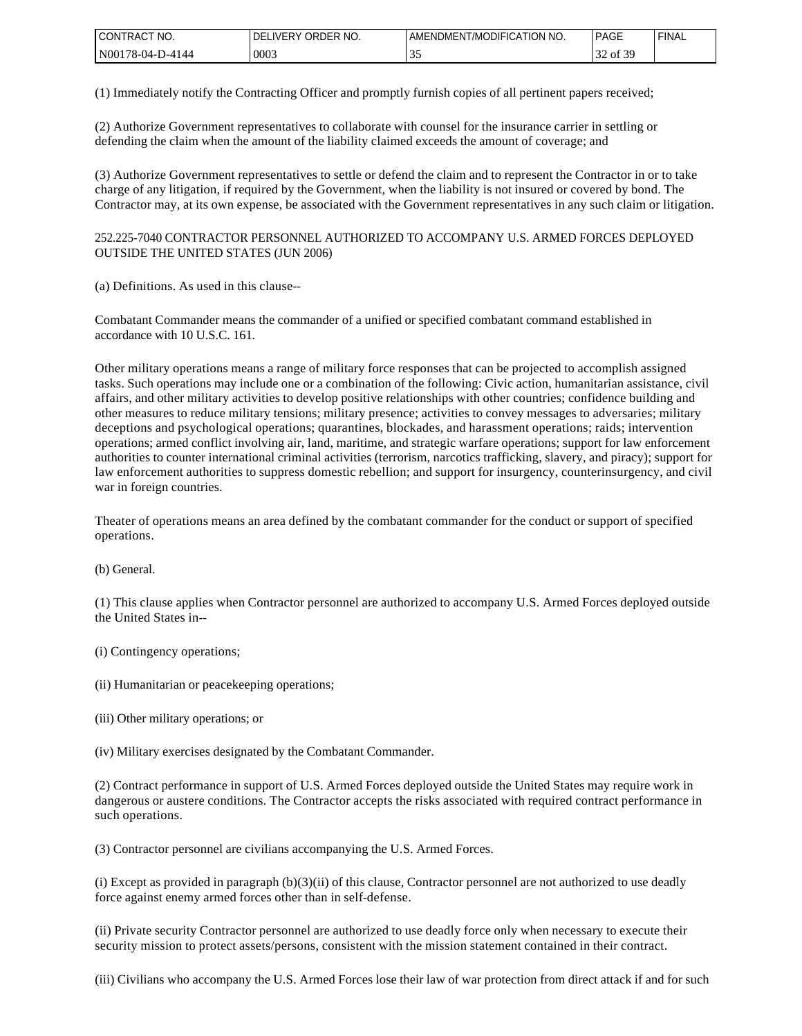| I CONTRACT<br>NO.    | ORDER<br>`NO.<br>DF<br><b>NERY</b> | ODIFICATION<br>NO.<br>I /MC<br>DMEN⊺<br>AMENL' | <b>PAGE</b>                | <b>FINAL</b> |
|----------------------|------------------------------------|------------------------------------------------|----------------------------|--------------|
| N001<br>78-04-D-4144 | 0003                               | <u>. .</u>                                     | e oc<br>ΟĪ<br>. J .<br>ے ب |              |

(1) Immediately notify the Contracting Officer and promptly furnish copies of all pertinent papers received;

(2) Authorize Government representatives to collaborate with counsel for the insurance carrier in settling or defending the claim when the amount of the liability claimed exceeds the amount of coverage; and

(3) Authorize Government representatives to settle or defend the claim and to represent the Contractor in or to take charge of any litigation, if required by the Government, when the liability is not insured or covered by bond. The Contractor may, at its own expense, be associated with the Government representatives in any such claim or litigation.

### 252.225-7040 CONTRACTOR PERSONNEL AUTHORIZED TO ACCOMPANY U.S. ARMED FORCES DEPLOYED OUTSIDE THE UNITED STATES (JUN 2006)

(a) Definitions. As used in this clause--

Combatant Commander means the commander of a unified or specified combatant command established in accordance with 10 U.S.C. 161.

Other military operations means a range of military force responses that can be projected to accomplish assigned tasks. Such operations may include one or a combination of the following: Civic action, humanitarian assistance, civil affairs, and other military activities to develop positive relationships with other countries; confidence building and other measures to reduce military tensions; military presence; activities to convey messages to adversaries; military deceptions and psychological operations; quarantines, blockades, and harassment operations; raids; intervention operations; armed conflict involving air, land, maritime, and strategic warfare operations; support for law enforcement authorities to counter international criminal activities (terrorism, narcotics trafficking, slavery, and piracy); support for law enforcement authorities to suppress domestic rebellion; and support for insurgency, counterinsurgency, and civil war in foreign countries.

Theater of operations means an area defined by the combatant commander for the conduct or support of specified operations.

(b) General.

(1) This clause applies when Contractor personnel are authorized to accompany U.S. Armed Forces deployed outside the United States in--

(i) Contingency operations;

(ii) Humanitarian or peacekeeping operations;

(iii) Other military operations; or

(iv) Military exercises designated by the Combatant Commander.

(2) Contract performance in support of U.S. Armed Forces deployed outside the United States may require work in dangerous or austere conditions. The Contractor accepts the risks associated with required contract performance in such operations.

(3) Contractor personnel are civilians accompanying the U.S. Armed Forces.

(i) Except as provided in paragraph  $(b)(3)(ii)$  of this clause, Contractor personnel are not authorized to use deadly force against enemy armed forces other than in self-defense.

(ii) Private security Contractor personnel are authorized to use deadly force only when necessary to execute their security mission to protect assets/persons, consistent with the mission statement contained in their contract.

(iii) Civilians who accompany the U.S. Armed Forces lose their law of war protection from direct attack if and for such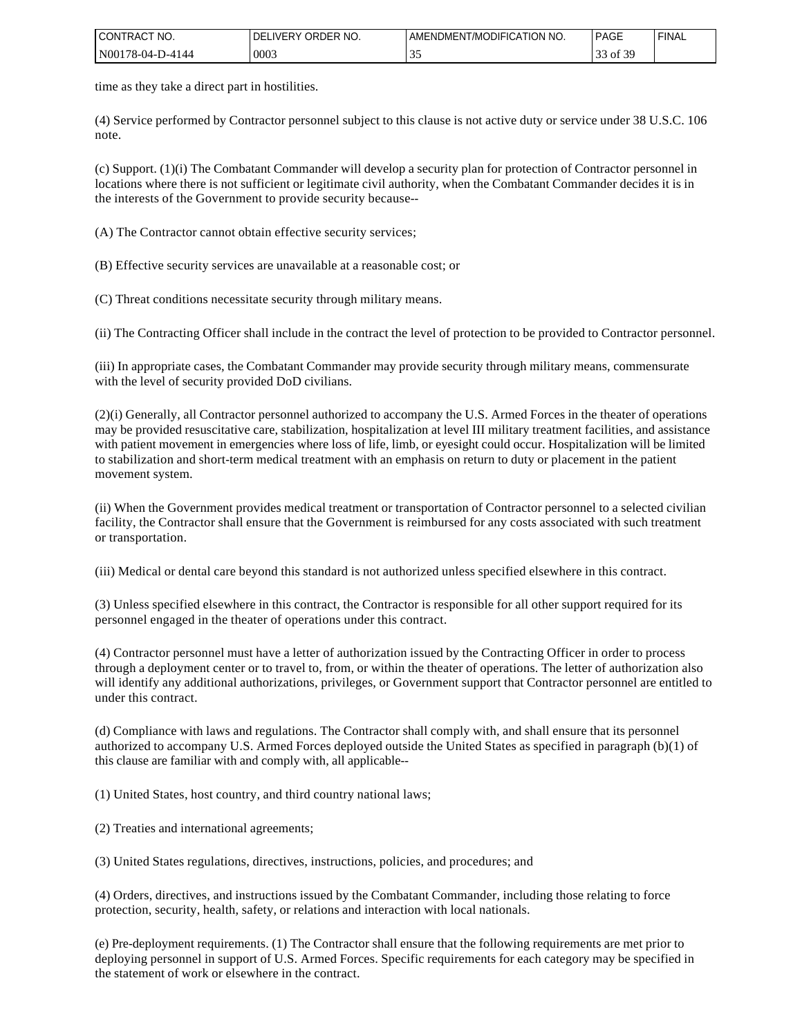| l CON<br>'NO.<br>ITRAC.                   | `NO.<br>ORDER<br>וח<br>$-12V$ | <b>T/MODIFICATION</b><br>NO.<br>.MENDMEN+<br>- | <b>PAGE</b>                  | <b>FINAL</b> |
|-------------------------------------------|-------------------------------|------------------------------------------------|------------------------------|--------------|
| 'N001<br>7-4144<br>∩⊿<br>.<br>$\sim$ $-1$ | 0003                          | --                                             | e or<br>$\sim$<br>O1.<br>ر ر |              |

time as they take a direct part in hostilities.

(4) Service performed by Contractor personnel subject to this clause is not active duty or service under 38 U.S.C. 106 note.

(c) Support. (1)(i) The Combatant Commander will develop a security plan for protection of Contractor personnel in locations where there is not sufficient or legitimate civil authority, when the Combatant Commander decides it is in the interests of the Government to provide security because--

(A) The Contractor cannot obtain effective security services;

(B) Effective security services are unavailable at a reasonable cost; or

(C) Threat conditions necessitate security through military means.

(ii) The Contracting Officer shall include in the contract the level of protection to be provided to Contractor personnel.

(iii) In appropriate cases, the Combatant Commander may provide security through military means, commensurate with the level of security provided DoD civilians.

(2)(i) Generally, all Contractor personnel authorized to accompany the U.S. Armed Forces in the theater of operations may be provided resuscitative care, stabilization, hospitalization at level III military treatment facilities, and assistance with patient movement in emergencies where loss of life, limb, or eyesight could occur. Hospitalization will be limited to stabilization and short-term medical treatment with an emphasis on return to duty or placement in the patient movement system.

(ii) When the Government provides medical treatment or transportation of Contractor personnel to a selected civilian facility, the Contractor shall ensure that the Government is reimbursed for any costs associated with such treatment or transportation.

(iii) Medical or dental care beyond this standard is not authorized unless specified elsewhere in this contract.

(3) Unless specified elsewhere in this contract, the Contractor is responsible for all other support required for its personnel engaged in the theater of operations under this contract.

(4) Contractor personnel must have a letter of authorization issued by the Contracting Officer in order to process through a deployment center or to travel to, from, or within the theater of operations. The letter of authorization also will identify any additional authorizations, privileges, or Government support that Contractor personnel are entitled to under this contract.

(d) Compliance with laws and regulations. The Contractor shall comply with, and shall ensure that its personnel authorized to accompany U.S. Armed Forces deployed outside the United States as specified in paragraph (b)(1) of this clause are familiar with and comply with, all applicable--

(1) United States, host country, and third country national laws;

(2) Treaties and international agreements;

(3) United States regulations, directives, instructions, policies, and procedures; and

(4) Orders, directives, and instructions issued by the Combatant Commander, including those relating to force protection, security, health, safety, or relations and interaction with local nationals.

(e) Pre-deployment requirements. (1) The Contractor shall ensure that the following requirements are met prior to deploying personnel in support of U.S. Armed Forces. Specific requirements for each category may be specified in the statement of work or elsewhere in the contract.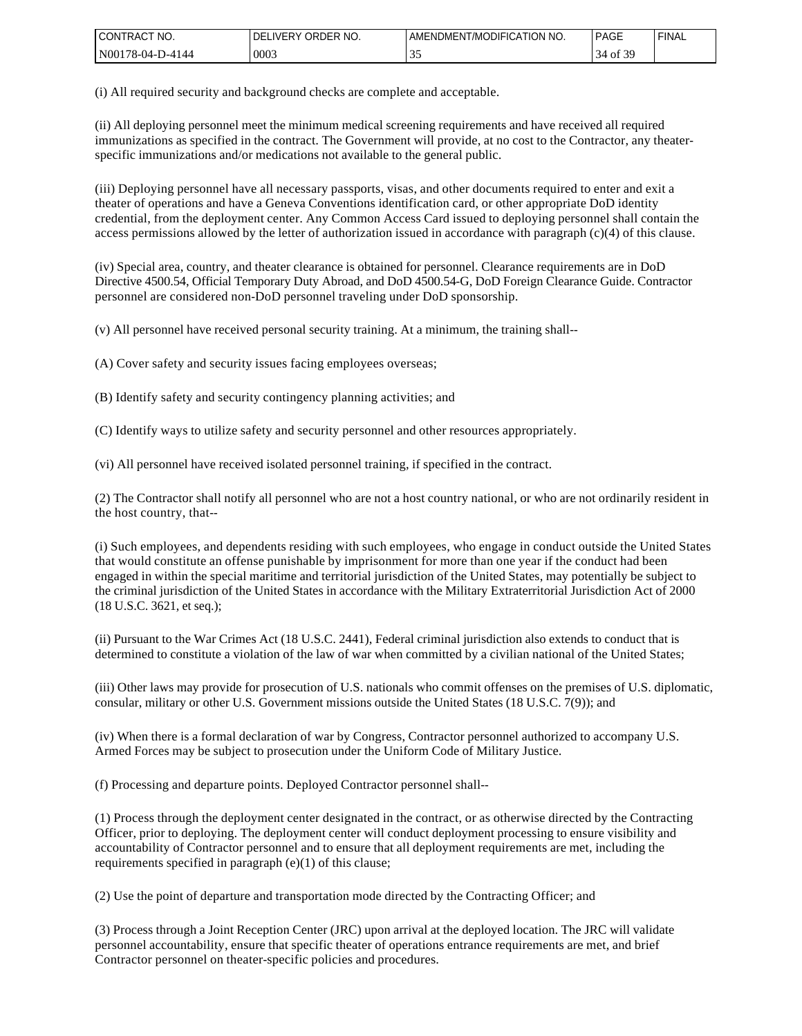| I CONTRACT<br>NO. | ORDER NO.<br>uVERY .<br>DF | IDMENT/MODIFICATION NO.<br>AMENL' | <b>PAGE</b>                 | <b>FINAL</b> |
|-------------------|----------------------------|-----------------------------------|-----------------------------|--------------|
| N00178-04-D-4144  | 0003                       | ັ້                                | c oc<br>ΟĪ<br>~<br>J.,<br>◡ |              |

(i) All required security and background checks are complete and acceptable.

(ii) All deploying personnel meet the minimum medical screening requirements and have received all required immunizations as specified in the contract. The Government will provide, at no cost to the Contractor, any theaterspecific immunizations and/or medications not available to the general public.

(iii) Deploying personnel have all necessary passports, visas, and other documents required to enter and exit a theater of operations and have a Geneva Conventions identification card, or other appropriate DoD identity credential, from the deployment center. Any Common Access Card issued to deploying personnel shall contain the access permissions allowed by the letter of authorization issued in accordance with paragraph (c)(4) of this clause.

(iv) Special area, country, and theater clearance is obtained for personnel. Clearance requirements are in DoD Directive 4500.54, Official Temporary Duty Abroad, and DoD 4500.54-G, DoD Foreign Clearance Guide. Contractor personnel are considered non-DoD personnel traveling under DoD sponsorship.

(v) All personnel have received personal security training. At a minimum, the training shall--

(A) Cover safety and security issues facing employees overseas;

(B) Identify safety and security contingency planning activities; and

(C) Identify ways to utilize safety and security personnel and other resources appropriately.

(vi) All personnel have received isolated personnel training, if specified in the contract.

(2) The Contractor shall notify all personnel who are not a host country national, or who are not ordinarily resident in the host country, that--

(i) Such employees, and dependents residing with such employees, who engage in conduct outside the United States that would constitute an offense punishable by imprisonment for more than one year if the conduct had been engaged in within the special maritime and territorial jurisdiction of the United States, may potentially be subject to the criminal jurisdiction of the United States in accordance with the Military Extraterritorial Jurisdiction Act of 2000 (18 U.S.C. 3621, et seq.);

(ii) Pursuant to the War Crimes Act (18 U.S.C. 2441), Federal criminal jurisdiction also extends to conduct that is determined to constitute a violation of the law of war when committed by a civilian national of the United States;

(iii) Other laws may provide for prosecution of U.S. nationals who commit offenses on the premises of U.S. diplomatic, consular, military or other U.S. Government missions outside the United States (18 U.S.C. 7(9)); and

(iv) When there is a formal declaration of war by Congress, Contractor personnel authorized to accompany U.S. Armed Forces may be subject to prosecution under the Uniform Code of Military Justice.

(f) Processing and departure points. Deployed Contractor personnel shall--

(1) Process through the deployment center designated in the contract, or as otherwise directed by the Contracting Officer, prior to deploying. The deployment center will conduct deployment processing to ensure visibility and accountability of Contractor personnel and to ensure that all deployment requirements are met, including the requirements specified in paragraph (e)(1) of this clause;

(2) Use the point of departure and transportation mode directed by the Contracting Officer; and

(3) Process through a Joint Reception Center (JRC) upon arrival at the deployed location. The JRC will validate personnel accountability, ensure that specific theater of operations entrance requirements are met, and brief Contractor personnel on theater-specific policies and procedures.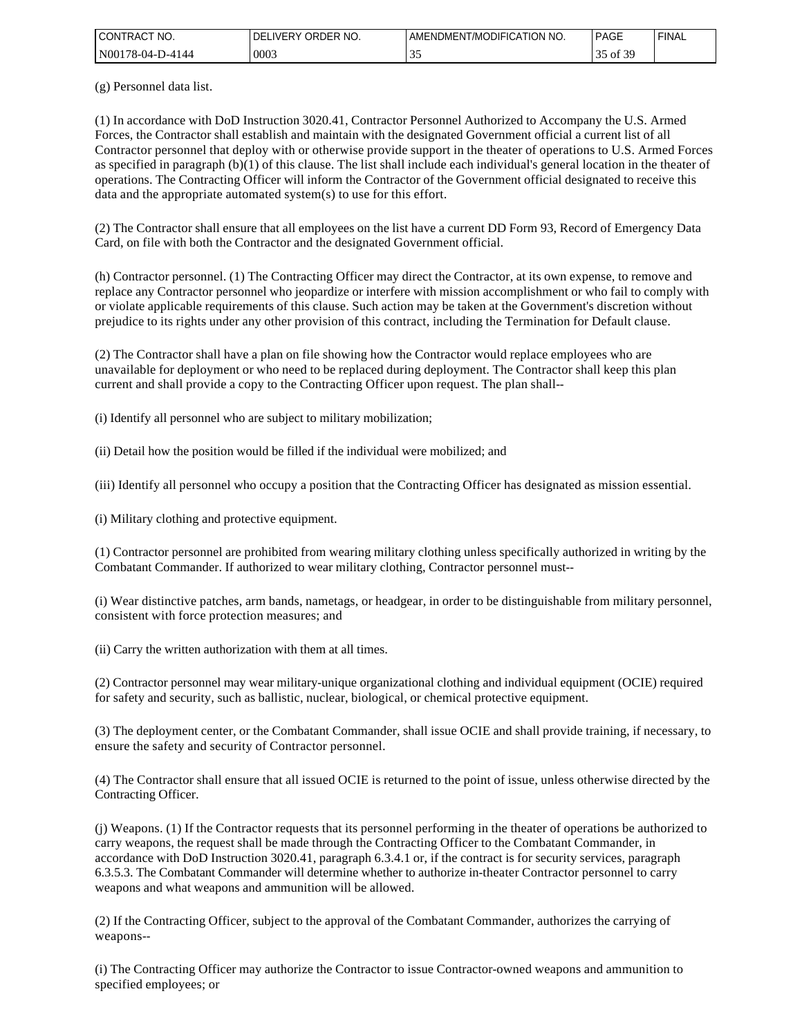| NO.<br>l CON<br>TRACT                    | ORDER<br>`NO<br>DF<br>.√FR⊻. | NO.<br><b>TION</b><br>ODIFICA<br>AMENDMENT<br>7MC | <b>PAGE</b>                     | <b>FINAL</b> |
|------------------------------------------|------------------------------|---------------------------------------------------|---------------------------------|--------------|
| $'N001$ .<br>7-4144<br>74<br>$\sim$<br>. | 0003                         | --                                                | $\sim$<br>0Ī<br>ັ<br><u>. ب</u> |              |

(g) Personnel data list.

(1) In accordance with DoD Instruction 3020.41, Contractor Personnel Authorized to Accompany the U.S. Armed Forces, the Contractor shall establish and maintain with the designated Government official a current list of all Contractor personnel that deploy with or otherwise provide support in the theater of operations to U.S. Armed Forces as specified in paragraph  $(b)(1)$  of this clause. The list shall include each individual's general location in the theater of operations. The Contracting Officer will inform the Contractor of the Government official designated to receive this data and the appropriate automated system(s) to use for this effort.

(2) The Contractor shall ensure that all employees on the list have a current DD Form 93, Record of Emergency Data Card, on file with both the Contractor and the designated Government official.

(h) Contractor personnel. (1) The Contracting Officer may direct the Contractor, at its own expense, to remove and replace any Contractor personnel who jeopardize or interfere with mission accomplishment or who fail to comply with or violate applicable requirements of this clause. Such action may be taken at the Government's discretion without prejudice to its rights under any other provision of this contract, including the Termination for Default clause.

(2) The Contractor shall have a plan on file showing how the Contractor would replace employees who are unavailable for deployment or who need to be replaced during deployment. The Contractor shall keep this plan current and shall provide a copy to the Contracting Officer upon request. The plan shall--

(i) Identify all personnel who are subject to military mobilization;

(ii) Detail how the position would be filled if the individual were mobilized; and

(iii) Identify all personnel who occupy a position that the Contracting Officer has designated as mission essential.

(i) Military clothing and protective equipment.

(1) Contractor personnel are prohibited from wearing military clothing unless specifically authorized in writing by the Combatant Commander. If authorized to wear military clothing, Contractor personnel must--

(i) Wear distinctive patches, arm bands, nametags, or headgear, in order to be distinguishable from military personnel, consistent with force protection measures; and

(ii) Carry the written authorization with them at all times.

(2) Contractor personnel may wear military-unique organizational clothing and individual equipment (OCIE) required for safety and security, such as ballistic, nuclear, biological, or chemical protective equipment.

(3) The deployment center, or the Combatant Commander, shall issue OCIE and shall provide training, if necessary, to ensure the safety and security of Contractor personnel.

(4) The Contractor shall ensure that all issued OCIE is returned to the point of issue, unless otherwise directed by the Contracting Officer.

(j) Weapons. (1) If the Contractor requests that its personnel performing in the theater of operations be authorized to carry weapons, the request shall be made through the Contracting Officer to the Combatant Commander, in accordance with DoD Instruction 3020.41, paragraph 6.3.4.1 or, if the contract is for security services, paragraph 6.3.5.3. The Combatant Commander will determine whether to authorize in-theater Contractor personnel to carry weapons and what weapons and ammunition will be allowed.

(2) If the Contracting Officer, subject to the approval of the Combatant Commander, authorizes the carrying of weapons--

(i) The Contracting Officer may authorize the Contractor to issue Contractor-owned weapons and ammunition to specified employees; or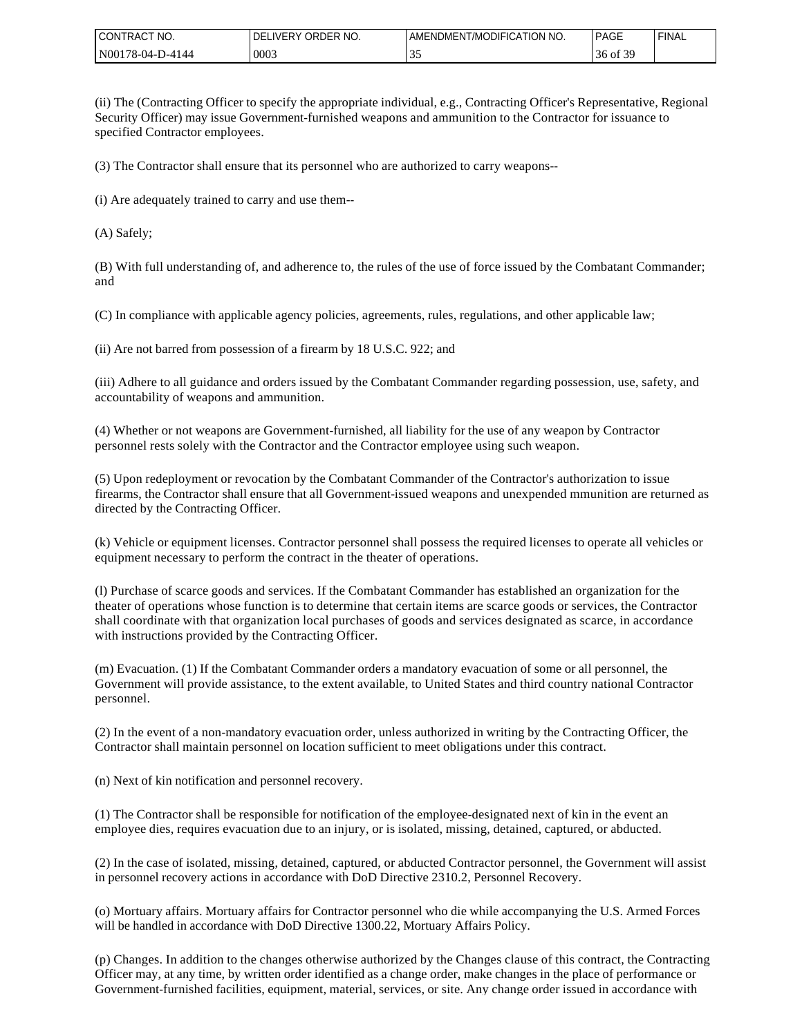| l CONTRACT<br>TNO.         | ORDER NO.<br>IVERY.<br>DFI | AMENDMENT/MODIFICATION NO. | <b>PAGE</b>        | <b>FINAL</b> |
|----------------------------|----------------------------|----------------------------|--------------------|--------------|
| l N00<br>78-04-.<br>1-4144 | 0003                       | ັ້                         | r oc<br>- of<br>30 |              |

(ii) The (Contracting Officer to specify the appropriate individual, e.g., Contracting Officer's Representative, Regional Security Officer) may issue Government-furnished weapons and ammunition to the Contractor for issuance to specified Contractor employees.

(3) The Contractor shall ensure that its personnel who are authorized to carry weapons--

(i) Are adequately trained to carry and use them--

(A) Safely;

(B) With full understanding of, and adherence to, the rules of the use of force issued by the Combatant Commander; and

(C) In compliance with applicable agency policies, agreements, rules, regulations, and other applicable law;

(ii) Are not barred from possession of a firearm by 18 U.S.C. 922; and

(iii) Adhere to all guidance and orders issued by the Combatant Commander regarding possession, use, safety, and accountability of weapons and ammunition.

(4) Whether or not weapons are Government-furnished, all liability for the use of any weapon by Contractor personnel rests solely with the Contractor and the Contractor employee using such weapon.

(5) Upon redeployment or revocation by the Combatant Commander of the Contractor's authorization to issue firearms, the Contractor shall ensure that all Government-issued weapons and unexpended mmunition are returned as directed by the Contracting Officer.

(k) Vehicle or equipment licenses. Contractor personnel shall possess the required licenses to operate all vehicles or equipment necessary to perform the contract in the theater of operations.

(l) Purchase of scarce goods and services. If the Combatant Commander has established an organization for the theater of operations whose function is to determine that certain items are scarce goods or services, the Contractor shall coordinate with that organization local purchases of goods and services designated as scarce, in accordance with instructions provided by the Contracting Officer.

(m) Evacuation. (1) If the Combatant Commander orders a mandatory evacuation of some or all personnel, the Government will provide assistance, to the extent available, to United States and third country national Contractor personnel.

(2) In the event of a non-mandatory evacuation order, unless authorized in writing by the Contracting Officer, the Contractor shall maintain personnel on location sufficient to meet obligations under this contract.

(n) Next of kin notification and personnel recovery.

(1) The Contractor shall be responsible for notification of the employee-designated next of kin in the event an employee dies, requires evacuation due to an injury, or is isolated, missing, detained, captured, or abducted.

(2) In the case of isolated, missing, detained, captured, or abducted Contractor personnel, the Government will assist in personnel recovery actions in accordance with DoD Directive 2310.2, Personnel Recovery.

(o) Mortuary affairs. Mortuary affairs for Contractor personnel who die while accompanying the U.S. Armed Forces will be handled in accordance with DoD Directive 1300.22, Mortuary Affairs Policy.

(p) Changes. In addition to the changes otherwise authorized by the Changes clause of this contract, the Contracting Officer may, at any time, by written order identified as a change order, make changes in the place of performance or Government-furnished facilities, equipment, material, services, or site. Any change order issued in accordance with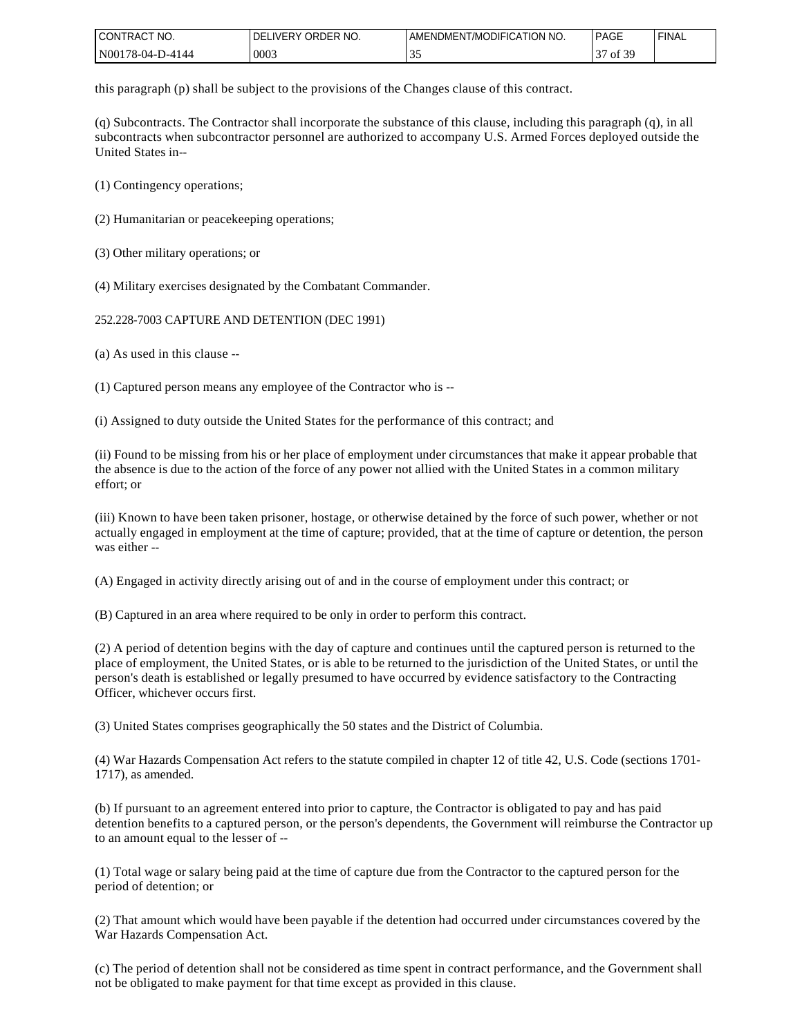| l CON<br>NO.<br>TRACT | ORDER NO.<br><b>FRY</b><br>DЕ | 'T/MODIFICATION NO.<br>DMEN⊺<br>.√IHNI∶ | <b>PAGE</b>            | <b>FINAL</b> |
|-----------------------|-------------------------------|-----------------------------------------|------------------------|--------------|
| N001<br>78-04-D-4144  | 0003                          | <u>. .</u>                              | c 20<br>ΟĪ<br>J .<br>◡ |              |

this paragraph (p) shall be subject to the provisions of the Changes clause of this contract.

(q) Subcontracts. The Contractor shall incorporate the substance of this clause, including this paragraph (q), in all subcontracts when subcontractor personnel are authorized to accompany U.S. Armed Forces deployed outside the United States in--

- (1) Contingency operations;
- (2) Humanitarian or peacekeeping operations;
- (3) Other military operations; or
- (4) Military exercises designated by the Combatant Commander.

#### 252.228-7003 CAPTURE AND DETENTION (DEC 1991)

(a) As used in this clause --

(1) Captured person means any employee of the Contractor who is --

(i) Assigned to duty outside the United States for the performance of this contract; and

(ii) Found to be missing from his or her place of employment under circumstances that make it appear probable that the absence is due to the action of the force of any power not allied with the United States in a common military effort; or

(iii) Known to have been taken prisoner, hostage, or otherwise detained by the force of such power, whether or not actually engaged in employment at the time of capture; provided, that at the time of capture or detention, the person was either --

(A) Engaged in activity directly arising out of and in the course of employment under this contract; or

(B) Captured in an area where required to be only in order to perform this contract.

(2) A period of detention begins with the day of capture and continues until the captured person is returned to the place of employment, the United States, or is able to be returned to the jurisdiction of the United States, or until the person's death is established or legally presumed to have occurred by evidence satisfactory to the Contracting Officer, whichever occurs first.

(3) United States comprises geographically the 50 states and the District of Columbia.

(4) War Hazards Compensation Act refers to the statute compiled in chapter 12 of title 42, U.S. Code (sections 1701- 1717), as amended.

(b) If pursuant to an agreement entered into prior to capture, the Contractor is obligated to pay and has paid detention benefits to a captured person, or the person's dependents, the Government will reimburse the Contractor up to an amount equal to the lesser of --

(1) Total wage or salary being paid at the time of capture due from the Contractor to the captured person for the period of detention; or

(2) That amount which would have been payable if the detention had occurred under circumstances covered by the War Hazards Compensation Act.

(c) The period of detention shall not be considered as time spent in contract performance, and the Government shall not be obligated to make payment for that time except as provided in this clause.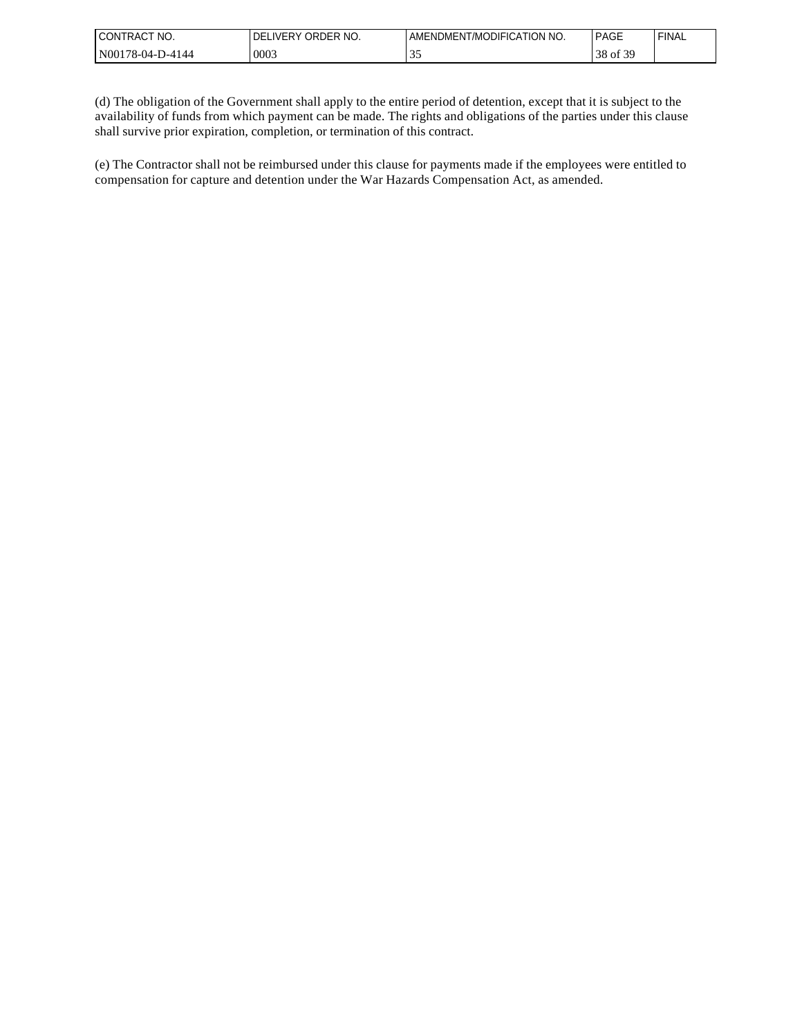| l CONTRACT<br>NO.          | ORDER NO.<br><b>IVERY</b><br>DFI | T/MODIFICATION NO.<br>∪MEN'<br>AMENE | <b>PAGE</b>                                                | <b>FINAL</b> |
|----------------------------|----------------------------------|--------------------------------------|------------------------------------------------------------|--------------|
| l N00<br>78-04-L<br>1-4144 | 0003                             | --                                   | e oc<br><u>ာ ဂ</u><br>ΟĪ<br>38<br>$\overline{\phantom{a}}$ |              |

(d) The obligation of the Government shall apply to the entire period of detention, except that it is subject to the availability of funds from which payment can be made. The rights and obligations of the parties under this clause shall survive prior expiration, completion, or termination of this contract.

(e) The Contractor shall not be reimbursed under this clause for payments made if the employees were entitled to compensation for capture and detention under the War Hazards Compensation Act, as amended.